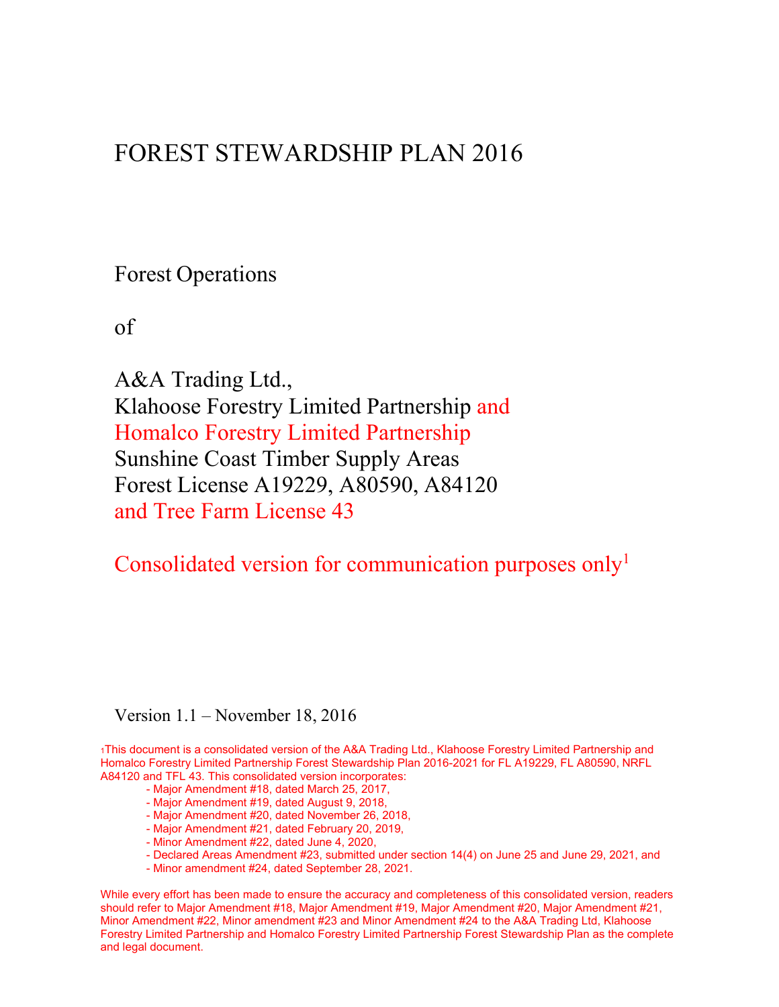# FOREST STEWARDSHIP PLAN 2016

Forest Operations

of

A&A Trading Ltd., Klahoose Forestry Limited Partnership and Homalco Forestry Limited Partnership Sunshine Coast Timber Supply Areas Forest License A19229, A80590, A84120 and Tree Farm License 43

Consolidated version for communication purposes only<sup>1</sup>

Version 1.1 – November 18, 2016

1This document is a consolidated version of the A&A Trading Ltd., Klahoose Forestry Limited Partnership and Homalco Forestry Limited Partnership Forest Stewardship Plan 2016-2021 for FL A19229, FL A80590, NRFL A84120 and TFL 43. This consolidated version incorporates:

- Major Amendment #18, dated March 25, 2017,
- Major Amendment #19, dated August 9, 2018,
- Major Amendment #20, dated November 26, 2018,
- Major Amendment #21, dated February 20, 2019,
- Minor Amendment #22, dated June 4, 2020,
- Declared Areas Amendment #23, submitted under section 14(4) on June 25 and June 29, 2021, and
- Minor amendment #24, dated September 28, 2021.

While every effort has been made to ensure the accuracy and completeness of this consolidated version, readers should refer to Major Amendment #18, Major Amendment #19, Major Amendment #20, Major Amendment #21, Minor Amendment #22, Minor amendment #23 and Minor Amendment #24 to the A&A Trading Ltd, Klahoose Forestry Limited Partnership and Homalco Forestry Limited Partnership Forest Stewardship Plan as the complete and legal document.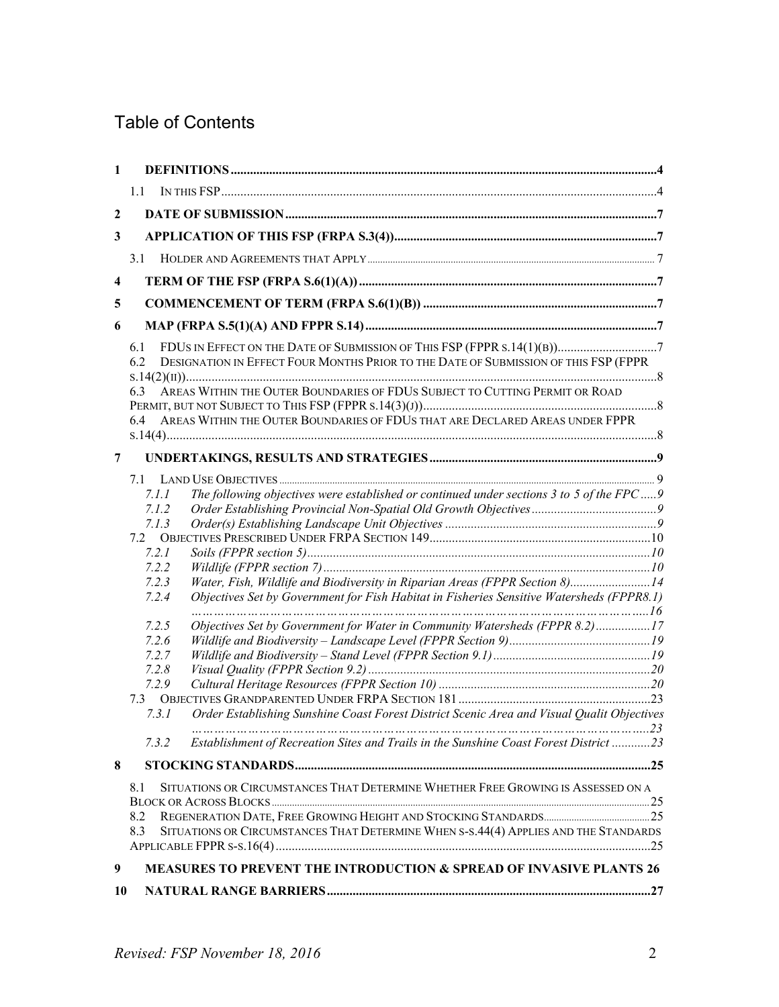# Table of Contents

| $\mathbf{1}$            |                                                                                                                                                                                                                                                                                                                                                                                                                                                                                      |  |
|-------------------------|--------------------------------------------------------------------------------------------------------------------------------------------------------------------------------------------------------------------------------------------------------------------------------------------------------------------------------------------------------------------------------------------------------------------------------------------------------------------------------------|--|
|                         | 1.1                                                                                                                                                                                                                                                                                                                                                                                                                                                                                  |  |
| $\boldsymbol{2}$        |                                                                                                                                                                                                                                                                                                                                                                                                                                                                                      |  |
| 3                       |                                                                                                                                                                                                                                                                                                                                                                                                                                                                                      |  |
|                         | 3.1                                                                                                                                                                                                                                                                                                                                                                                                                                                                                  |  |
| $\overline{\mathbf{4}}$ |                                                                                                                                                                                                                                                                                                                                                                                                                                                                                      |  |
|                         |                                                                                                                                                                                                                                                                                                                                                                                                                                                                                      |  |
| 5                       |                                                                                                                                                                                                                                                                                                                                                                                                                                                                                      |  |
| 6                       |                                                                                                                                                                                                                                                                                                                                                                                                                                                                                      |  |
|                         | FDUS IN EFFECT ON THE DATE OF SUBMISSION OF THIS FSP (FPPR s.14(1)(B))7<br>6.1<br>DESIGNATION IN EFFECT FOUR MONTHS PRIOR TO THE DATE OF SUBMISSION OF THIS FSP (FPPR<br>6.2                                                                                                                                                                                                                                                                                                         |  |
|                         | AREAS WITHIN THE OUTER BOUNDARIES OF FDUS SUBJECT TO CUTTING PERMIT OR ROAD<br>6.3                                                                                                                                                                                                                                                                                                                                                                                                   |  |
|                         | AREAS WITHIN THE OUTER BOUNDARIES OF FDUS THAT ARE DECLARED AREAS UNDER FPPR<br>6.4                                                                                                                                                                                                                                                                                                                                                                                                  |  |
| $\overline{7}$          |                                                                                                                                                                                                                                                                                                                                                                                                                                                                                      |  |
|                         | 7.1<br>The following objectives were established or continued under sections 3 to 5 of the FPC9<br>7.1.1<br>7.1.2<br>7.1.3<br>7.2.1<br>7.2.2<br>Water, Fish, Wildlife and Biodiversity in Riparian Areas (FPPR Section 8)14<br>7.2.3<br>Objectives Set by Government for Fish Habitat in Fisheries Sensitive Watersheds (FPPR8.1)<br>7.2.4<br>Objectives Set by Government for Water in Community Watersheds (FPPR 8.2)17<br>7.2.5<br>7.2.6<br>7.2.7<br>7.2.8<br>7.2.9<br>7.3<br>731 |  |
|                         | Order Establishing Sunshine Coast Forest District Scenic Area and Visual Qualit Objectives<br>Establishment of Recreation Sites and Trails in the Sunshine Coast Forest District 23<br>7.3.2                                                                                                                                                                                                                                                                                         |  |
| 8                       |                                                                                                                                                                                                                                                                                                                                                                                                                                                                                      |  |
|                         | SITUATIONS OR CIRCUMSTANCES THAT DETERMINE WHETHER FREE GROWING IS ASSESSED ON A<br>8.1<br>8.2<br>SITUATIONS OR CIRCUMSTANCES THAT DETERMINE WHEN S-S.44(4) APPLIES AND THE STANDARDS<br>8.3                                                                                                                                                                                                                                                                                         |  |
| 9                       | MEASURES TO PREVENT THE INTRODUCTION & SPREAD OF INVASIVE PLANTS 26                                                                                                                                                                                                                                                                                                                                                                                                                  |  |
| 10                      |                                                                                                                                                                                                                                                                                                                                                                                                                                                                                      |  |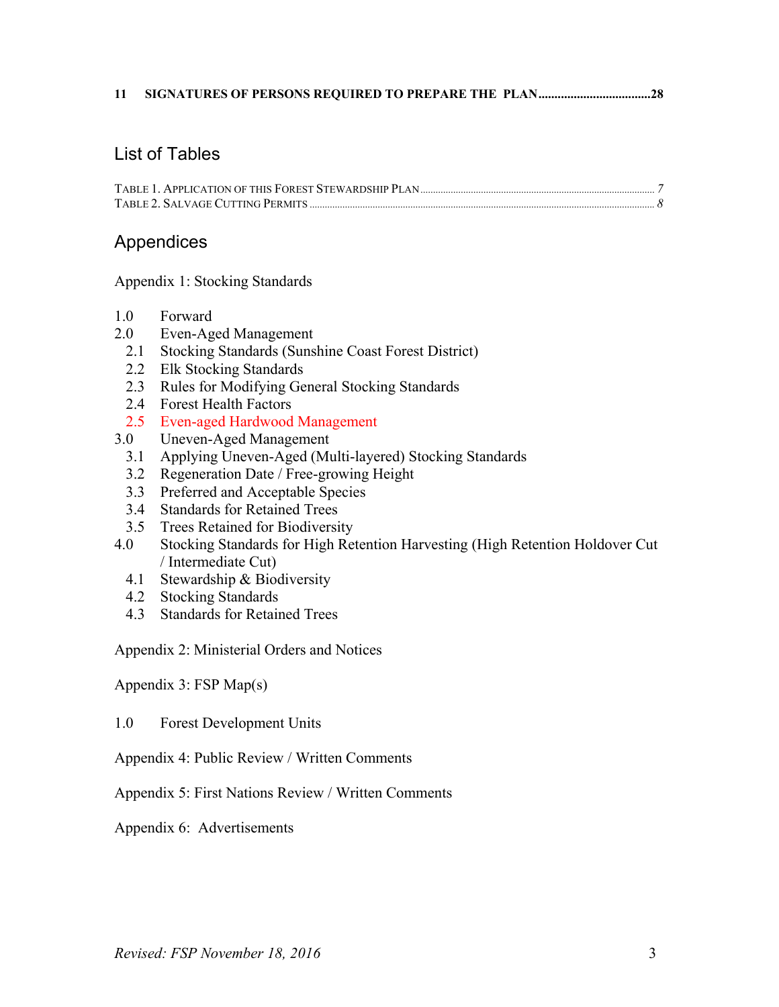#### **11 SIGNATURES OF PERSONS REQUIRED TO PREPARE THE [PLAN...................................28](#page-27-0)**

#### List of Tables

#### Appendices

Appendix 1: Stocking Standards

- 1.0 Forward
- 2.0 Even-Aged Management
	- 2.1 Stocking Standards (Sunshine Coast Forest District)
	- 2.2 Elk Stocking Standards
	- 2.3 Rules for Modifying General Stocking Standards
	- 2.4 Forest Health Factors
	- 2.5 Even-aged Hardwood Management
- 3.0 Uneven-Aged Management
	- 3.1 Applying Uneven-Aged (Multi-layered) Stocking Standards
	- 3.2 Regeneration Date / Free-growing Height
	- 3.3 Preferred and Acceptable Species
	- 3.4 Standards for Retained Trees
	- 3.5 Trees Retained for Biodiversity
- 4.0 Stocking Standards for High Retention Harvesting (High Retention Holdover Cut / Intermediate Cut)
	- 4.1 Stewardship & Biodiversity
	- 4.2 Stocking Standards
	- 4.3 Standards for Retained Trees

Appendix 2: Ministerial Orders and Notices

Appendix 3: FSP Map(s)

1.0 Forest Development Units

- Appendix 4: Public Review / Written Comments
- Appendix 5: First Nations Review / Written Comments
- Appendix 6: Advertisements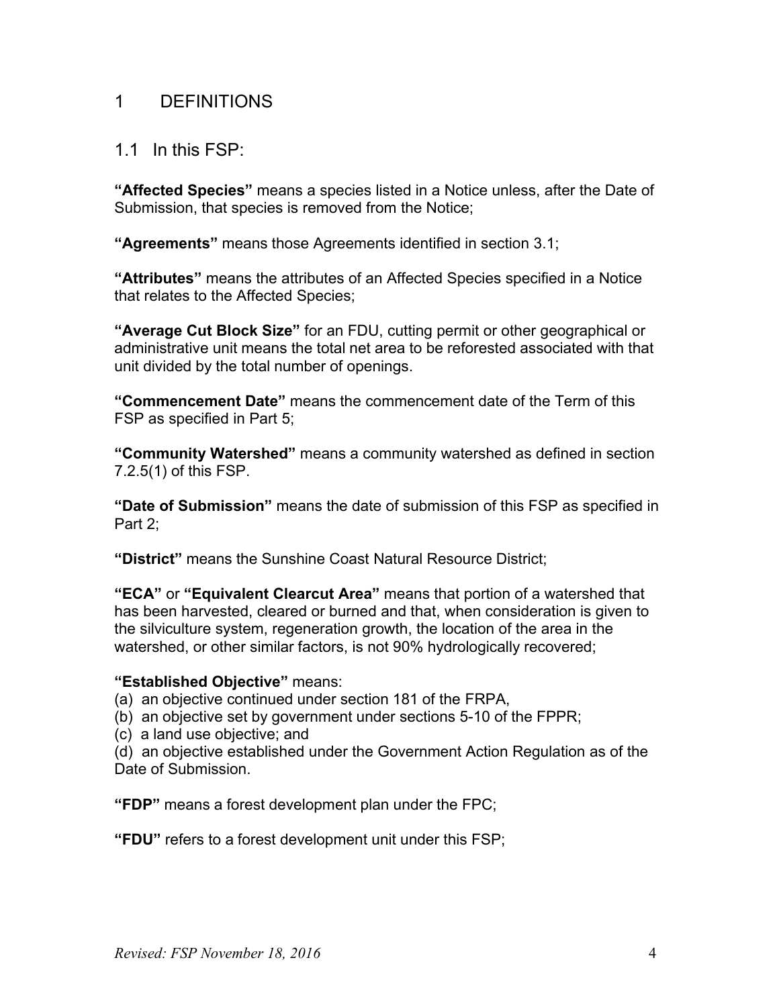## <span id="page-3-0"></span>1 DEFINITIONS

#### <span id="page-3-1"></span>1.1 In this  $FSP<sup>+</sup>$

**"Affected Species"** means a species listed in a Notice unless, after the Date of Submission, that species is removed from the Notice;

**"Agreements"** means those Agreements identified in section 3.1;

**"Attributes"** means the attributes of an Affected Species specified in a Notice that relates to the Affected Species;

**"Average Cut Block Size"** for an FDU, cutting permit or other geographical or administrative unit means the total net area to be reforested associated with that unit divided by the total number of openings.

**"Commencement Date"** means the commencement date of the Term of this FSP as specified in Part 5;

**"Community Watershed"** means a community watershed as defined in section 7.2.5(1) of this FSP.

**"Date of Submission"** means the date of submission of this FSP as specified in Part 2:

**"District"** means the Sunshine Coast Natural Resource District;

**"ECA"** or **"Equivalent Clearcut Area"** means that portion of a watershed that has been harvested, cleared or burned and that, when consideration is given to the silviculture system, regeneration growth, the location of the area in the watershed, or other similar factors, is not 90% hydrologically recovered;

#### **"Established Objective"** means:

(a) an objective continued under section 181 of the FRPA,

- (b) an objective set by government under sections 5-10 of the FPPR;
- (c) a land use objective; and

(d) an objective established under the Government Action Regulation as of the Date of Submission.

**"FDP"** means a forest development plan under the FPC;

**"FDU"** refers to a forest development unit under this FSP;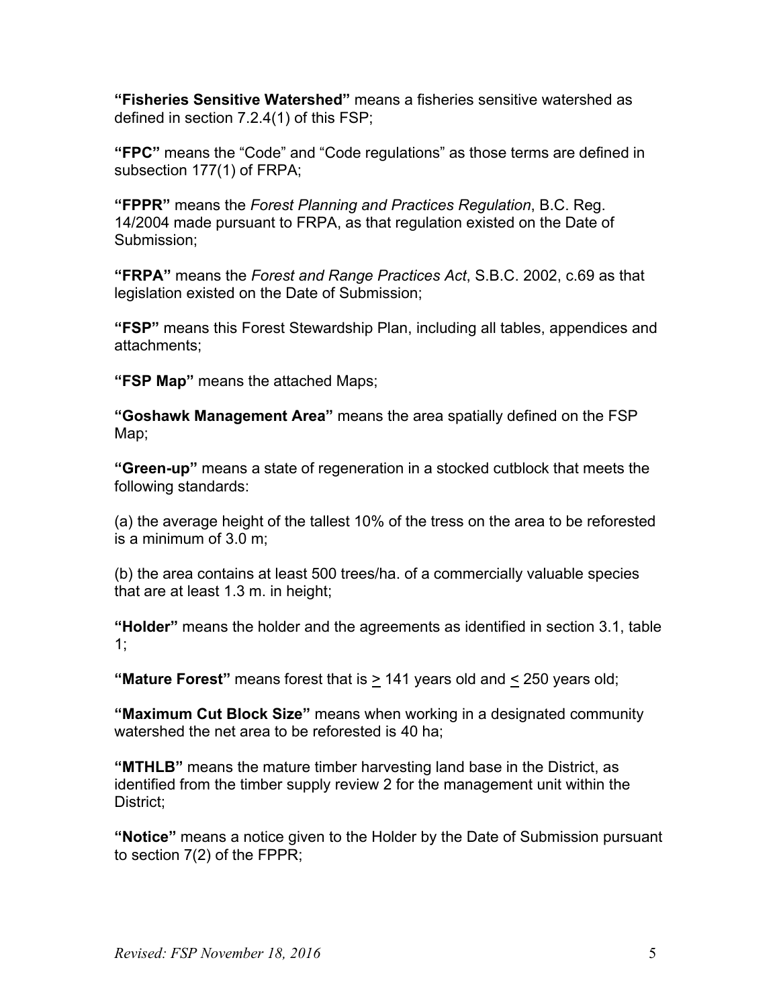**"Fisheries Sensitive Watershed"** means a fisheries sensitive watershed as defined in section 7.2.4(1) of this FSP;

**"FPC"** means the "Code" and "Code regulations" as those terms are defined in subsection 177(1) of FRPA;

**"FPPR"** means the *Forest Planning and Practices Regulation*, B.C. Reg. 14/2004 made pursuant to FRPA, as that regulation existed on the Date of Submission;

**"FRPA"** means the *Forest and Range Practices Act*, S.B.C. 2002, c.69 as that legislation existed on the Date of Submission;

**"FSP"** means this Forest Stewardship Plan, including all tables, appendices and attachments;

**"FSP Map"** means the attached Maps;

**"Goshawk Management Area"** means the area spatially defined on the FSP Map;

**"Green-up"** means a state of regeneration in a stocked cutblock that meets the following standards:

(a) the average height of the tallest 10% of the tress on the area to be reforested is a minimum of 3.0 m;

(b) the area contains at least 500 trees/ha. of a commercially valuable species that are at least 1.3 m. in height;

**"Holder"** means the holder and the agreements as identified in section 3.1, table 1;

**"Mature Forest"** means forest that is > 141 years old and < 250 years old;

**"Maximum Cut Block Size"** means when working in a designated community watershed the net area to be reforested is 40 ha;

**"MTHLB"** means the mature timber harvesting land base in the District, as identified from the timber supply review 2 for the management unit within the District:

**"Notice"** means a notice given to the Holder by the Date of Submission pursuant to section 7(2) of the FPPR;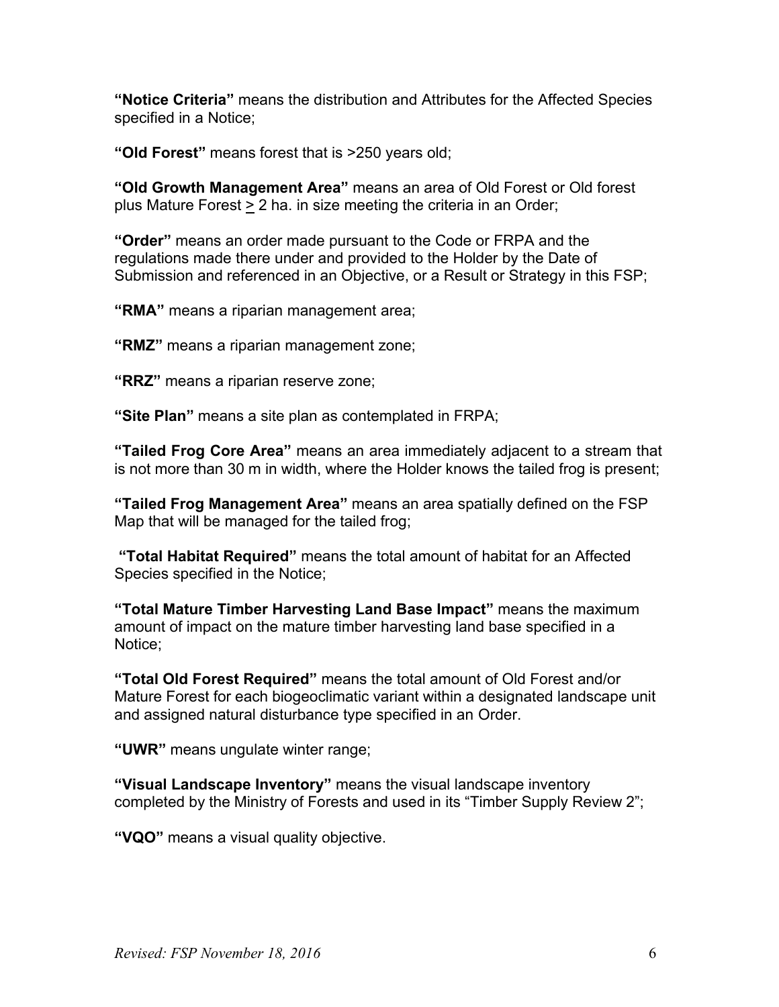**"Notice Criteria"** means the distribution and Attributes for the Affected Species specified in a Notice;

**"Old Forest"** means forest that is >250 years old;

**"Old Growth Management Area"** means an area of Old Forest or Old forest plus Mature Forest > 2 ha. in size meeting the criteria in an Order;

**"Order"** means an order made pursuant to the Code or FRPA and the regulations made there under and provided to the Holder by the Date of Submission and referenced in an Objective, or a Result or Strategy in this FSP;

**"RMA"** means a riparian management area;

**"RMZ"** means a riparian management zone;

**"RRZ"** means a riparian reserve zone;

**"Site Plan"** means a site plan as contemplated in FRPA;

**"Tailed Frog Core Area"** means an area immediately adjacent to a stream that is not more than 30 m in width, where the Holder knows the tailed frog is present;

**"Tailed Frog Management Area"** means an area spatially defined on the FSP Map that will be managed for the tailed frog;

**"Total Habitat Required"** means the total amount of habitat for an Affected Species specified in the Notice;

**"Total Mature Timber Harvesting Land Base Impact"** means the maximum amount of impact on the mature timber harvesting land base specified in a Notice;

**"Total Old Forest Required"** means the total amount of Old Forest and/or Mature Forest for each biogeoclimatic variant within a designated landscape unit and assigned natural disturbance type specified in an Order.

**"UWR"** means ungulate winter range;

**"Visual Landscape Inventory"** means the visual landscape inventory completed by the Ministry of Forests and used in its "Timber Supply Review 2";

**"VQO"** means a visual quality objective.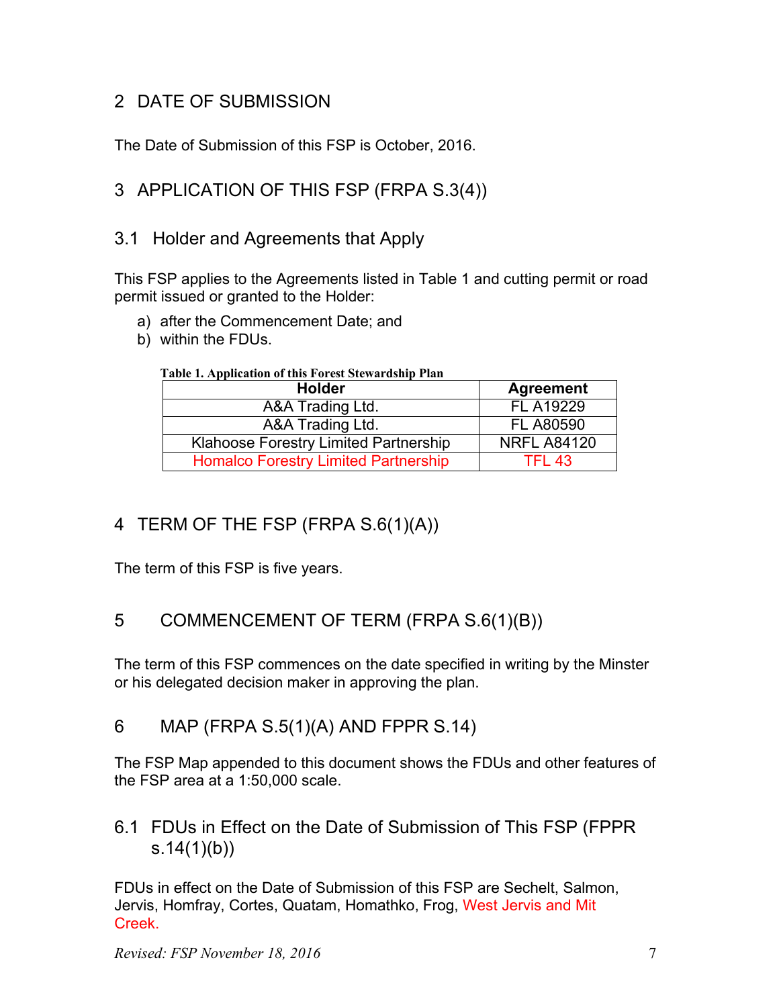# <span id="page-6-0"></span>2 DATE OF SUBMISSION

The Date of Submission of this FSP is October, 2016.

# <span id="page-6-1"></span>3 APPLICATION OF THIS FSP (FRPA S.3(4))

## <span id="page-6-2"></span>3.1 Holder and Agreements that Apply

This FSP applies to the Agreements listed in Table 1 and cutting permit or road permit issued or granted to the Holder:

- a) after the Commencement Date; and
- <span id="page-6-7"></span>b) within the FDUs.

#### **Table 1. Application of this Forest Stewardship Plan**

| <b>Holder</b>                                | <b>Agreement</b>   |
|----------------------------------------------|--------------------|
| A&A Trading Ltd.                             | <b>FL A19229</b>   |
| A&A Trading Ltd.                             | <b>FL A80590</b>   |
| <b>Klahoose Forestry Limited Partnership</b> | <b>NRFL A84120</b> |
| <b>Homalco Forestry Limited Partnership</b>  | <b>TFL 43</b>      |

# <span id="page-6-3"></span>4 TERM OF THE FSP (FRPA S.6(1)(A))

The term of this FSP is five years.

# <span id="page-6-4"></span>5 COMMENCEMENT OF TERM (FRPA S.6(1)(B))

The term of this FSP commences on the date specified in writing by the Minster or his delegated decision maker in approving the plan.

## <span id="page-6-5"></span>6 MAP (FRPA S.5(1)(A) AND FPPR S.14)

The FSP Map appended to this document shows the FDUs and other features of the FSP area at a 1:50,000 scale.

## <span id="page-6-6"></span>6.1 FDUs in Effect on the Date of Submission of This FSP (FPPR s.14(1)(b))

FDUs in effect on the Date of Submission of this FSP are Sechelt, Salmon, Jervis, Homfray, Cortes, Quatam, Homathko, Frog, West Jervis and Mit Creek.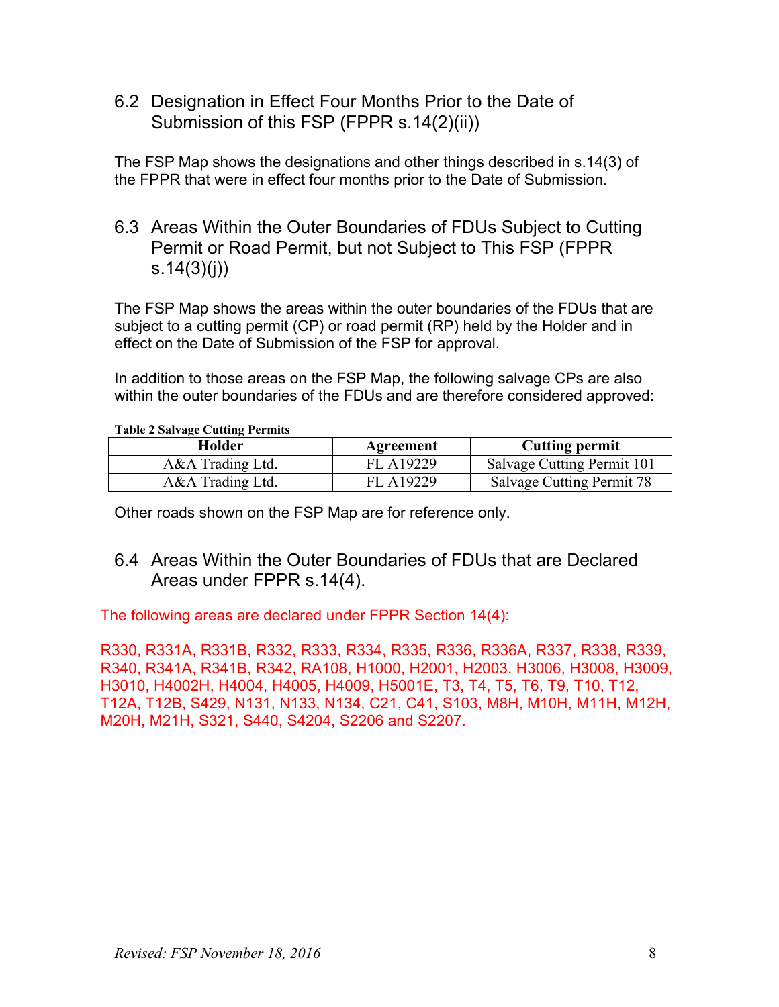<span id="page-7-0"></span>6.2 Designation in Effect Four Months Prior to the Date of Submission of this FSP (FPPR s.14(2)(ii))

The FSP Map shows the designations and other things described in s.14(3) of the FPPR that were in effect four months prior to the Date of Submission.

<span id="page-7-1"></span>6.3 Areas Within the Outer Boundaries of FDUs Subject to Cutting Permit or Road Permit, but not Subject to This FSP (FPPR s.  $14(3)(j)$ 

The FSP Map shows the areas within the outer boundaries of the FDUs that are subject to a cutting permit (CP) or road permit (RP) held by the Holder and in effect on the Date of Submission of the FSP for approval.

In addition to those areas on the FSP Map, the following salvage CPs are also within the outer boundaries of the FDUs and are therefore considered approved:

#### <span id="page-7-3"></span>**Table 2 Salvage Cutting Permits**

| Holder           | Agreement | <b>Cutting permit</b>      |
|------------------|-----------|----------------------------|
| A&A Trading Ltd. | FL A19229 | Salvage Cutting Permit 101 |
| A&A Trading Ltd. | FL A19229 | Salvage Cutting Permit 78  |

Other roads shown on the FSP Map are for reference only.

## <span id="page-7-2"></span>6.4 Areas Within the Outer Boundaries of FDUs that are Declared Areas under FPPR s.14(4).

The following areas are declared under FPPR Section 14(4):

R330, R331A, R331B, R332, R333, R334, R335, R336, R336A, R337, R338, R339, R340, R341A, R341B, R342, RA108, H1000, H2001, H2003, H3006, H3008, H3009, H3010, H4002H, H4004, H4005, H4009, H5001E, T3, T4, T5, T6, T9, T10, T12, T12A, T12B, S429, N131, N133, N134, C21, C41, S103, M8H, M10H, M11H, M12H, M20H, M21H, S321, S440, S4204, S2206 and S2207.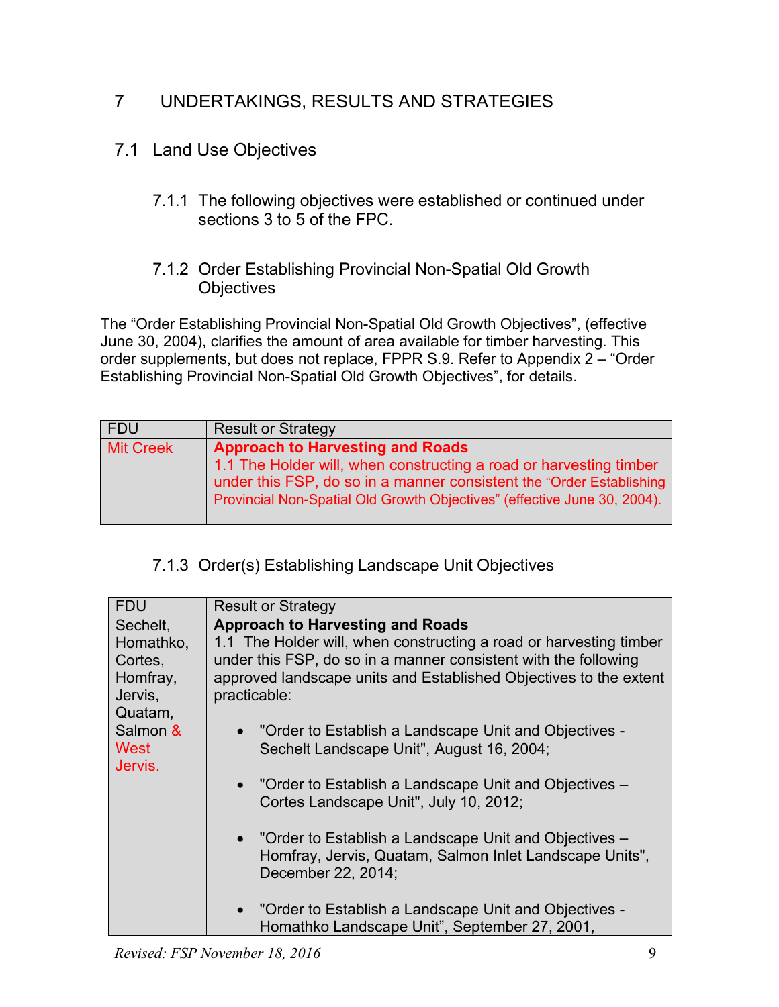# <span id="page-8-0"></span>7 UNDERTAKINGS, RESULTS AND STRATEGIES

# <span id="page-8-2"></span><span id="page-8-1"></span>7.1 Land Use Objectives

7.1.1 The following objectives were established or continued under sections 3 to 5 of the FPC.

#### <span id="page-8-3"></span>7.1.2 Order Establishing Provincial Non-Spatial Old Growth **Objectives**

The "Order Establishing Provincial Non-Spatial Old Growth Objectives", (effective June 30, 2004), clarifies the amount of area available for timber harvesting. This order supplements, but does not replace, FPPR S.9. Refer to Appendix 2 – "Order Establishing Provincial Non-Spatial Old Growth Objectives", for details.

| FDU              | <b>Result or Strategy</b>                                                                                                                                                                                                                                         |
|------------------|-------------------------------------------------------------------------------------------------------------------------------------------------------------------------------------------------------------------------------------------------------------------|
| <b>Mit Creek</b> | <b>Approach to Harvesting and Roads</b><br>1.1 The Holder will, when constructing a road or harvesting timber<br>under this FSP, do so in a manner consistent the "Order Establishing<br>Provincial Non-Spatial Old Growth Objectives" (effective June 30, 2004). |

# <span id="page-8-4"></span>7.1.3 Order(s) Establishing Landscape Unit Objectives

| <b>FDU</b> | <b>Result or Strategy</b>                                          |
|------------|--------------------------------------------------------------------|
| Sechelt.   | <b>Approach to Harvesting and Roads</b>                            |
| Homathko,  | 1.1 The Holder will, when constructing a road or harvesting timber |
| Cortes,    | under this FSP, do so in a manner consistent with the following    |
| Homfray,   | approved landscape units and Established Objectives to the extent  |
| Jervis,    | practicable:                                                       |
| Quatam,    |                                                                    |
| Salmon &   | • "Order to Establish a Landscape Unit and Objectives -            |
| West       | Sechelt Landscape Unit", August 16, 2004;                          |
| Jervis.    |                                                                    |
|            | • "Order to Establish a Landscape Unit and Objectives –            |
|            | Cortes Landscape Unit", July 10, 2012;                             |
|            | • "Order to Establish a Landscape Unit and Objectives -            |
|            | Homfray, Jervis, Quatam, Salmon Inlet Landscape Units",            |
|            | December 22, 2014;                                                 |
|            |                                                                    |
|            | • "Order to Establish a Landscape Unit and Objectives -            |
|            | Homathko Landscape Unit", September 27, 2001,                      |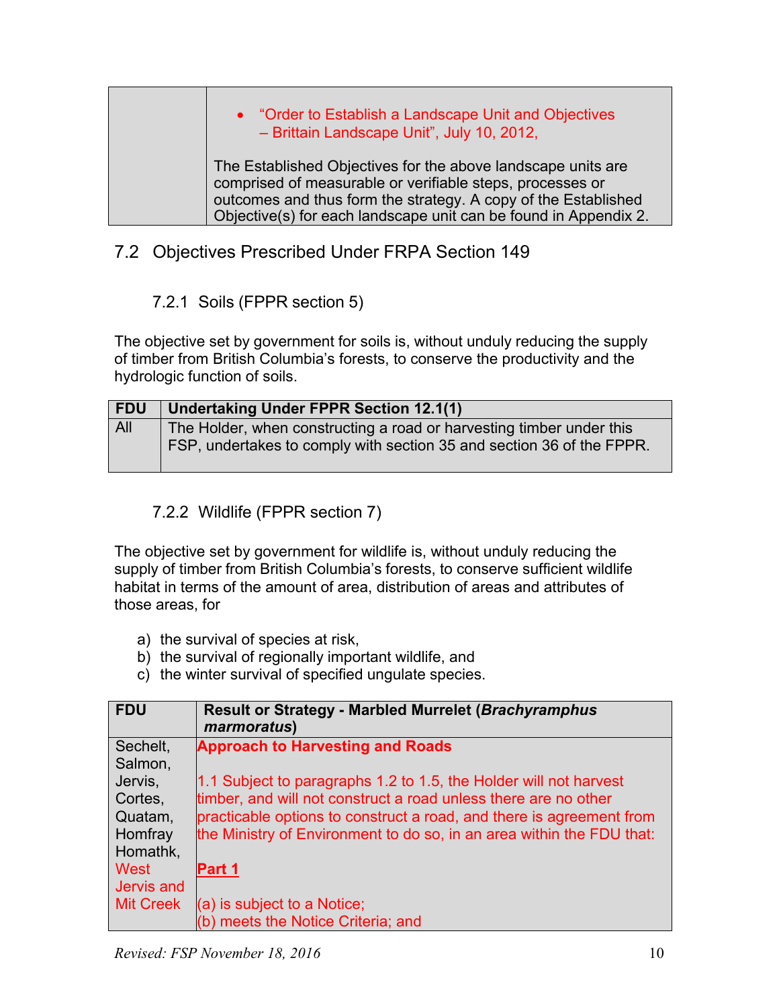# • "Order to Establish a Landscape Unit and Objectives – Brittain Landscape Unit", July 10, 2012, The Established Objectives for the above landscape units are comprised of measurable or verifiable steps, processes or outcomes and thus form the strategy. A copy of the Established Objective(s) for each landscape unit can be found in Appendix 2.

# <span id="page-9-0"></span>7.2 Objectives Prescribed Under FRPA Section 149

## 7.2.1 Soils (FPPR section 5)

<span id="page-9-1"></span>The objective set by government for soils is, without unduly reducing the supply of timber from British Columbia's forests, to conserve the productivity and the hydrologic function of soils.

| <b>FDU</b> | Undertaking Under FPPR Section 12.1(1)                                                                                                        |
|------------|-----------------------------------------------------------------------------------------------------------------------------------------------|
| All        | The Holder, when constructing a road or harvesting timber under this<br>FSP, undertakes to comply with section 35 and section 36 of the FPPR. |

## 7.2.2 Wildlife (FPPR section 7)

<span id="page-9-2"></span>The objective set by government for wildlife is, without unduly reducing the supply of timber from British Columbia's forests, to conserve sufficient wildlife habitat in terms of the amount of area, distribution of areas and attributes of those areas, for

- a) the survival of species at risk,
- b) the survival of regionally important wildlife, and
- c) the winter survival of specified ungulate species.

| <b>FDU</b> | <b>Result or Strategy - Marbled Murrelet (Brachyramphus)</b><br>marmoratus) |
|------------|-----------------------------------------------------------------------------|
| Sechelt,   | <b>Approach to Harvesting and Roads</b>                                     |
| Salmon,    |                                                                             |
| Jervis,    | 1.1 Subject to paragraphs 1.2 to 1.5, the Holder will not harvest           |
| Cortes,    | timber, and will not construct a road unless there are no other             |
| Quatam,    | practicable options to construct a road, and there is agreement from        |
| Homfray    | the Ministry of Environment to do so, in an area within the FDU that:       |
| Homathk,   |                                                                             |
| West       | Part 1                                                                      |
| Jervis and |                                                                             |
| Mit Creek  | $(a)$ is subject to a Notice;                                               |
|            | (b) meets the Notice Criteria; and                                          |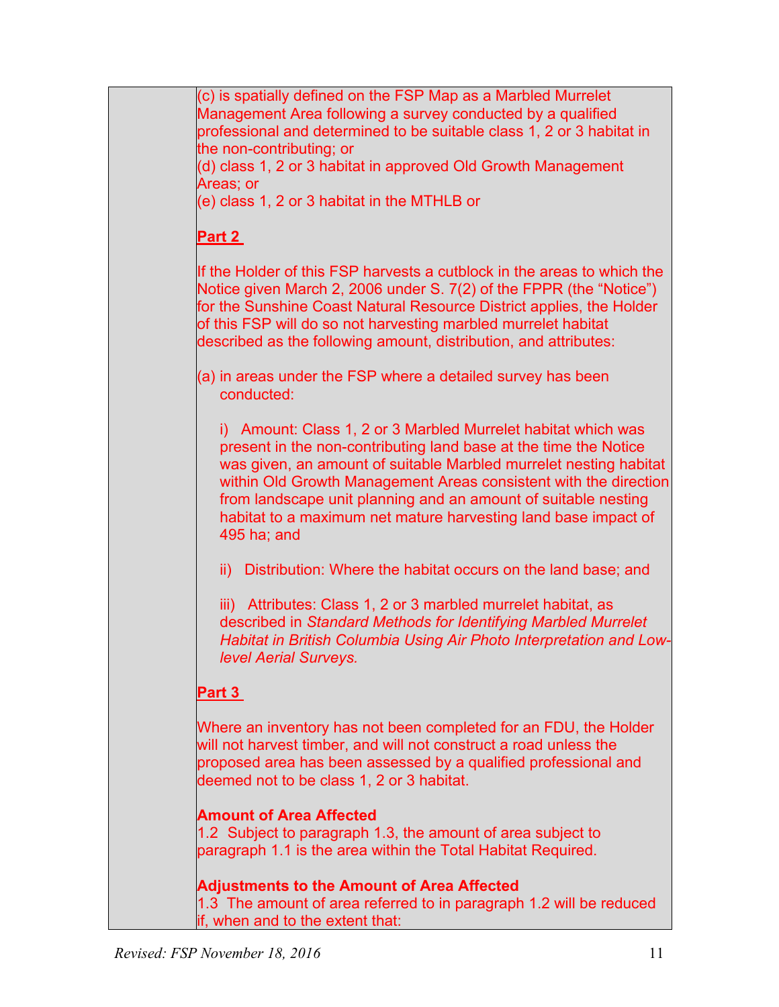(c) is spatially defined on the FSP Map as a Marbled Murrelet Management Area following a survey conducted by a qualified professional and determined to be suitable class 1, 2 or 3 habitat in the non-contributing; or (d) class 1, 2 or 3 habitat in approved Old Growth Management Areas; or (e) class 1, 2 or 3 habitat in the MTHLB or **Part 2**  If the Holder of this FSP harvests a cutblock in the areas to which the Notice given March 2, 2006 under S. 7(2) of the FPPR (the "Notice") for the Sunshine Coast Natural Resource District applies, the Holder of this FSP will do so not harvesting marbled murrelet habitat described as the following amount, distribution, and attributes: (a) in areas under the FSP where a detailed survey has been conducted: i) Amount: Class 1, 2 or 3 Marbled Murrelet habitat which was present in the non-contributing land base at the time the Notice was given, an amount of suitable Marbled murrelet nesting habitat within Old Growth Management Areas consistent with the direction from landscape unit planning and an amount of suitable nesting habitat to a maximum net mature harvesting land base impact of 495 ha; and ii) Distribution: Where the habitat occurs on the land base; and iii) Attributes: Class 1, 2 or 3 marbled murrelet habitat, as described in *Standard Methods for Identifying Marbled Murrelet Habitat in British Columbia Using Air Photo Interpretation and Lowlevel Aerial Surveys.* **Part 3**  Where an inventory has not been completed for an FDU, the Holder will not harvest timber, and will not construct a road unless the proposed area has been assessed by a qualified professional and deemed not to be class 1, 2 or 3 habitat. **Amount of Area Affected** 1.2 Subject to paragraph 1.3, the amount of area subject to paragraph 1.1 is the area within the Total Habitat Required. **Adjustments to the Amount of Area Affected** 1.3 The amount of area referred to in paragraph 1.2 will be reduced if, when and to the extent that: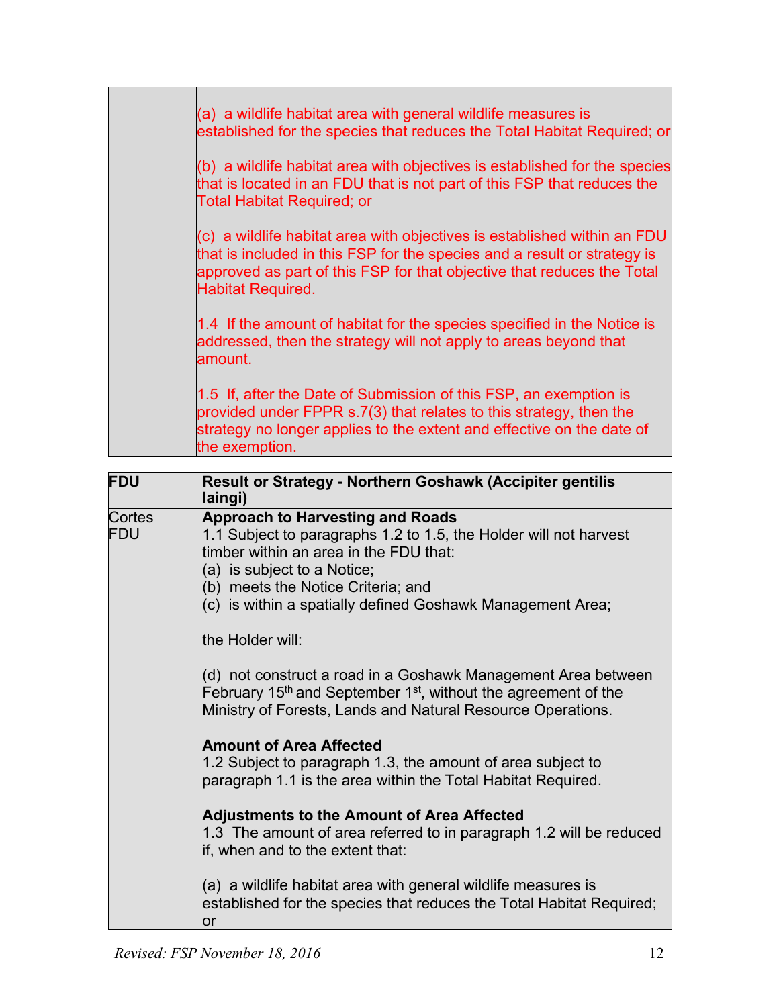| (a) a wildlife habitat area with general wildlife measures is<br>established for the species that reduces the Total Habitat Required; or                                                                                                                   |
|------------------------------------------------------------------------------------------------------------------------------------------------------------------------------------------------------------------------------------------------------------|
| (b) a wildlife habitat area with objectives is established for the species<br>that is located in an FDU that is not part of this FSP that reduces the<br><b>Total Habitat Required; or</b>                                                                 |
| (c) a wildlife habitat area with objectives is established within an FDU<br>that is included in this FSP for the species and a result or strategy is<br>approved as part of this FSP for that objective that reduces the Total<br><b>Habitat Required.</b> |
| 1.4 If the amount of habitat for the species specified in the Notice is<br>addressed, then the strategy will not apply to areas beyond that<br>amount.                                                                                                     |
| 1.5 If, after the Date of Submission of this FSP, an exemption is<br>provided under FPPR s.7(3) that relates to this strategy, then the<br>strategy no longer applies to the extent and effective on the date of<br>the exemption.                         |

| <b>FDU</b>           | Result or Strategy - Northern Goshawk (Accipiter gentilis<br>laingi)                                                                                                                                                                                                                                          |
|----------------------|---------------------------------------------------------------------------------------------------------------------------------------------------------------------------------------------------------------------------------------------------------------------------------------------------------------|
| Cortes<br><b>FDU</b> | <b>Approach to Harvesting and Roads</b><br>1.1 Subject to paragraphs 1.2 to 1.5, the Holder will not harvest<br>timber within an area in the FDU that:<br>(a) is subject to a Notice;<br>(b) meets the Notice Criteria; and<br>(c) is within a spatially defined Goshawk Management Area;<br>the Holder will: |
|                      | (d) not construct a road in a Goshawk Management Area between<br>February 15 <sup>th</sup> and September 1 <sup>st</sup> , without the agreement of the<br>Ministry of Forests, Lands and Natural Resource Operations.                                                                                        |
|                      | <b>Amount of Area Affected</b><br>1.2 Subject to paragraph 1.3, the amount of area subject to<br>paragraph 1.1 is the area within the Total Habitat Required.                                                                                                                                                 |
|                      | <b>Adjustments to the Amount of Area Affected</b><br>1.3 The amount of area referred to in paragraph 1.2 will be reduced<br>if, when and to the extent that:                                                                                                                                                  |
|                      | (a) a wildlife habitat area with general wildlife measures is<br>established for the species that reduces the Total Habitat Required;<br>or                                                                                                                                                                   |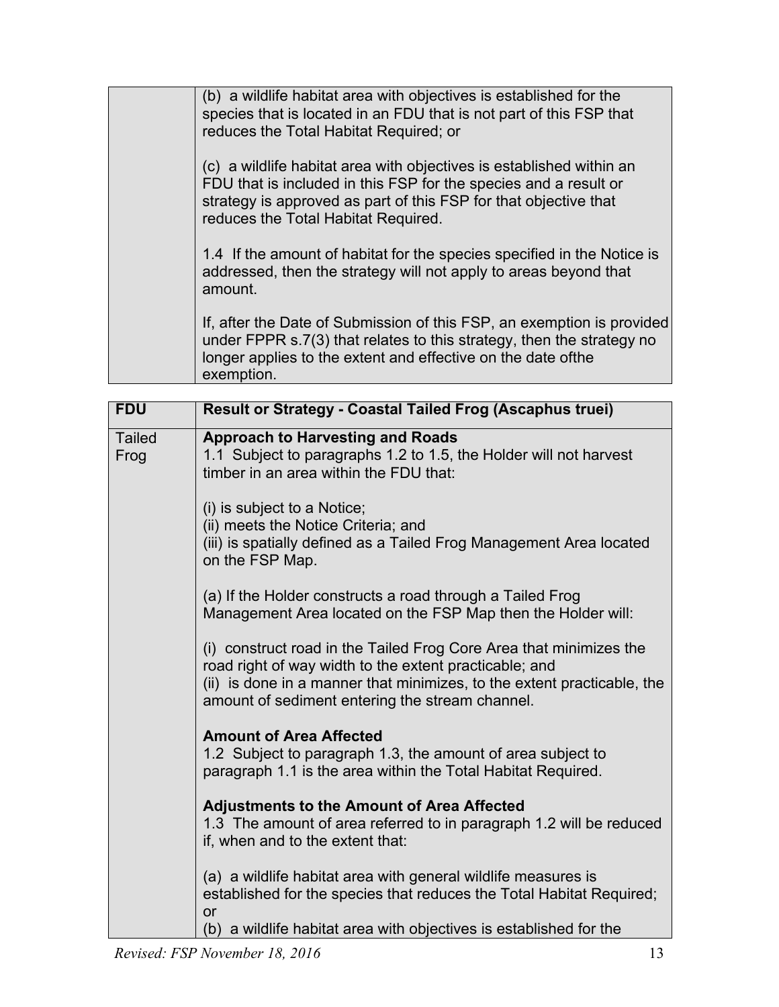| (b) a wildlife habitat area with objectives is established for the<br>species that is located in an FDU that is not part of this FSP that<br>reduces the Total Habitat Required; or                                                                 |
|-----------------------------------------------------------------------------------------------------------------------------------------------------------------------------------------------------------------------------------------------------|
| (c) a wildlife habitat area with objectives is established within an<br>FDU that is included in this FSP for the species and a result or<br>strategy is approved as part of this FSP for that objective that<br>reduces the Total Habitat Required. |
| 1.4 If the amount of habitat for the species specified in the Notice is<br>addressed, then the strategy will not apply to areas beyond that<br>amount.                                                                                              |
| If, after the Date of Submission of this FSP, an exemption is provided<br>under FPPR s.7(3) that relates to this strategy, then the strategy no<br>longer applies to the extent and effective on the date ofthe<br>exemption.                       |

| <b>FDU</b>            | <b>Result or Strategy - Coastal Tailed Frog (Ascaphus truei)</b>                                                                                                                                                                                           |
|-----------------------|------------------------------------------------------------------------------------------------------------------------------------------------------------------------------------------------------------------------------------------------------------|
| <b>Tailed</b><br>Frog | <b>Approach to Harvesting and Roads</b><br>1.1 Subject to paragraphs 1.2 to 1.5, the Holder will not harvest<br>timber in an area within the FDU that:                                                                                                     |
|                       | (i) is subject to a Notice;<br>(ii) meets the Notice Criteria; and<br>(iii) is spatially defined as a Tailed Frog Management Area located<br>on the FSP Map.                                                                                               |
|                       | (a) If the Holder constructs a road through a Tailed Frog<br>Management Area located on the FSP Map then the Holder will:                                                                                                                                  |
|                       | (i) construct road in the Tailed Frog Core Area that minimizes the<br>road right of way width to the extent practicable; and<br>(ii) is done in a manner that minimizes, to the extent practicable, the<br>amount of sediment entering the stream channel. |
|                       | <b>Amount of Area Affected</b><br>1.2 Subject to paragraph 1.3, the amount of area subject to<br>paragraph 1.1 is the area within the Total Habitat Required.                                                                                              |
|                       | <b>Adjustments to the Amount of Area Affected</b><br>1.3 The amount of area referred to in paragraph 1.2 will be reduced<br>if, when and to the extent that:                                                                                               |
|                       | (a) a wildlife habitat area with general wildlife measures is<br>established for the species that reduces the Total Habitat Required;<br>or<br>(b) a wildlife habitat area with objectives is established for the                                          |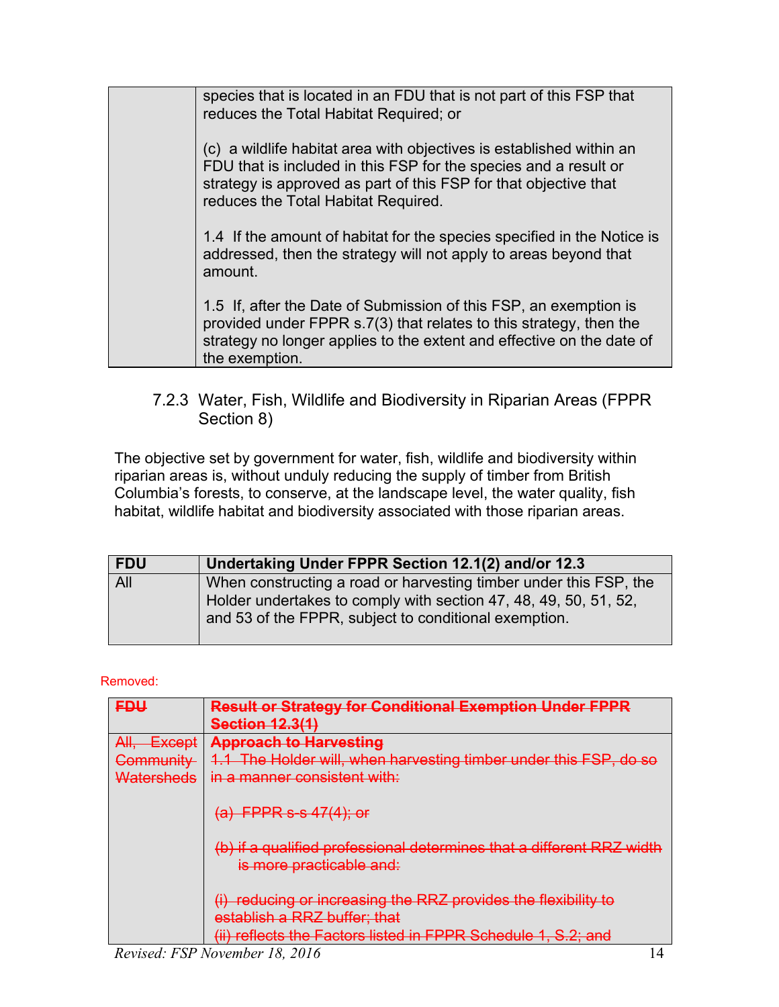species that is located in an FDU that is not part of this FSP that reduces the Total Habitat Required; or (c) a wildlife habitat area with objectives is established within an FDU that is included in this FSP for the species and a result or strategy is approved as part of this FSP for that objective that reduces the Total Habitat Required. 1.4 If the amount of habitat for the species specified in the Notice is addressed, then the strategy will not apply to areas beyond that amount. 1.5 If, after the Date of Submission of this FSP, an exemption is provided under FPPR s.7(3) that relates to this strategy, then the strategy no longer applies to the extent and effective on the date of the exemption.

#### <span id="page-13-0"></span>7.2.3 Water, Fish, Wildlife and Biodiversity in Riparian Areas (FPPR Section 8)

The objective set by government for water, fish, wildlife and biodiversity within riparian areas is, without unduly reducing the supply of timber from British Columbia's forests, to conserve, at the landscape level, the water quality, fish habitat, wildlife habitat and biodiversity associated with those riparian areas.

| <b>FDU</b> | Undertaking Under FPPR Section 12.1(2) and/or 12.3                                                                                                                                             |
|------------|------------------------------------------------------------------------------------------------------------------------------------------------------------------------------------------------|
| All        | When constructing a road or harvesting timber under this FSP, the<br>Holder undertakes to comply with section 47, 48, 49, 50, 51, 52,<br>and 53 of the FPPR, subject to conditional exemption. |

#### Removed:

| <b>FDU</b>                                    | <b>Result or Strategy for Conditional Exemption Under FPPR</b><br><b>Section 12.3(1)</b>          |
|-----------------------------------------------|---------------------------------------------------------------------------------------------------|
| ΔII<br><del>- Except</del><br><del>Att.</del> | <b>Approach to Harvesting</b>                                                                     |
| Community                                     | 1.1 The Holder will, when harvesting timber under this FSP, do so                                 |
| Watersheds                                    | in a manner consistent with:<br>$(a)$ FPPR s-s $47(4)$ ; or                                       |
|                                               | (b) if a qualified professional determines that a different RRZ width<br>is more practicable and: |
|                                               | (i) reducing or increasing the RRZ provides the flexibility to                                    |
|                                               | establish a RRZ buffer; that                                                                      |
| ___                                           | (ii) reflects the Factors listed in FPPR Schedule 1, S.2; and<br>.                                |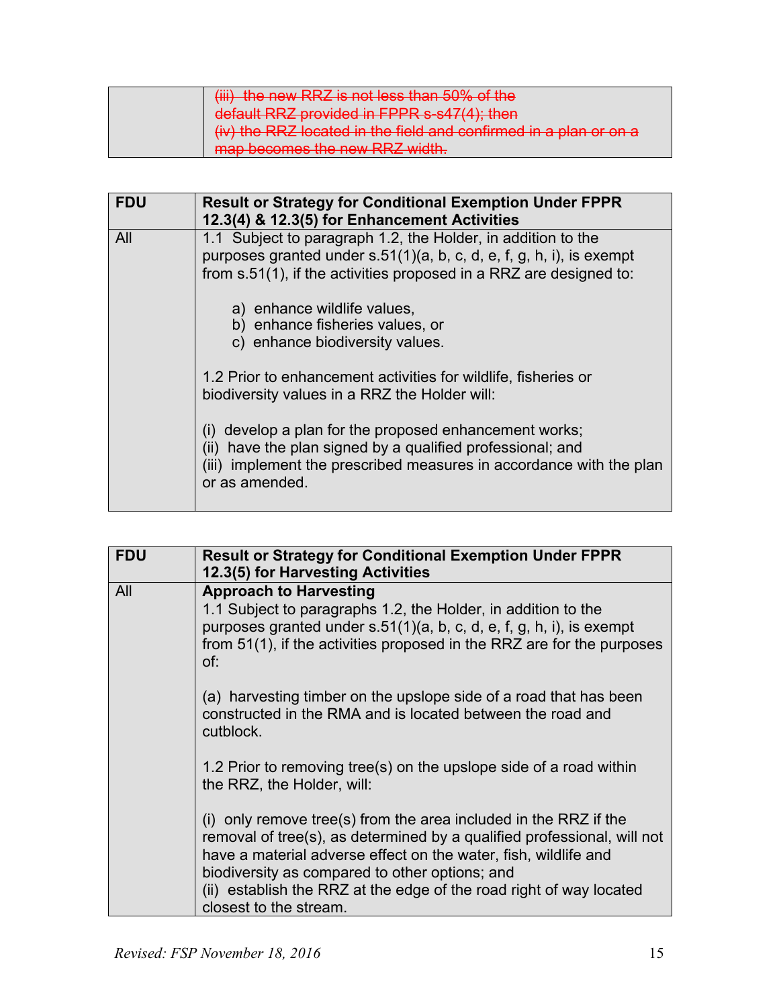| (iii) the new RRZ is not less than 50% of the                     |
|-------------------------------------------------------------------|
| default RRZ provided in FPPR s-s47(4); then                       |
| (iv) the RRZ located in the field and confirmed in a plan or on a |
| map becomes the new RRZ width.                                    |

| <b>FDU</b> | <b>Result or Strategy for Conditional Exemption Under FPPR</b><br>12.3(4) & 12.3(5) for Enhancement Activities                                                                                                   |
|------------|------------------------------------------------------------------------------------------------------------------------------------------------------------------------------------------------------------------|
| All        | 1.1 Subject to paragraph 1.2, the Holder, in addition to the<br>purposes granted under $s.51(1)(a, b, c, d, e, f, g, h, i)$ , is exempt<br>from s.51(1), if the activities proposed in a RRZ are designed to:    |
|            | a) enhance wildlife values,<br>b) enhance fisheries values, or<br>c) enhance biodiversity values.                                                                                                                |
|            | 1.2 Prior to enhancement activities for wildlife, fisheries or<br>biodiversity values in a RRZ the Holder will:                                                                                                  |
|            | (i) develop a plan for the proposed enhancement works;<br>have the plan signed by a qualified professional; and<br>(II)<br>(iii) implement the prescribed measures in accordance with the plan<br>or as amended. |

| <b>FDU</b> | <b>Result or Strategy for Conditional Exemption Under FPPR</b><br>12.3(5) for Harvesting Activities                                                                                                                                                                                                                                                               |
|------------|-------------------------------------------------------------------------------------------------------------------------------------------------------------------------------------------------------------------------------------------------------------------------------------------------------------------------------------------------------------------|
| All        | <b>Approach to Harvesting</b><br>1.1 Subject to paragraphs 1.2, the Holder, in addition to the<br>purposes granted under s.51(1)(a, b, c, d, e, f, g, h, i), is exempt<br>from 51(1), if the activities proposed in the RRZ are for the purposes<br>of:                                                                                                           |
|            | (a) harvesting timber on the upslope side of a road that has been<br>constructed in the RMA and is located between the road and<br>cutblock.                                                                                                                                                                                                                      |
|            | 1.2 Prior to removing tree(s) on the upslope side of a road within<br>the RRZ, the Holder, will:                                                                                                                                                                                                                                                                  |
|            | (i) only remove tree(s) from the area included in the RRZ if the<br>removal of tree(s), as determined by a qualified professional, will not<br>have a material adverse effect on the water, fish, wildlife and<br>biodiversity as compared to other options; and<br>(ii) establish the RRZ at the edge of the road right of way located<br>closest to the stream. |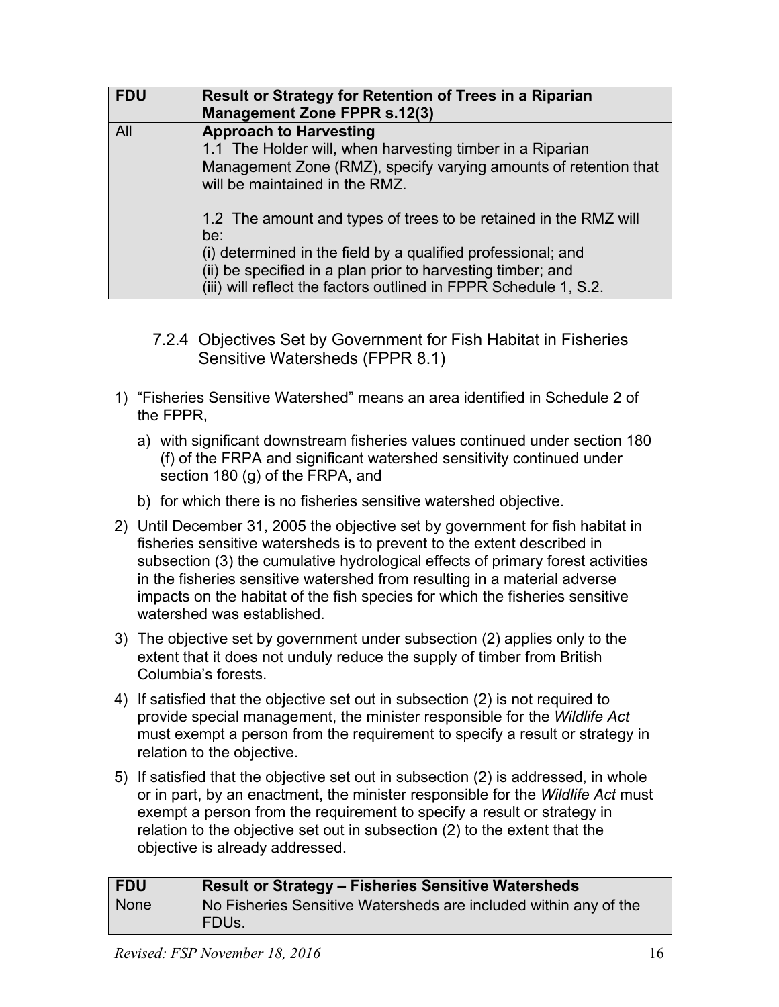| <b>FDU</b> | Result or Strategy for Retention of Trees in a Riparian<br><b>Management Zone FPPR s.12(3)</b>                                                                                                                                                                             |
|------------|----------------------------------------------------------------------------------------------------------------------------------------------------------------------------------------------------------------------------------------------------------------------------|
| All        | <b>Approach to Harvesting</b><br>1.1 The Holder will, when harvesting timber in a Riparian<br>Management Zone (RMZ), specify varying amounts of retention that<br>will be maintained in the RMZ.                                                                           |
|            | 1.2 The amount and types of trees to be retained in the RMZ will<br>be:<br>(i) determined in the field by a qualified professional; and<br>(ii) be specified in a plan prior to harvesting timber; and<br>(iii) will reflect the factors outlined in FPPR Schedule 1, S.2. |

- <span id="page-15-0"></span>7.2.4 Objectives Set by Government for Fish Habitat in Fisheries Sensitive Watersheds (FPPR 8.1)
- 1) "Fisheries Sensitive Watershed" means an area identified in Schedule 2 of the FPPR,
	- a) with significant downstream fisheries values continued under section 180 (f) of the FRPA and significant watershed sensitivity continued under section 180 (g) of the FRPA, and
	- b) for which there is no fisheries sensitive watershed objective.
- 2) Until December 31, 2005 the objective set by government for fish habitat in fisheries sensitive watersheds is to prevent to the extent described in subsection (3) the cumulative hydrological effects of primary forest activities in the fisheries sensitive watershed from resulting in a material adverse impacts on the habitat of the fish species for which the fisheries sensitive watershed was established.
- 3) The objective set by government under subsection (2) applies only to the extent that it does not unduly reduce the supply of timber from British Columbia's forests.
- 4) If satisfied that the objective set out in subsection (2) is not required to provide special management, the minister responsible for the *Wildlife Act* must exempt a person from the requirement to specify a result or strategy in relation to the objective.
- 5) If satisfied that the objective set out in subsection (2) is addressed, in whole or in part, by an enactment, the minister responsible for the *Wildlife Act* must exempt a person from the requirement to specify a result or strategy in relation to the objective set out in subsection (2) to the extent that the objective is already addressed.

| <b>FDU</b>  | <b>Result or Strategy - Fisheries Sensitive Watersheds</b>                       |
|-------------|----------------------------------------------------------------------------------|
| <b>None</b> | No Fisheries Sensitive Watersheds are included within any of the<br><b>FDUs.</b> |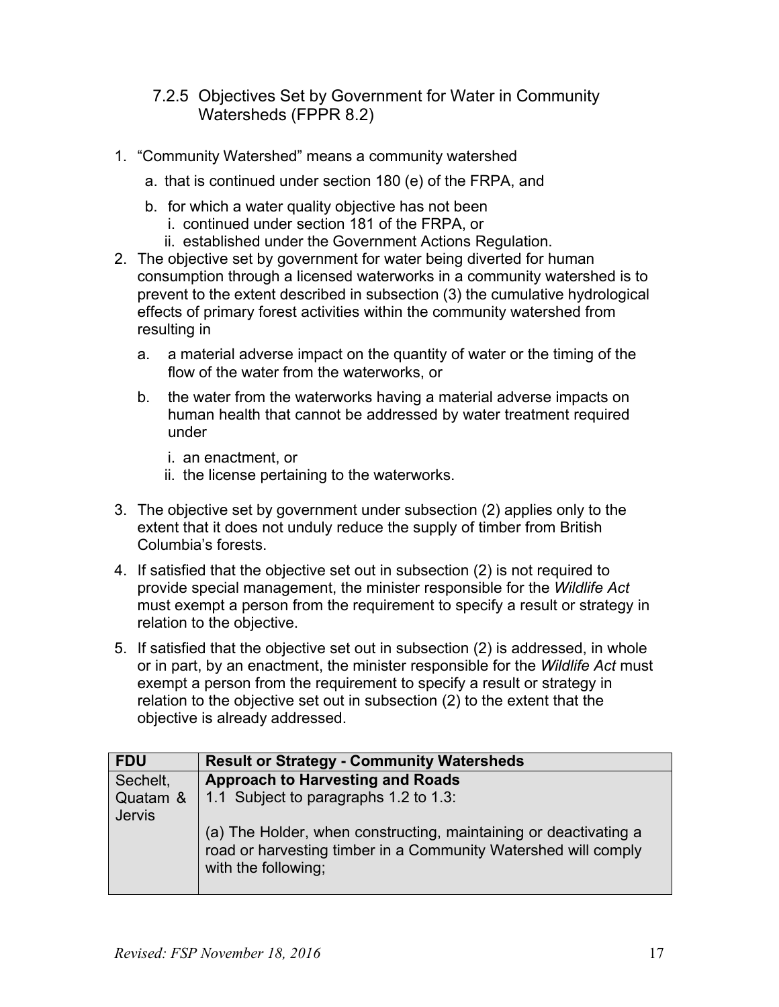#### <span id="page-16-0"></span>7.2.5 Objectives Set by Government for Water in Community Watersheds (FPPR 8.2)

- 1. "Community Watershed" means a community watershed
	- a. that is continued under section 180 (e) of the FRPA, and
	- b. for which a water quality objective has not been i. continued under section 181 of the FRPA, or
		- ii. established under the Government Actions Regulation.
- 2. The objective set by government for water being diverted for human consumption through a licensed waterworks in a community watershed is to prevent to the extent described in subsection (3) the cumulative hydrological effects of primary forest activities within the community watershed from resulting in
	- a. a material adverse impact on the quantity of water or the timing of the flow of the water from the waterworks, or
	- b. the water from the waterworks having a material adverse impacts on human health that cannot be addressed by water treatment required under
		- i. an enactment, or
		- ii. the license pertaining to the waterworks.
- 3. The objective set by government under subsection (2) applies only to the extent that it does not unduly reduce the supply of timber from British Columbia's forests.
- 4. If satisfied that the objective set out in subsection (2) is not required to provide special management, the minister responsible for the *Wildlife Act* must exempt a person from the requirement to specify a result or strategy in relation to the objective.
- 5. If satisfied that the objective set out in subsection (2) is addressed, in whole or in part, by an enactment, the minister responsible for the *Wildlife Act* must exempt a person from the requirement to specify a result or strategy in relation to the objective set out in subsection (2) to the extent that the objective is already addressed.

| <b>FDU</b>                | <b>Result or Strategy - Community Watersheds</b>                                                                                                          |
|---------------------------|-----------------------------------------------------------------------------------------------------------------------------------------------------------|
| Sechelt,                  | <b>Approach to Harvesting and Roads</b>                                                                                                                   |
| Quatam &<br><b>Jervis</b> | 1.1 Subject to paragraphs 1.2 to 1.3:                                                                                                                     |
|                           | (a) The Holder, when constructing, maintaining or deactivating a<br>road or harvesting timber in a Community Watershed will comply<br>with the following; |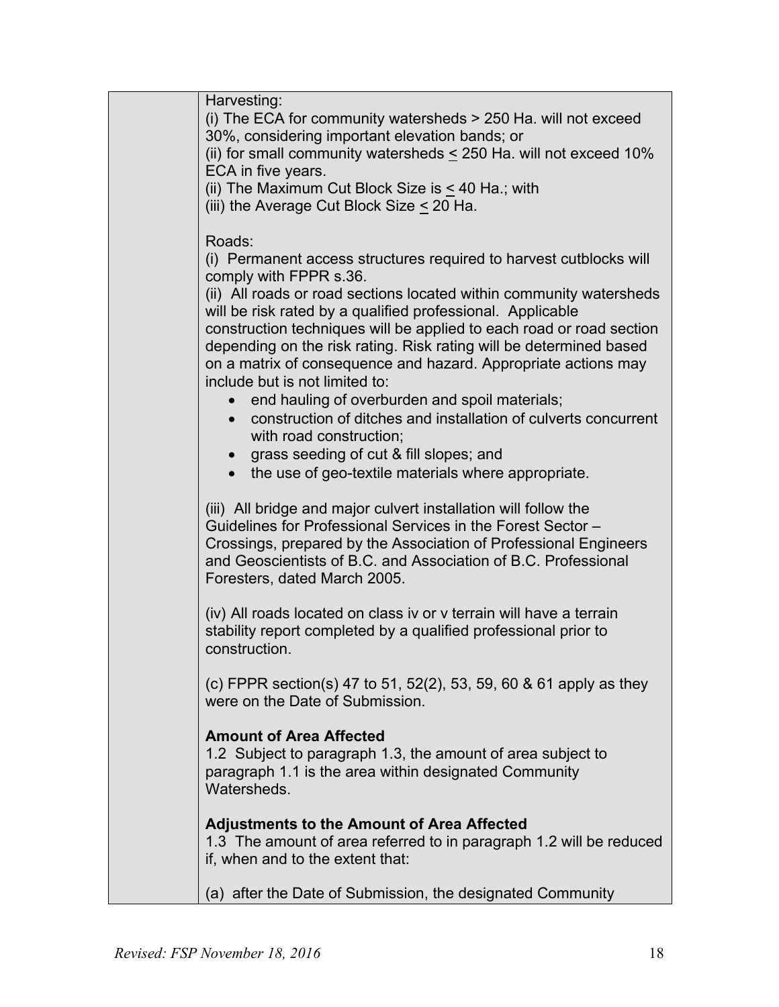Harvesting: (i) The ECA for community watersheds > 250 Ha. will not exceed 30%, considering important elevation bands; or (ii) for small community watersheds  $\leq$  250 Ha. will not exceed 10% ECA in five years. (ii) The Maximum Cut Block Size is  $\leq$  40 Ha.; with (iii) the Average Cut Block Size < 20 Ha. Roads: (i) Permanent access structures required to harvest cutblocks will comply with FPPR s.36. (ii) All roads or road sections located within community watersheds will be risk rated by a qualified professional. Applicable construction techniques will be applied to each road or road section depending on the risk rating. Risk rating will be determined based on a matrix of consequence and hazard. Appropriate actions may include but is not limited to: • end hauling of overburden and spoil materials; • construction of ditches and installation of culverts concurrent with road construction; • grass seeding of cut & fill slopes; and • the use of geo-textile materials where appropriate. (iii) All bridge and major culvert installation will follow the Guidelines for Professional Services in the Forest Sector – Crossings, prepared by the Association of Professional Engineers and Geoscientists of B.C. and Association of B.C. Professional Foresters, dated March 2005. (iv) All roads located on class iv or v terrain will have a terrain stability report completed by a qualified professional prior to construction. (c) FPPR section(s) 47 to 51, 52(2), 53, 59, 60 & 61 apply as they were on the Date of Submission. **Amount of Area Affected** 1.2 Subject to paragraph 1.3, the amount of area subject to paragraph 1.1 is the area within designated Community Watersheds. **Adjustments to the Amount of Area Affected** 1.3 The amount of area referred to in paragraph 1.2 will be reduced if, when and to the extent that: (a) after the Date of Submission, the designated Community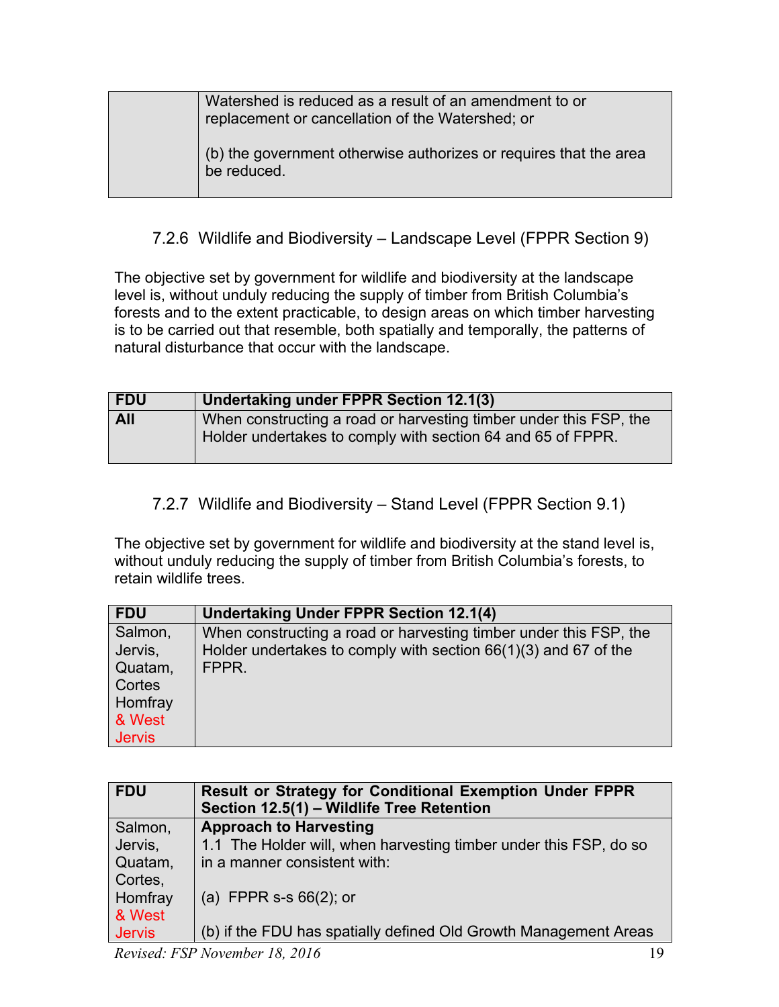| Watershed is reduced as a result of an amendment to or<br>replacement or cancellation of the Watershed; or |
|------------------------------------------------------------------------------------------------------------|
| (b) the government otherwise authorizes or requires that the area<br>be reduced.                           |

## <span id="page-18-0"></span>7.2.6 Wildlife and Biodiversity – Landscape Level (FPPR Section 9)

The objective set by government for wildlife and biodiversity at the landscape level is, without unduly reducing the supply of timber from British Columbia's forests and to the extent practicable, to design areas on which timber harvesting is to be carried out that resemble, both spatially and temporally, the patterns of natural disturbance that occur with the landscape.

| <b>FDU</b> | Undertaking under FPPR Section 12.1(3)                                                                                           |
|------------|----------------------------------------------------------------------------------------------------------------------------------|
| <b>All</b> | When constructing a road or harvesting timber under this FSP, the<br>Holder undertakes to comply with section 64 and 65 of FPPR. |

<span id="page-18-1"></span>7.2.7 Wildlife and Biodiversity – Stand Level (FPPR Section 9.1)

The objective set by government for wildlife and biodiversity at the stand level is, without unduly reducing the supply of timber from British Columbia's forests, to retain wildlife trees.

| <b>FDU</b>    | <b>Undertaking Under FPPR Section 12.1(4)</b>                     |
|---------------|-------------------------------------------------------------------|
| Salmon,       | When constructing a road or harvesting timber under this FSP, the |
| Jervis,       | Holder undertakes to comply with section $66(1)(3)$ and 67 of the |
| Quatam,       | FPPR.                                                             |
| Cortes        |                                                                   |
| Homfray       |                                                                   |
| & West        |                                                                   |
| <b>Jervis</b> |                                                                   |

| <b>FDU</b>    | <b>Result or Strategy for Conditional Exemption Under FPPR</b><br>Section 12.5(1) - Wildlife Tree Retention |
|---------------|-------------------------------------------------------------------------------------------------------------|
| Salmon,       | <b>Approach to Harvesting</b>                                                                               |
| Jervis,       | 1.1 The Holder will, when harvesting timber under this FSP, do so                                           |
| Quatam,       | in a manner consistent with:                                                                                |
| Cortes,       |                                                                                                             |
| Homfray       | (a) FPPR s-s $66(2)$ ; or                                                                                   |
| & West        |                                                                                                             |
| <b>Jervis</b> | (b) if the FDU has spatially defined Old Growth Management Areas                                            |
|               |                                                                                                             |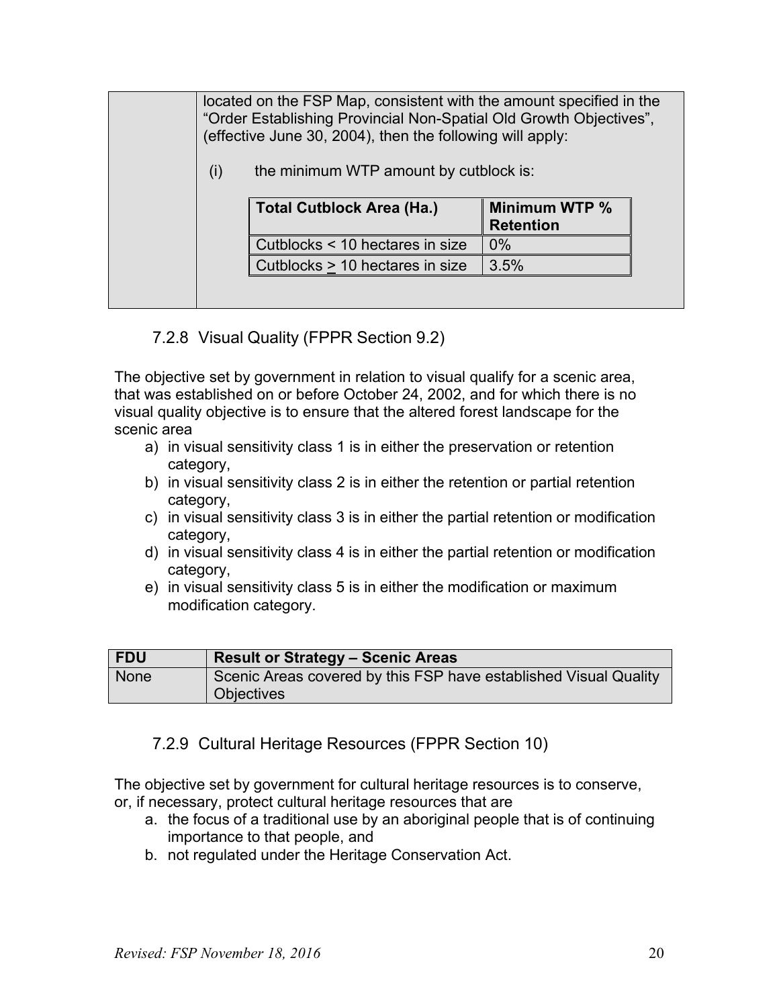located on the FSP Map, consistent with the amount specified in the "Order Establishing Provincial Non-Spatial Old Growth Objectives", (effective June 30, 2004), then the following will apply:

 $(i)$  the minimum WTP amount by cutblock is:

| Total Cutblock Area (Ha.)       | Minimum WTP %<br><b>Retention</b> |
|---------------------------------|-----------------------------------|
| Cutblocks < 10 hectares in size | $0\%$                             |
| Cutblocks > 10 hectares in size | 3.5%                              |

## 7.2.8 Visual Quality (FPPR Section 9.2)

<span id="page-19-0"></span>The objective set by government in relation to visual qualify for a scenic area, that was established on or before October 24, 2002, and for which there is no visual quality objective is to ensure that the altered forest landscape for the scenic area

- a) in visual sensitivity class 1 is in either the preservation or retention category,
- b) in visual sensitivity class 2 is in either the retention or partial retention category,
- c) in visual sensitivity class 3 is in either the partial retention or modification category,
- d) in visual sensitivity class 4 is in either the partial retention or modification category,
- e) in visual sensitivity class 5 is in either the modification or maximum modification category.

| FDU  | <b>Result or Strategy - Scenic Areas</b>                         |
|------|------------------------------------------------------------------|
| None | Scenic Areas covered by this FSP have established Visual Quality |
|      | <b>Objectives</b>                                                |

## <span id="page-19-1"></span>7.2.9 Cultural Heritage Resources (FPPR Section 10)

The objective set by government for cultural heritage resources is to conserve,

- or, if necessary, protect cultural heritage resources that are
	- a. the focus of a traditional use by an aboriginal people that is of continuing importance to that people, and
	- b. not regulated under the Heritage Conservation Act.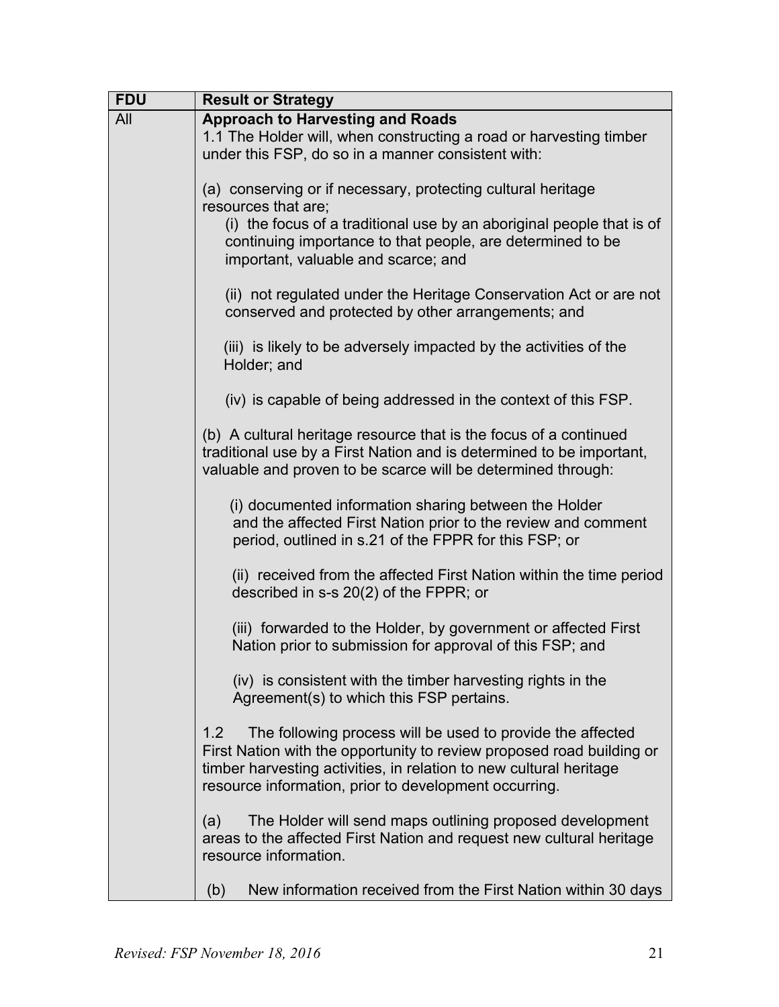| <b>FDU</b> | <b>Result or Strategy</b>                                                                                                                                                                                                                                                 |  |  |  |  |  |  |  |  |  |
|------------|---------------------------------------------------------------------------------------------------------------------------------------------------------------------------------------------------------------------------------------------------------------------------|--|--|--|--|--|--|--|--|--|
| All        | <b>Approach to Harvesting and Roads</b><br>1.1 The Holder will, when constructing a road or harvesting timber<br>under this FSP, do so in a manner consistent with:                                                                                                       |  |  |  |  |  |  |  |  |  |
|            | (a) conserving or if necessary, protecting cultural heritage<br>resources that are;                                                                                                                                                                                       |  |  |  |  |  |  |  |  |  |
|            | (i) the focus of a traditional use by an aboriginal people that is of<br>continuing importance to that people, are determined to be<br>important, valuable and scarce; and                                                                                                |  |  |  |  |  |  |  |  |  |
|            | (ii) not regulated under the Heritage Conservation Act or are not<br>conserved and protected by other arrangements; and                                                                                                                                                   |  |  |  |  |  |  |  |  |  |
|            | (iii) is likely to be adversely impacted by the activities of the<br>Holder; and                                                                                                                                                                                          |  |  |  |  |  |  |  |  |  |
|            | (iv) is capable of being addressed in the context of this FSP.                                                                                                                                                                                                            |  |  |  |  |  |  |  |  |  |
|            | (b) A cultural heritage resource that is the focus of a continued<br>traditional use by a First Nation and is determined to be important,<br>valuable and proven to be scarce will be determined through:                                                                 |  |  |  |  |  |  |  |  |  |
|            | (i) documented information sharing between the Holder<br>and the affected First Nation prior to the review and comment<br>period, outlined in s.21 of the FPPR for this FSP; or                                                                                           |  |  |  |  |  |  |  |  |  |
|            | (ii) received from the affected First Nation within the time period<br>described in $s-s$ 20(2) of the FPPR; or                                                                                                                                                           |  |  |  |  |  |  |  |  |  |
|            | (iii) forwarded to the Holder, by government or affected First<br>Nation prior to submission for approval of this FSP; and                                                                                                                                                |  |  |  |  |  |  |  |  |  |
|            | (iv) is consistent with the timber harvesting rights in the<br>Agreement(s) to which this FSP pertains.                                                                                                                                                                   |  |  |  |  |  |  |  |  |  |
|            | The following process will be used to provide the affected<br>1.2<br>First Nation with the opportunity to review proposed road building or<br>timber harvesting activities, in relation to new cultural heritage<br>resource information, prior to development occurring. |  |  |  |  |  |  |  |  |  |
|            | The Holder will send maps outlining proposed development<br>(a)<br>areas to the affected First Nation and request new cultural heritage<br>resource information.                                                                                                          |  |  |  |  |  |  |  |  |  |
|            | New information received from the First Nation within 30 days<br>(b)                                                                                                                                                                                                      |  |  |  |  |  |  |  |  |  |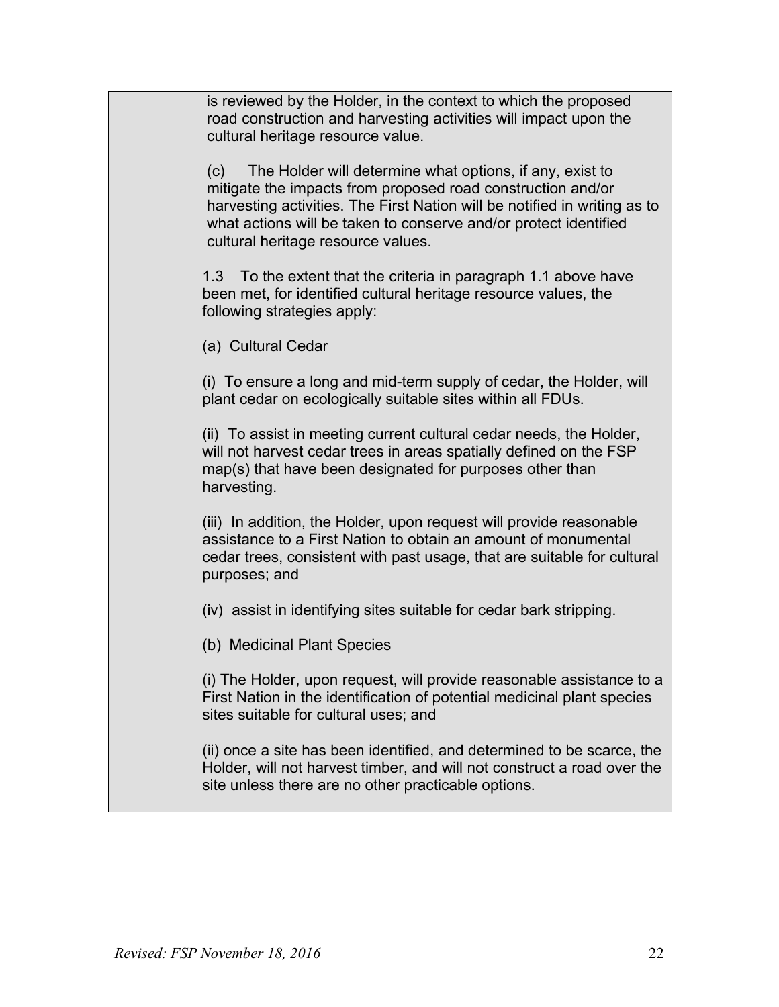| is reviewed by the Holder, in the context to which the proposed<br>road construction and harvesting activities will impact upon the<br>cultural heritage resource value.                                                                                                                                              |
|-----------------------------------------------------------------------------------------------------------------------------------------------------------------------------------------------------------------------------------------------------------------------------------------------------------------------|
| The Holder will determine what options, if any, exist to<br>(c)<br>mitigate the impacts from proposed road construction and/or<br>harvesting activities. The First Nation will be notified in writing as to<br>what actions will be taken to conserve and/or protect identified<br>cultural heritage resource values. |
| To the extent that the criteria in paragraph 1.1 above have<br>1.3<br>been met, for identified cultural heritage resource values, the<br>following strategies apply:                                                                                                                                                  |
| (a) Cultural Cedar                                                                                                                                                                                                                                                                                                    |
| (i) To ensure a long and mid-term supply of cedar, the Holder, will<br>plant cedar on ecologically suitable sites within all FDUs.                                                                                                                                                                                    |
| (ii) To assist in meeting current cultural cedar needs, the Holder,<br>will not harvest cedar trees in areas spatially defined on the FSP<br>map(s) that have been designated for purposes other than<br>harvesting.                                                                                                  |
| (iii) In addition, the Holder, upon request will provide reasonable<br>assistance to a First Nation to obtain an amount of monumental<br>cedar trees, consistent with past usage, that are suitable for cultural<br>purposes; and                                                                                     |
| (iv) assist in identifying sites suitable for cedar bark stripping.                                                                                                                                                                                                                                                   |
| (b) Medicinal Plant Species                                                                                                                                                                                                                                                                                           |
| (i) The Holder, upon request, will provide reasonable assistance to a<br>First Nation in the identification of potential medicinal plant species<br>sites suitable for cultural uses; and                                                                                                                             |
| (ii) once a site has been identified, and determined to be scarce, the<br>Holder, will not harvest timber, and will not construct a road over the<br>site unless there are no other practicable options.                                                                                                              |
|                                                                                                                                                                                                                                                                                                                       |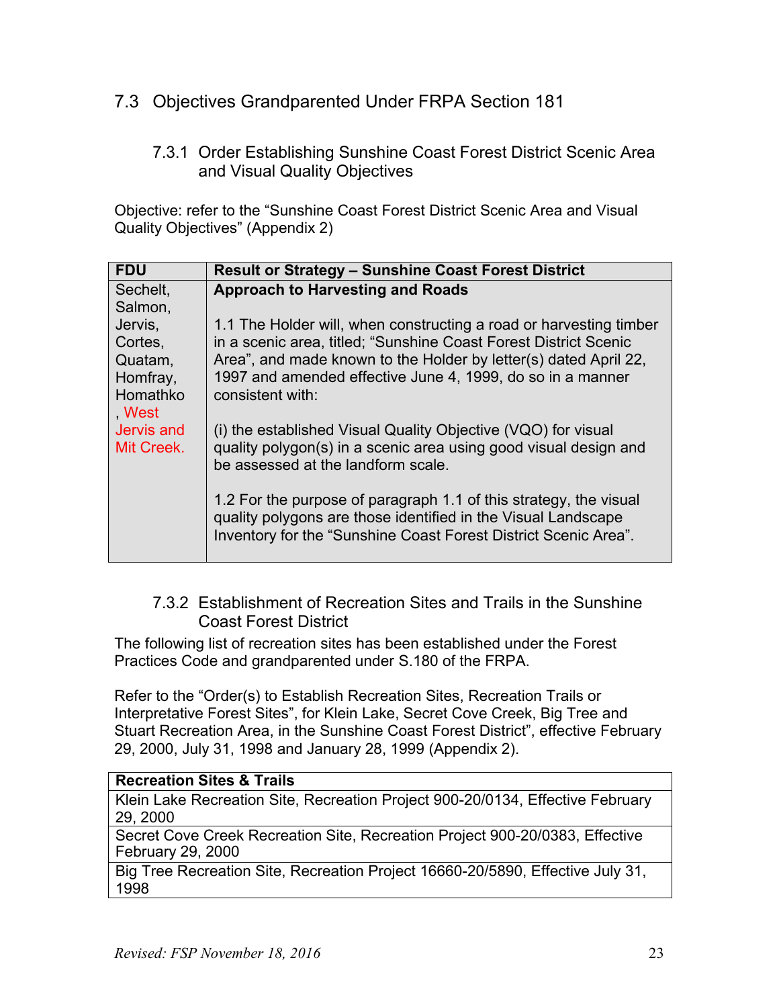## <span id="page-22-1"></span><span id="page-22-0"></span>7.3 Objectives Grandparented Under FRPA Section 181

#### 7.3.1 Order Establishing Sunshine Coast Forest District Scenic Area and Visual Quality Objectives

Objective: refer to the "Sunshine Coast Forest District Scenic Area and Visual Quality Objectives" (Appendix 2)

| <b>FDU</b>  | <b>Result or Strategy - Sunshine Coast Forest District</b>         |
|-------------|--------------------------------------------------------------------|
| Sechelt,    | <b>Approach to Harvesting and Roads</b>                            |
| Salmon,     |                                                                    |
| Jervis,     | 1.1 The Holder will, when constructing a road or harvesting timber |
| Cortes,     | in a scenic area, titled; "Sunshine Coast Forest District Scenic   |
| Quatam,     | Area", and made known to the Holder by letter(s) dated April 22,   |
| Homfray,    | 1997 and amended effective June 4, 1999, do so in a manner         |
| Homathko    | consistent with:                                                   |
| <b>West</b> |                                                                    |
| Jervis and  | (i) the established Visual Quality Objective (VQO) for visual      |
| Mit Creek.  | quality polygon(s) in a scenic area using good visual design and   |
|             | be assessed at the landform scale.                                 |
|             |                                                                    |
|             | 1.2 For the purpose of paragraph 1.1 of this strategy, the visual  |
|             | quality polygons are those identified in the Visual Landscape      |
|             | Inventory for the "Sunshine Coast Forest District Scenic Area".    |
|             |                                                                    |

## <span id="page-22-2"></span>7.3.2 Establishment of Recreation Sites and Trails in the Sunshine Coast Forest District

The following list of recreation sites has been established under the Forest Practices Code and grandparented under S.180 of the FRPA.

Refer to the "Order(s) to Establish Recreation Sites, Recreation Trails or Interpretative Forest Sites", for Klein Lake, Secret Cove Creek, Big Tree and Stuart Recreation Area, in the Sunshine Coast Forest District", effective February 29, 2000, July 31, 1998 and January 28, 1999 (Appendix 2).

#### **Recreation Sites & Trails**

Klein Lake Recreation Site, Recreation Project 900-20/0134, Effective February 29, 2000

Secret Cove Creek Recreation Site, Recreation Project 900-20/0383, Effective February 29, 2000

Big Tree Recreation Site, Recreation Project 16660-20/5890, Effective July 31, 1998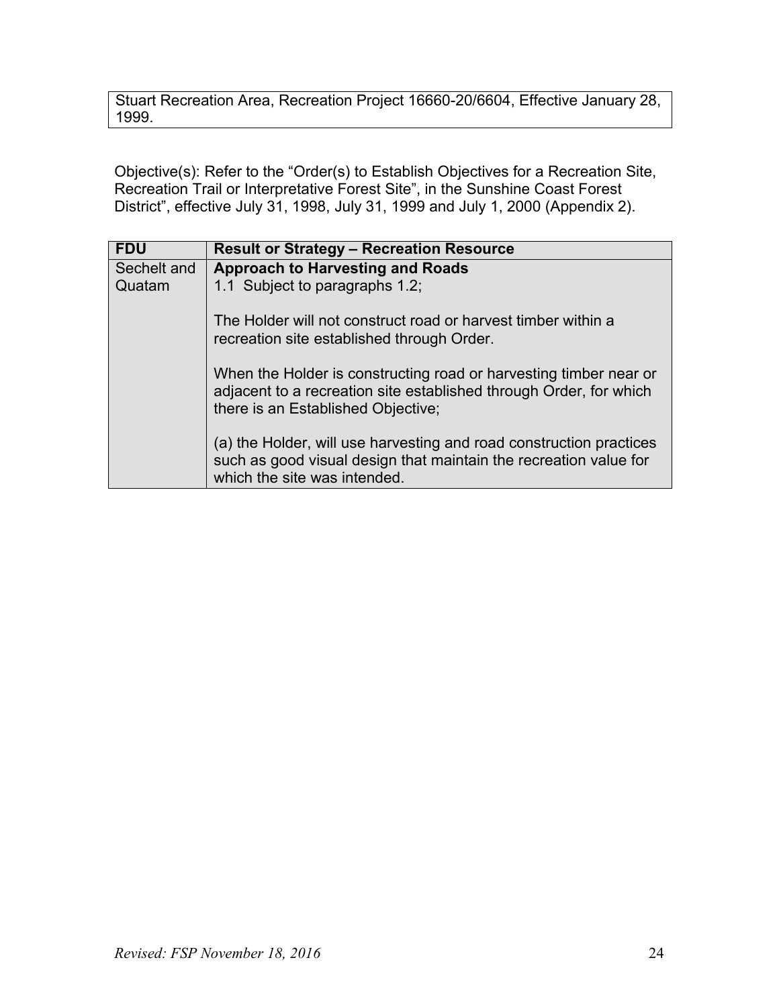Stuart Recreation Area, Recreation Project 16660-20/6604, Effective January 28, 1999.

Objective(s): Refer to the "Order(s) to Establish Objectives for a Recreation Site, Recreation Trail or Interpretative Forest Site", in the Sunshine Coast Forest District", effective July 31, 1998, July 31, 1999 and July 1, 2000 (Appendix 2).

| <b>FDU</b>  | <b>Result or Strategy - Recreation Resource</b>                                                                                                                               |
|-------------|-------------------------------------------------------------------------------------------------------------------------------------------------------------------------------|
| Sechelt and | <b>Approach to Harvesting and Roads</b>                                                                                                                                       |
| Quatam      | 1.1 Subject to paragraphs 1.2;                                                                                                                                                |
|             | The Holder will not construct road or harvest timber within a<br>recreation site established through Order.                                                                   |
|             | When the Holder is constructing road or harvesting timber near or<br>adjacent to a recreation site established through Order, for which<br>there is an Established Objective; |
|             | (a) the Holder, will use harvesting and road construction practices<br>such as good visual design that maintain the recreation value for<br>which the site was intended.      |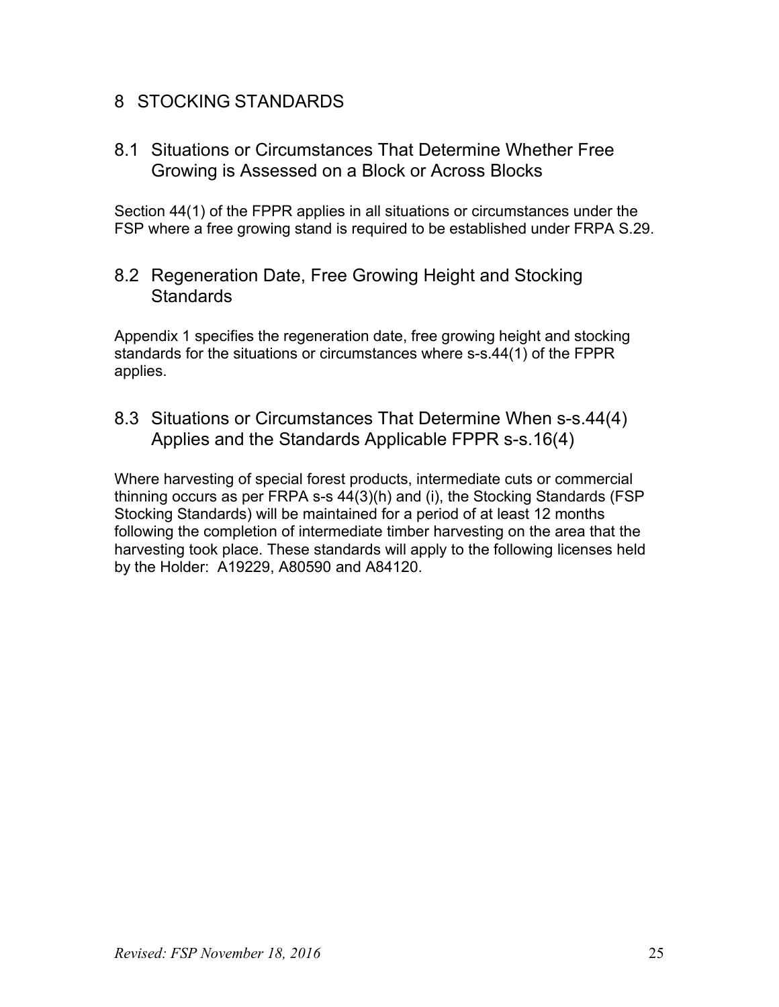## <span id="page-24-0"></span>8 STOCKING STANDARDS

<span id="page-24-1"></span>8.1 Situations or Circumstances That Determine Whether Free Growing is Assessed on a Block or Across Blocks

Section 44(1) of the FPPR applies in all situations or circumstances under the FSP where a free growing stand is required to be established under FRPA S.29.

<span id="page-24-2"></span>8.2 Regeneration Date, Free Growing Height and Stocking **Standards** 

Appendix 1 specifies the regeneration date, free growing height and stocking standards for the situations or circumstances where s-s.44(1) of the FPPR applies.

<span id="page-24-3"></span>8.3 Situations or Circumstances That Determine When s-s.44(4) Applies and the Standards Applicable FPPR s-s.16(4)

Where harvesting of special forest products, intermediate cuts or commercial thinning occurs as per FRPA s-s 44(3)(h) and (i), the Stocking Standards (FSP Stocking Standards) will be maintained for a period of at least 12 months following the completion of intermediate timber harvesting on the area that the harvesting took place. These standards will apply to the following licenses held by the Holder: A19229, A80590 and A84120.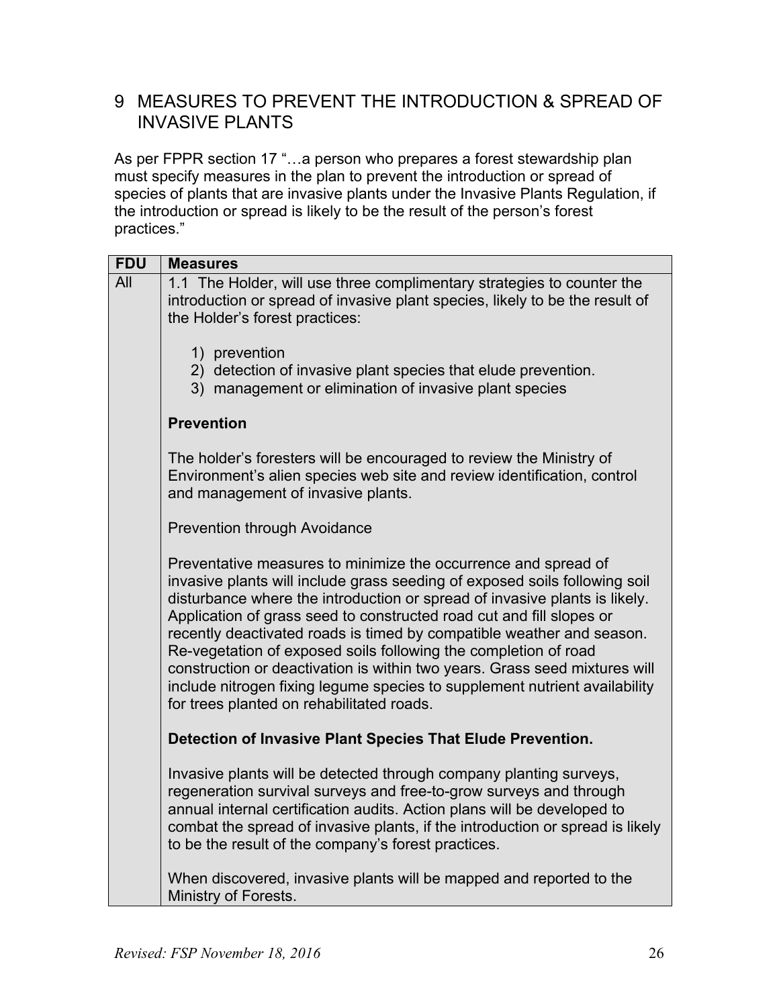# <span id="page-25-0"></span>9 MEASURES TO PREVENT THE INTRODUCTION & SPREAD OF INVASIVE PLANTS

As per FPPR section 17 "...a person who prepares a forest stewardship plan must specify measures in the plan to prevent the introduction or spread of species of plants that are invasive plants under the Invasive Plants Regulation, if the introduction or spread is likely to be the result of the person's forest practices."

| <b>FDU</b> | <b>Measures</b>                                                                                                                                                                                                                                                                                                                                                                                                                                                                                                                                                                                                                                         |
|------------|---------------------------------------------------------------------------------------------------------------------------------------------------------------------------------------------------------------------------------------------------------------------------------------------------------------------------------------------------------------------------------------------------------------------------------------------------------------------------------------------------------------------------------------------------------------------------------------------------------------------------------------------------------|
| All        | 1.1 The Holder, will use three complimentary strategies to counter the<br>introduction or spread of invasive plant species, likely to be the result of<br>the Holder's forest practices:                                                                                                                                                                                                                                                                                                                                                                                                                                                                |
|            | 1) prevention<br>2) detection of invasive plant species that elude prevention.<br>3) management or elimination of invasive plant species                                                                                                                                                                                                                                                                                                                                                                                                                                                                                                                |
|            | <b>Prevention</b>                                                                                                                                                                                                                                                                                                                                                                                                                                                                                                                                                                                                                                       |
|            | The holder's foresters will be encouraged to review the Ministry of<br>Environment's alien species web site and review identification, control<br>and management of invasive plants.                                                                                                                                                                                                                                                                                                                                                                                                                                                                    |
|            | <b>Prevention through Avoidance</b>                                                                                                                                                                                                                                                                                                                                                                                                                                                                                                                                                                                                                     |
|            | Preventative measures to minimize the occurrence and spread of<br>invasive plants will include grass seeding of exposed soils following soil<br>disturbance where the introduction or spread of invasive plants is likely.<br>Application of grass seed to constructed road cut and fill slopes or<br>recently deactivated roads is timed by compatible weather and season.<br>Re-vegetation of exposed soils following the completion of road<br>construction or deactivation is within two years. Grass seed mixtures will<br>include nitrogen fixing legume species to supplement nutrient availability<br>for trees planted on rehabilitated roads. |
|            | Detection of Invasive Plant Species That Elude Prevention.                                                                                                                                                                                                                                                                                                                                                                                                                                                                                                                                                                                              |
|            | Invasive plants will be detected through company planting surveys,<br>regeneration survival surveys and free-to-grow surveys and through<br>annual internal certification audits. Action plans will be developed to<br>combat the spread of invasive plants, if the introduction or spread is likely<br>to be the result of the company's forest practices.                                                                                                                                                                                                                                                                                             |
|            | When discovered, invasive plants will be mapped and reported to the<br>Ministry of Forests.                                                                                                                                                                                                                                                                                                                                                                                                                                                                                                                                                             |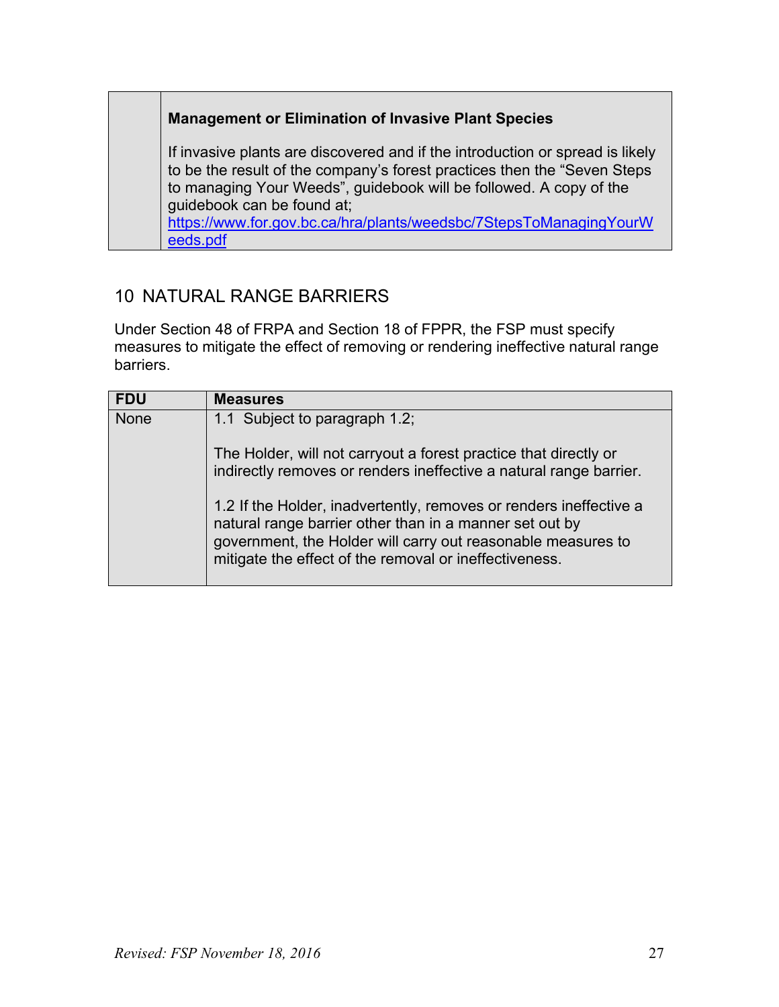#### **Management or Elimination of Invasive Plant Species**

If invasive plants are discovered and if the introduction or spread is likely to be the result of the company's forest practices then the "Seven Steps to managing Your Weeds", guidebook will be followed. A copy of the guidebook can be found at; [https://www.for.gov.bc.ca/hra/plants/weedsbc/7StepsToManagingYourW](https://www.for.gov.bc.ca/hra/plants/weedsbc/7StepsToManagingYourWeeds.pdf)

<span id="page-26-0"></span>10 NATURAL RANGE BARRIERS

[eeds.pdf](https://www.for.gov.bc.ca/hra/plants/weedsbc/7StepsToManagingYourWeeds.pdf)

Under Section 48 of FRPA and Section 18 of FPPR, the FSP must specify measures to mitigate the effect of removing or rendering ineffective natural range barriers.

| <b>FDU</b>  | <b>Measures</b>                                                                                                                                                                                                                                         |
|-------------|---------------------------------------------------------------------------------------------------------------------------------------------------------------------------------------------------------------------------------------------------------|
| <b>None</b> | 1.1 Subject to paragraph 1.2;                                                                                                                                                                                                                           |
|             | The Holder, will not carryout a forest practice that directly or<br>indirectly removes or renders ineffective a natural range barrier.                                                                                                                  |
|             | 1.2 If the Holder, inadvertently, removes or renders ineffective a<br>natural range barrier other than in a manner set out by<br>government, the Holder will carry out reasonable measures to<br>mitigate the effect of the removal or ineffectiveness. |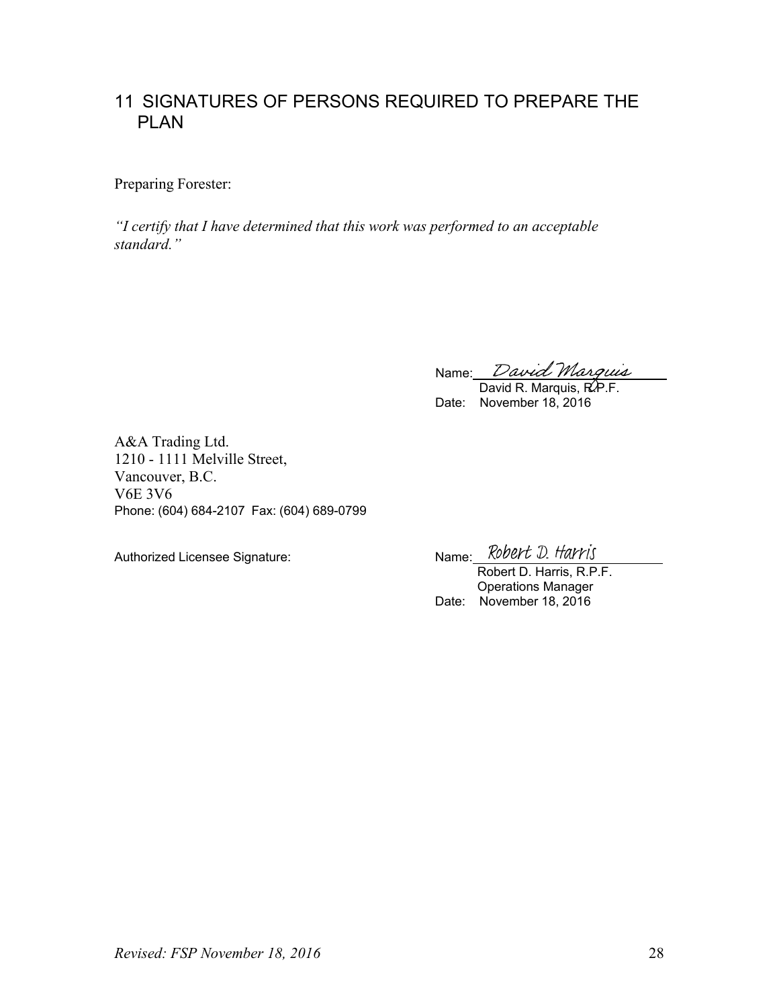## <span id="page-27-0"></span>11 SIGNATURES OF PERSONS REQUIRED TO PREPARE THE PLAN

Preparing Forester:

*"I certify that I have determined that this work was performed to an acceptable standard."*

Name:

David R. Marquis, R.P.F. Date: November 18, 2016

A&A Trading Ltd. 1210 - 1111 Melville Street, Vancouver, B.C. V6E 3V6 Phone: (604) 684-2107 Fax: (604) 689-0799

Authorized Licensee Signature: Name: Robert D. Harris

Robert D. Harris, R.P.F. Operations Manager Date: November 18, 2016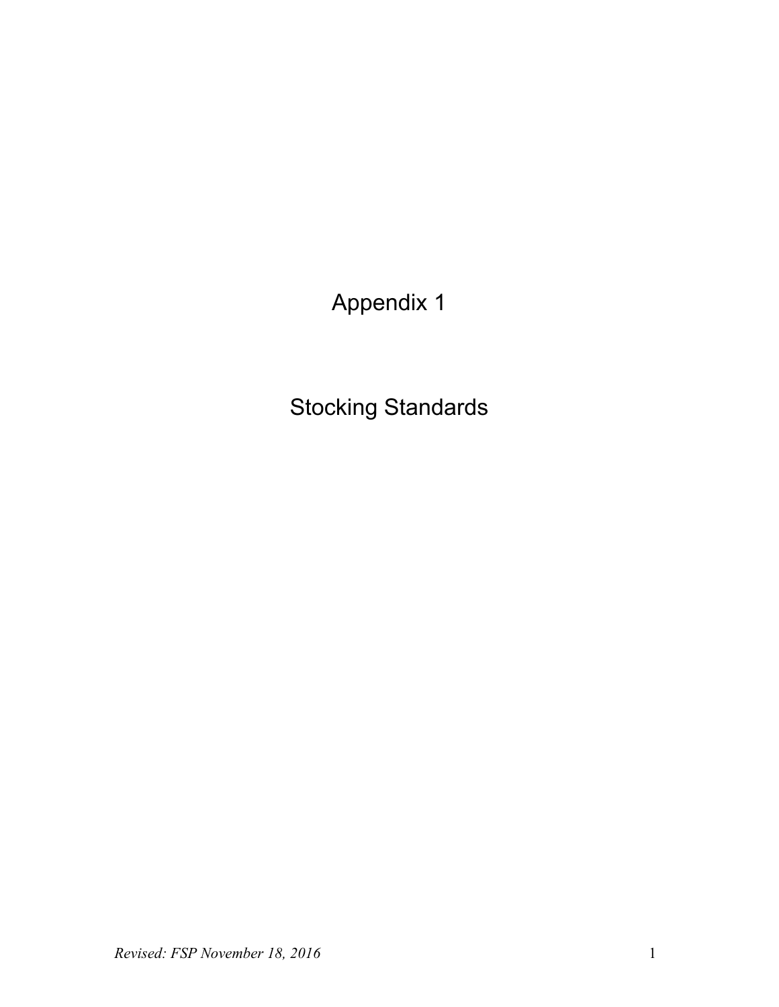Appendix 1

Stocking Standards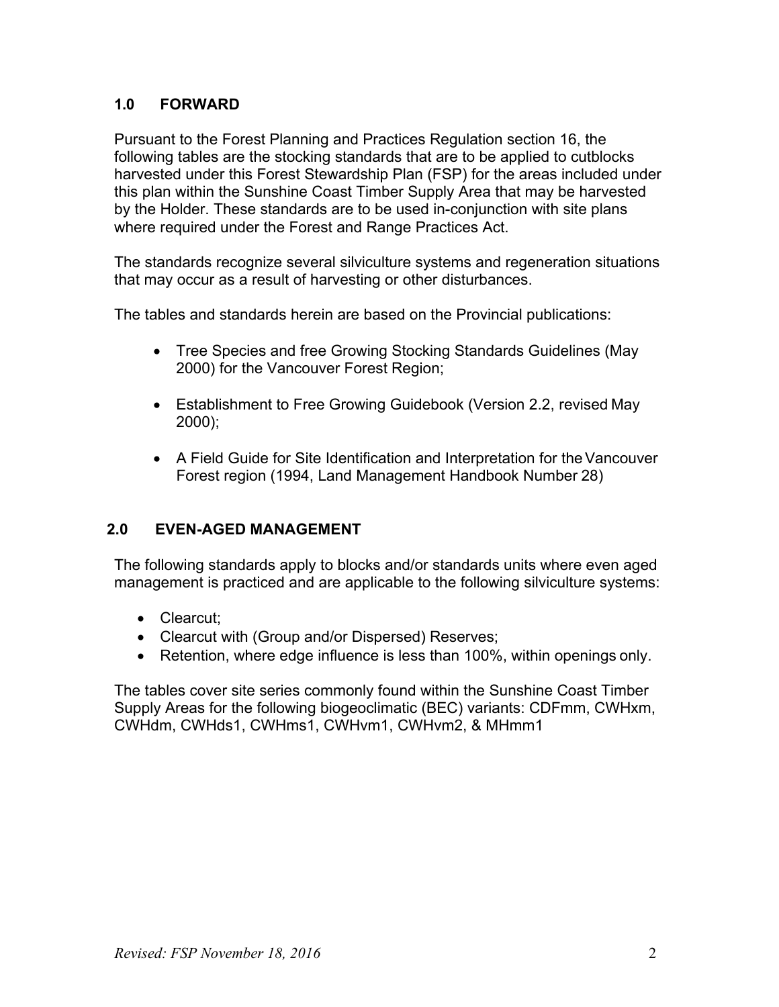#### **1.0 FORWARD**

Pursuant to the Forest Planning and Practices Regulation section 16, the following tables are the stocking standards that are to be applied to cutblocks harvested under this Forest Stewardship Plan (FSP) for the areas included under this plan within the Sunshine Coast Timber Supply Area that may be harvested by the Holder. These standards are to be used in-conjunction with site plans where required under the Forest and Range Practices Act.

The standards recognize several silviculture systems and regeneration situations that may occur as a result of harvesting or other disturbances.

The tables and standards herein are based on the Provincial publications:

- Tree Species and free Growing Stocking Standards Guidelines (May 2000) for the Vancouver Forest Region;
- Establishment to Free Growing Guidebook (Version 2.2, revised May 2000);
- A Field Guide for Site Identification and Interpretation for the Vancouver Forest region (1994, Land Management Handbook Number 28)

#### **2.0 EVEN-AGED MANAGEMENT**

The following standards apply to blocks and/or standards units where even aged management is practiced and are applicable to the following silviculture systems:

- Clearcut;
- Clearcut with (Group and/or Dispersed) Reserves;
- Retention, where edge influence is less than 100%, within openings only.

The tables cover site series commonly found within the Sunshine Coast Timber Supply Areas for the following biogeoclimatic (BEC) variants: CDFmm, CWHxm, CWHdm, CWHds1, CWHms1, CWHvm1, CWHvm2, & MHmm1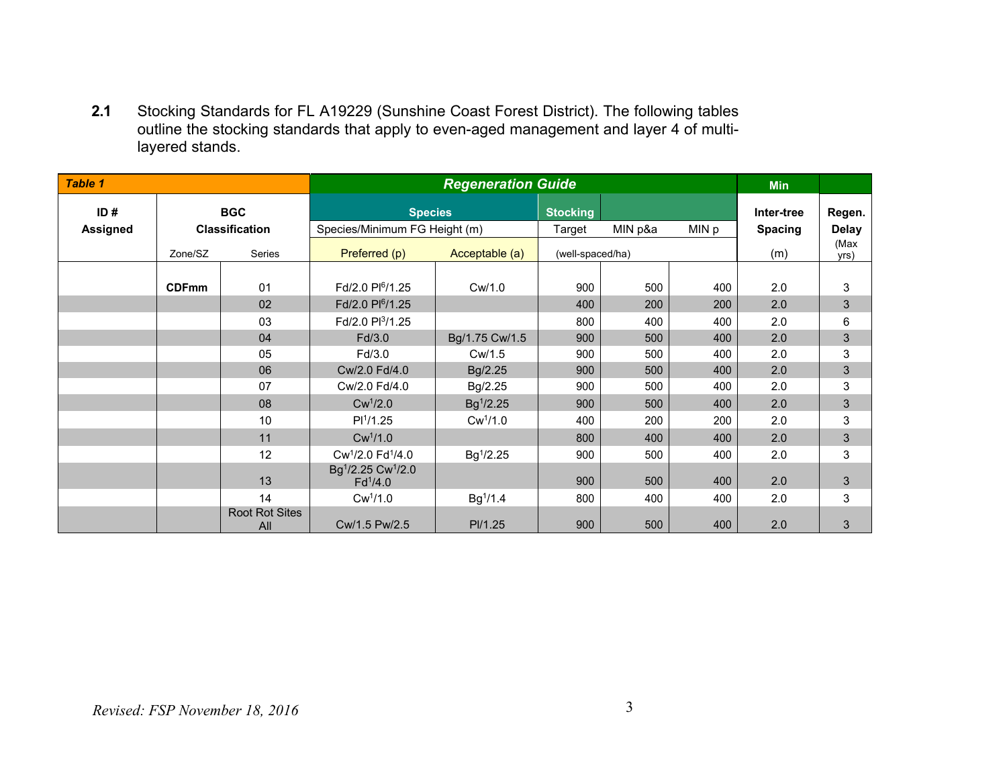**2.1** Stocking Standards for FL A19229 (Sunshine Coast Forest District). The following tables outline the stocking standards that apply to even-aged management and layer 4 of multilayered stands.

| <b>Table 1</b>  |                       |                              | <b>Regeneration Guide</b>                                          |                       |                  |         |       | <b>Min</b>     |                |
|-----------------|-----------------------|------------------------------|--------------------------------------------------------------------|-----------------------|------------------|---------|-------|----------------|----------------|
| ID#             |                       | <b>BGC</b>                   | <b>Species</b>                                                     |                       | <b>Stocking</b>  |         |       | Inter-tree     | Regen.         |
| <b>Assigned</b> | <b>Classification</b> |                              | Species/Minimum FG Height (m)                                      |                       | Target           | MIN p&a | MIN p | <b>Spacing</b> | <b>Delay</b>   |
|                 | Zone/SZ               | <b>Series</b>                | Preferred (p)                                                      | Acceptable (a)        | (well-spaced/ha) |         |       | (m)            | (Max<br>yrs)   |
|                 |                       |                              |                                                                    |                       |                  |         |       |                |                |
|                 | <b>CDFmm</b>          | 01                           | Fd/2.0 Pl <sup>6</sup> /1.25                                       | Cw/1.0                | 900              | 500     | 400   | 2.0            | 3              |
|                 |                       | 02                           | Fd/2.0 Pl <sup>6</sup> /1.25                                       |                       | 400              | 200     | 200   | 2.0            | $\sqrt{3}$     |
|                 |                       | 03                           | Fd/2.0 Pl <sup>3</sup> /1.25                                       |                       | 800              | 400     | 400   | 2.0            | 6              |
|                 |                       | 04                           | Fd/3.0                                                             | Bg/1.75 Cw/1.5        | 900              | 500     | 400   | 2.0            | $\sqrt{3}$     |
|                 |                       | 05                           | Fd/3.0                                                             | Cw/1.5                | 900              | 500     | 400   | 2.0            | 3              |
|                 |                       | 06                           | Cw/2.0 Fd/4.0                                                      | Bg/2.25               | 900              | 500     | 400   | 2.0            | $\mathfrak{S}$ |
|                 |                       | 07                           | Cw/2.0 Fd/4.0                                                      | Bg/2.25               | 900              | 500     | 400   | 2.0            | 3              |
|                 |                       | 08                           | $Cw^1/2.0$                                                         | $Bg^{1}/2.25$         | 900              | 500     | 400   | 2.0            | $\mathfrak{S}$ |
|                 |                       | 10                           | PI <sup>1</sup> /1.25                                              | $Cw^{1}/1.0$          | 400              | 200     | 200   | 2.0            | 3              |
|                 |                       | 11                           | Cw <sup>1</sup> /1.0                                               |                       | 800              | 400     | 400   | 2.0            | $\mathfrak{S}$ |
|                 |                       | 12                           | Cw <sup>1</sup> /2.0 Fd <sup>1</sup> /4.0                          | Bg <sup>1</sup> /2.25 | 900              | 500     | 400   | 2.0            | 3              |
|                 |                       | 13                           | Bg <sup>1</sup> /2.25 Cw <sup>1</sup> /2.0<br>Fd <sup>1</sup> /4.0 |                       | 900              | 500     | 400   | 2.0            | $\mathfrak{B}$ |
|                 |                       | 14                           | Cw <sup>1</sup> /1.0                                               | Bg <sup>1</sup> /1.4  | 800              | 400     | 400   | 2.0            | 3              |
|                 |                       | <b>Root Rot Sites</b><br>All | Cw/1.5 Pw/2.5                                                      | PI/1.25               | 900              | 500     | 400   | 2.0            | 3              |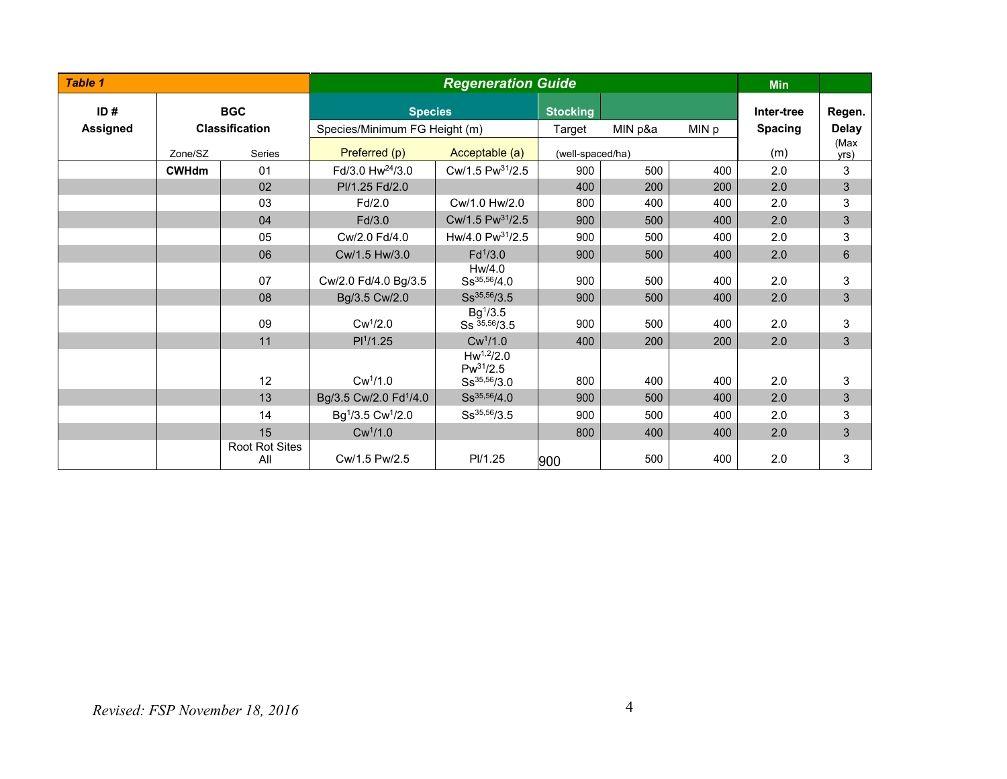| <b>Table 1</b>  |              |                       | <b>Regeneration Guide</b>                 |                                                     |                  |         |       | <b>Min</b>     |              |
|-----------------|--------------|-----------------------|-------------------------------------------|-----------------------------------------------------|------------------|---------|-------|----------------|--------------|
| ID#             | <b>BGC</b>   |                       | <b>Species</b>                            |                                                     | <b>Stocking</b>  |         |       | Inter-tree     | Regen.       |
| <b>Assigned</b> |              | <b>Classification</b> | Species/Minimum FG Height (m)             |                                                     | Target           | MIN p&a | MIN p | <b>Spacing</b> | <b>Delay</b> |
|                 | Zone/SZ      | Series                | Preferred (p)                             | Acceptable (a)                                      | (well-spaced/ha) |         |       | (m)            | (Max<br>yrs) |
|                 | <b>CWHdm</b> | 01                    | Fd/3.0 Hw <sup>24</sup> /3.0              | Cw/1.5 Pw <sup>31</sup> /2.5                        | 900              | 500     | 400   | 2.0            | 3            |
|                 |              | 02                    | PI/1.25 Fd/2.0                            |                                                     | 400              | 200     | 200   | 2.0            | 3            |
|                 |              | 03                    | Fd/2.0                                    | Cw/1.0 Hw/2.0                                       | 800              | 400     | 400   | 2.0            | 3            |
|                 |              | 04                    | Fd/3.0                                    | Cw/1.5 Pw <sup>31</sup> /2.5                        | 900              | 500     | 400   | 2.0            | 3            |
|                 |              | 05                    | Cw/2.0 Fd/4.0                             | Hw/4.0 Pw <sup>31</sup> /2.5                        | 900              | 500     | 400   | 2.0            | 3            |
|                 |              | 06                    | Cw/1.5 Hw/3.0                             | $Fd^{1}/3.0$                                        | 900              | 500     | 400   | 2.0            | 6            |
|                 |              | 07                    | Cw/2.0 Fd/4.0 Bg/3.5                      | Hw/4.0<br>$Ss^{35,56}/4.0$                          | 900              | 500     | 400   | 2.0            | 3            |
|                 |              | 08                    | Bg/3.5 Cw/2.0                             | $Ss^{35,56}/3.5$                                    | 900              | 500     | 400   | 2.0            | 3            |
|                 |              | 09                    | Cw <sup>1</sup> /2.0                      | $Bg^{1}/3.5$<br>$Ss^{35,56}/3.5$                    | 900              | 500     | 400   | 2.0            | 3            |
|                 |              | 11                    | PI <sup>1</sup> /1.25                     | Cw <sup>1</sup> /1.0                                | 400              | 200     | 200   | 2.0            | 3            |
|                 |              | 12                    | $Cw^{1}/1.0$                              | $Hw^{1,2}/2.0$<br>$Pw^{31}/2.5$<br>$Ss^{35,56}/3.0$ | 800              | 400     | 400   | 2.0            | 3            |
|                 |              | 13                    | Bg/3.5 Cw/2.0 Fd <sup>1</sup> /4.0        | $Ss^{35,56}/4.0$                                    | 900              | 500     | 400   | 2.0            | 3            |
|                 |              | 14                    | Bg <sup>1</sup> /3.5 Cw <sup>1</sup> /2.0 | $Ss^{35,56}/3.5$                                    | 900              | 500     | 400   | 2.0            | 3            |
|                 |              | 15                    | Cw <sup>1</sup> /1.0                      |                                                     | 800              | 400     | 400   | 2.0            | 3            |
|                 |              | Root Rot Sites<br>All | Cw/1.5 Pw/2.5                             | PI/1.25                                             | 900              | 500     | 400   | 2.0            | 3            |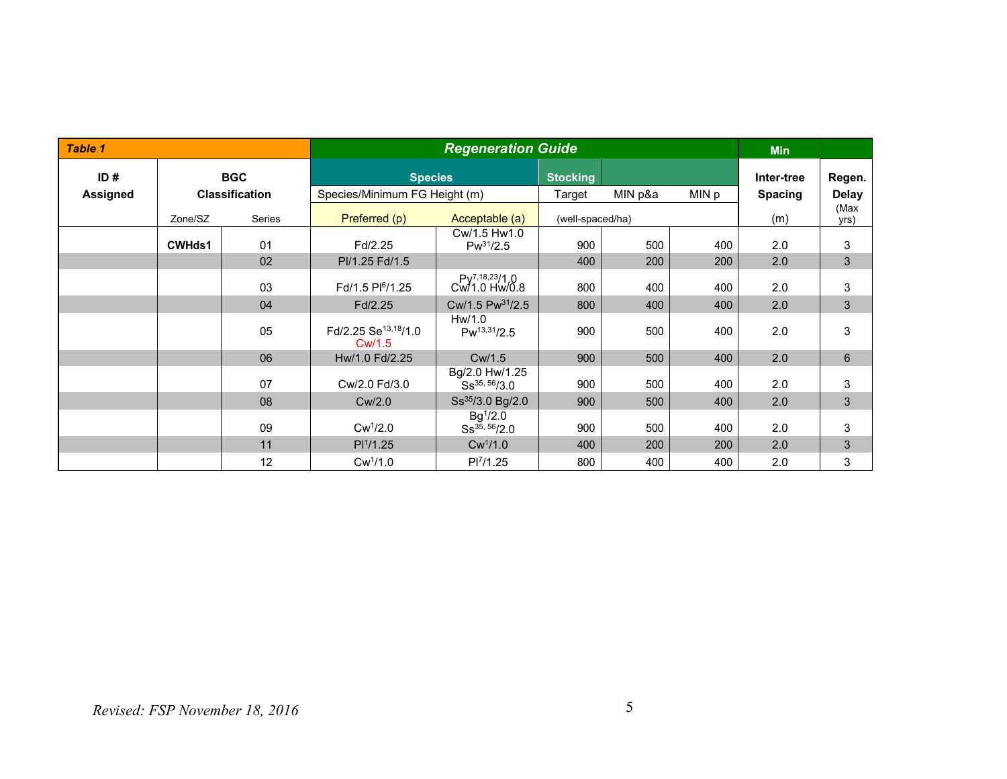| Table 1  |               |                       | <b>Regeneration Guide</b>                  |                                             |                  |         |       | <b>Min</b>     |              |
|----------|---------------|-----------------------|--------------------------------------------|---------------------------------------------|------------------|---------|-------|----------------|--------------|
| ID#      |               | <b>BGC</b>            | <b>Species</b>                             |                                             | <b>Stocking</b>  |         |       | Inter-tree     | Regen.       |
| Assigned |               | <b>Classification</b> | Species/Minimum FG Height (m)              |                                             | Target           | MIN p&a | MIN p | <b>Spacing</b> | <b>Delay</b> |
|          | Zone/SZ       | Series                | Preferred (p)                              | Acceptable (a)                              | (well-spaced/ha) |         |       | (m)            | (Max<br>yrs) |
|          | <b>CWHds1</b> | 01                    | Fd/2.25                                    | Cw/1.5 Hw1.0<br>$Pw^{31}/2.5$               | 900              | 500     | 400   | 2.0            | 3            |
|          |               | 02                    | Pl/1.25 Fd/1.5                             |                                             | 400              | 200     | 200   | 2.0            | 3            |
|          |               | 03                    | Fd/1.5 Pl <sup>6</sup> /1.25               | Py <sup>7,18,23</sup> /1.0<br>Cw/1.0 Hw/0.8 | 800              | 400     | 400   | 2.0            | 3            |
|          |               | 04                    | Fd/2.25                                    | Cw/1.5 Pw <sup>31</sup> /2.5                | 800              | 400     | 400   | 2.0            | $\mathbf{3}$ |
|          |               | 05                    | Fd/2.25 Se <sup>13,18</sup> /1.0<br>Cw/1.5 | Hw/1.0<br>$Pw^{13,31}/2.5$                  | 900              | 500     | 400   | 2.0            | 3            |
|          |               | 06                    | Hw/1.0 Fd/2.25                             | Cw/1.5                                      | 900              | 500     | 400   | 2.0            | 6            |
|          |               | 07                    | Cw/2.0 Fd/3.0                              | Bg/2.0 Hw/1.25<br>Ss <sup>35, 56</sup> /3.0 | 900              | 500     | 400   | 2.0            | 3            |
|          |               | 08                    | Cw/2.0                                     | Ss <sup>35</sup> /3.0 Bg/2.0                | 900              | 500     | 400   | 2.0            | $\mathbf{3}$ |
|          |               | 09                    | Cw <sup>1</sup> /2.0                       | $Bg^{1}/2.0$<br>$Ss^{35, 56}/2.0$           | 900              | 500     | 400   | 2.0            | 3            |
|          |               | 11                    | PI <sup>1</sup> /1.25                      | Cw <sup>1</sup> /1.0                        | 400              | 200     | 200   | 2.0            | 3            |
|          |               | 12                    | Cw <sup>1</sup> /1.0                       | PI <sup>7</sup> /1.25                       | 800              | 400     | 400   | 2.0            | 3            |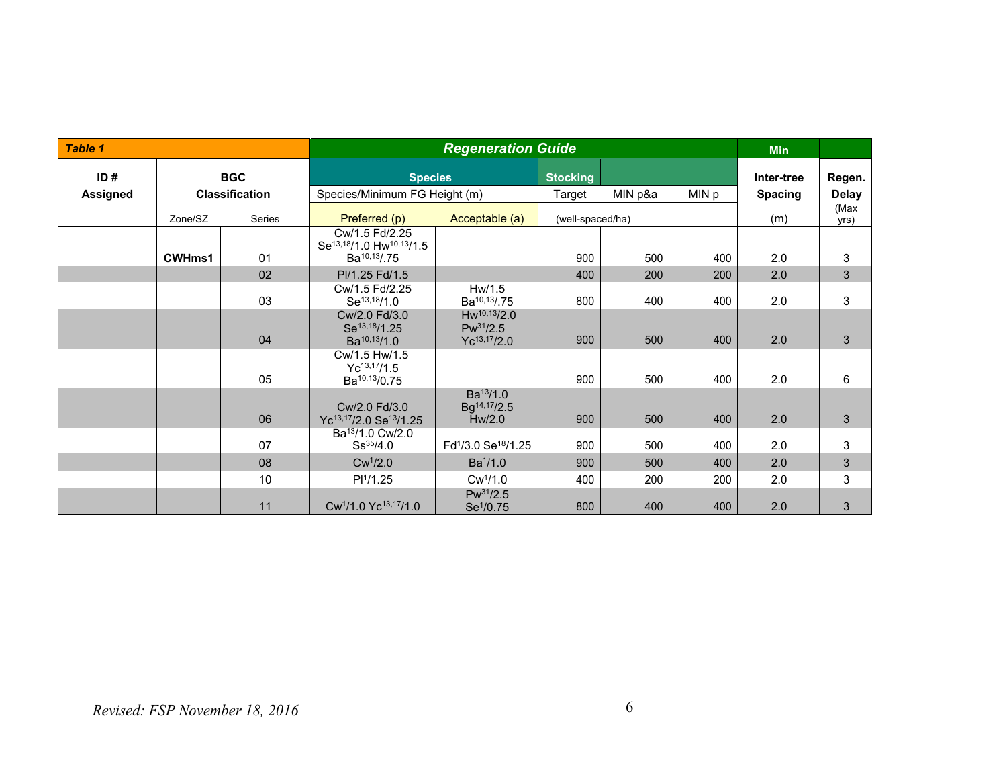| <b>Table 1</b>  |               |                       | <b>Regeneration Guide</b>                                                                       |                                                             |        |                  |       | <b>Min</b>     |              |
|-----------------|---------------|-----------------------|-------------------------------------------------------------------------------------------------|-------------------------------------------------------------|--------|------------------|-------|----------------|--------------|
| ID#             |               | <b>BGC</b>            |                                                                                                 | <b>Species</b><br><b>Stocking</b>                           |        |                  |       | Inter-tree     | Regen.       |
| <b>Assigned</b> |               | <b>Classification</b> | Species/Minimum FG Height (m)                                                                   |                                                             | Target | MIN p&a          | MIN p | <b>Spacing</b> | <b>Delay</b> |
|                 | Zone/SZ       | Series                | Preferred (p)                                                                                   | Acceptable (a)                                              |        | (well-spaced/ha) |       | (m)            | (Max<br>yrs) |
|                 | <b>CWHms1</b> | 01                    | Cw/1.5 Fd/2.25<br>Se <sup>13,18</sup> /1.0 Hw <sup>10,13</sup> /1.5<br>Ba <sup>10,13</sup> /.75 |                                                             | 900    | 500              | 400   | 2.0            | 3            |
|                 |               | 02                    | Pl/1.25 Fd/1.5                                                                                  |                                                             | 400    | 200              | 200   | 2.0            | $\mathbf{3}$ |
|                 |               | 03                    | Cw/1.5 Fd/2.25<br>Se <sup>13,18</sup> /1.0                                                      | Hw/1.5<br>Ba <sup>10,13</sup> /.75                          | 800    | 400              | 400   | 2.0            | 3            |
|                 |               | 04                    | Cw/2.0 Fd/3.0<br>Se <sup>13,18</sup> /1.25<br>Ba <sup>10,13</sup> /1.0                          | $Hw^{10,13}/2.0$<br>$Pw^{31}/2.5$<br>$Yc^{13,17}/2.0$       | 900    | 500              | 400   | 2.0            | 3            |
|                 |               | 05                    | Cw/1.5 Hw/1.5<br>$Yc^{13,17}/1.5$<br>Ba <sup>10,13</sup> /0.75                                  |                                                             | 900    | 500              | 400   | 2.0            | 6            |
|                 |               | 06                    | Cw/2.0 Fd/3.0<br>Yc <sup>13,17</sup> /2.0 Se <sup>13</sup> /1.25                                | Ba <sup>13</sup> /1.0<br>Bg <sup>14,17</sup> /2.5<br>Hw/2.0 | 900    | 500              | 400   | 2.0            | 3            |
|                 |               | 07                    | Ba <sup>13</sup> /1.0 Cw/2.0<br>$Ss^{35/4.0}$                                                   | Fd <sup>1</sup> /3.0 Se <sup>18</sup> /1.25                 | 900    | 500              | 400   | 2.0            | 3            |
|                 |               | 08                    | $Cw^1/2.0$                                                                                      | Ba <sup>1</sup> /1.0                                        | 900    | 500              | 400   | 2.0            | $\mathbf{3}$ |
|                 |               | 10                    | PI <sup>1</sup> /1.25                                                                           | Cw <sup>1</sup> /1.0                                        | 400    | 200              | 200   | 2.0            | 3            |
|                 |               | 11                    | Cw <sup>1</sup> /1.0 Yc <sup>13,17</sup> /1.0                                                   | $Pw^{31}/2.5$<br>Se <sup>1</sup> /0.75                      | 800    | 400              | 400   | 2.0            | 3            |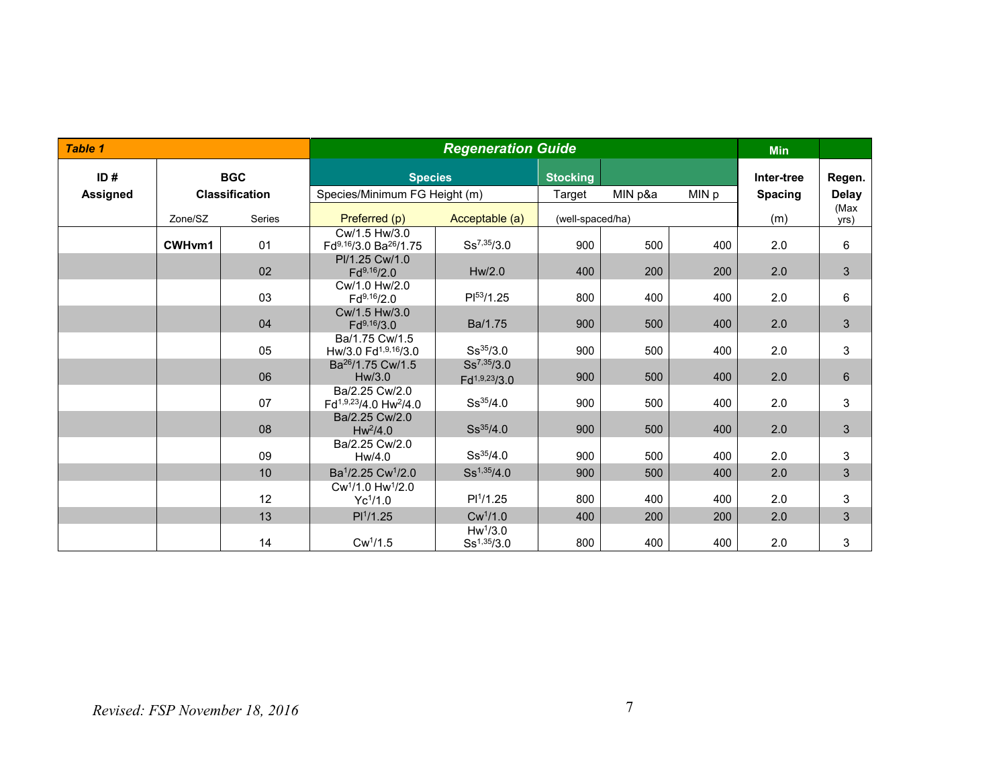| <b>Table 1</b>  |         |                       | <b>Regeneration Guide</b>                                 |                                         |                  |                  |     | <b>Min</b>     |                |
|-----------------|---------|-----------------------|-----------------------------------------------------------|-----------------------------------------|------------------|------------------|-----|----------------|----------------|
| ID#             |         | <b>BGC</b>            | <b>Species</b>                                            |                                         | <b>Stocking</b>  |                  |     | Inter-tree     | Regen.         |
| <b>Assigned</b> |         | <b>Classification</b> | Species/Minimum FG Height (m)                             |                                         | Target           | MIN p&a<br>MIN p |     | <b>Spacing</b> | <b>Delay</b>   |
|                 | Zone/SZ | <b>Series</b>         | Preferred (p)                                             | Acceptable (a)                          | (well-spaced/ha) |                  |     | (m)            | (Max<br>yrs)   |
|                 | CWHvm1  | 01                    | Cw/1.5 Hw/3.0<br>Fd9,16/3.0 Ba26/1.75                     | $Ss^{7,35}/3.0$                         | 900              | 500              | 400 | 2.0            | 6              |
|                 |         | 02                    | PI/1.25 Cw/1.0<br>$Fd^{9,16}/2.0$                         | Hw/2.0                                  | 400              | 200              | 200 | 2.0            | $\mathfrak{S}$ |
|                 |         | 03                    | Cw/1.0 Hw/2.0<br>$Fd^{9,16}/2.0$                          | $PI^{53}/1.25$                          | 800              | 400              | 400 | 2.0            | 6              |
|                 |         | 04                    | Cw/1.5 Hw/3.0<br>$Fd^{9,16}/3.0$                          | Ba/1.75                                 | 900              | 500              | 400 | 2.0            | $\mathfrak{S}$ |
|                 |         | 05                    | Ba/1.75 Cw/1.5<br>Hw/3.0 Fd <sup>1,9,16</sup> /3.0        | $Ss^{35/3.0}$                           | 900              | 500              | 400 | 2.0            | 3              |
|                 |         | 06                    | Ba <sup>26</sup> /1.75 Cw/1.5<br>Hw/3.0                   | $Ss^{7,35}/3.0$<br>$Fd^{1,9,23}/3.0$    | 900<br>500       |                  | 400 | 2.0            | $6\phantom{1}$ |
|                 |         | 07                    | Ba/2.25 Cw/2.0<br>$Fd^{1,9,23}/4.0$ Hw <sup>2</sup> /4.0  | $Ss^{35}/4.0$                           | 900              | 500              | 400 | 2.0            | 3              |
|                 |         | 08                    | Ba/2.25 Cw/2.0<br>$Hw^2/4.0$                              | $Ss^{35}/4.0$                           | 900              | 500              | 400 | 2.0            | 3              |
|                 |         | 09                    | Ba/2.25 Cw/2.0<br>Hw/4.0                                  | $Ss^{35/4.0}$                           | 900              | 500              | 400 | 2.0            | 3              |
|                 |         | 10                    | Ba <sup>1</sup> /2.25 Cw <sup>1</sup> /2.0                | $Ss^{1,35}/4.0$                         | 900              | 500              | 400 | 2.0            | 3              |
|                 |         | 12                    | Cw <sup>1</sup> /1.0 Hw <sup>1</sup> /2.0<br>$Yc^{1}/1.0$ | PI <sup>1</sup> /1.25                   | 800              | 400              | 400 | 2.0            | 3              |
|                 |         | 13                    | PI <sup>1</sup> /1.25                                     | Cw <sup>1</sup> /1.0                    | 400              | 200              | 200 | 2.0            | $\overline{3}$ |
|                 |         | 14                    | Cw <sup>1</sup> /1.5                                      | Hw <sup>1</sup> /3.0<br>$Ss^{1,35}/3.0$ | 800              | 400              | 400 | 2.0            | 3              |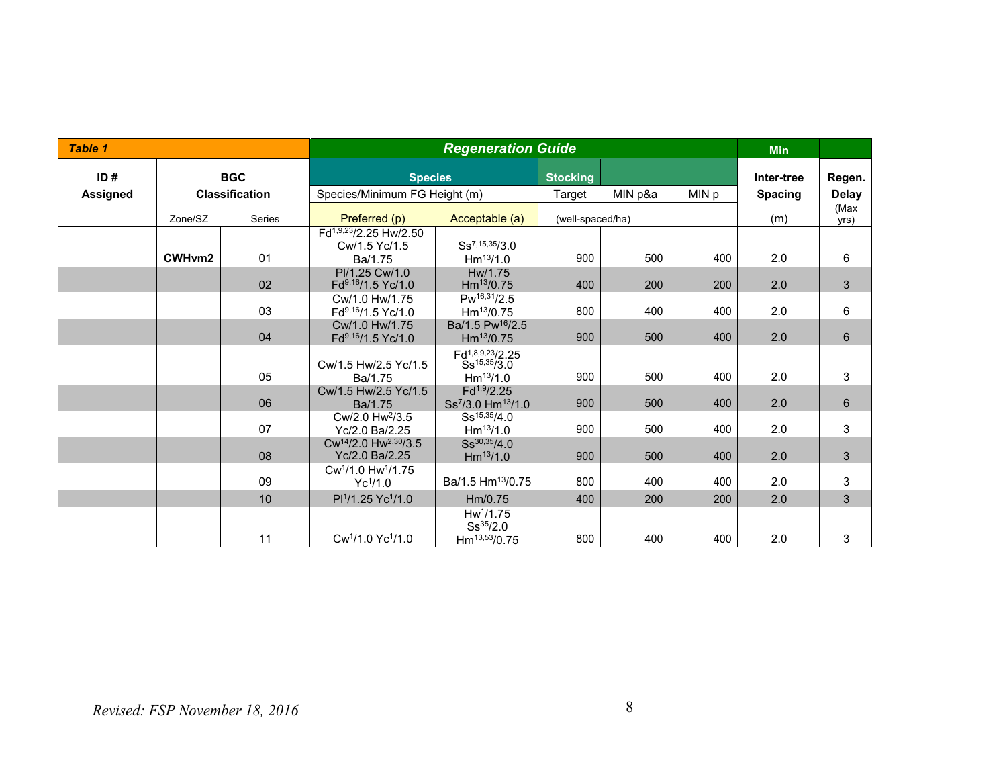| <b>Table 1</b>  |         |                       | <b>Regeneration Guide</b>                                       |                                                                     |                 |                  |       | <b>Min</b>     |                |
|-----------------|---------|-----------------------|-----------------------------------------------------------------|---------------------------------------------------------------------|-----------------|------------------|-------|----------------|----------------|
| ID#             |         | <b>BGC</b>            | <b>Species</b>                                                  |                                                                     | <b>Stocking</b> |                  |       | Inter-tree     | Regen.         |
| <b>Assigned</b> |         | <b>Classification</b> | Species/Minimum FG Height (m)                                   |                                                                     | Target          | MIN p&a          | MIN p | <b>Spacing</b> | <b>Delay</b>   |
|                 | Zone/SZ | <b>Series</b>         | Preferred (p)                                                   | Acceptable (a)                                                      |                 | (well-spaced/ha) |       | (m)            | (Max<br>yrs)   |
|                 | CWHvm2  | 01                    | Fd <sup>1,9,23</sup> /2.25 Hw/2.50<br>Cw/1.5 Yc/1.5<br>Ba/1.75  | $Ss^{7,15,35/3,0}$<br>$Hm^{13}/1.0$                                 | 900             | 500              | 400   | 2.0            | 6              |
|                 |         | 02                    | PI/1.25 Cw/1.0<br>Fd9,16/1.5 Yc/1.0                             | Hw/1.75<br>Hm <sup>13</sup> /0.75                                   | 400             | 200              | 200   | 2.0            | $\mathfrak{S}$ |
|                 |         | 03                    | Cw/1.0 Hw/1.75<br>Fd9,16/1.5 Yc/1.0                             | $Pw^{16,31}/2.5$<br>$Hm^{13}/0.75$                                  | 800             | 400              | 400   | 2.0            | 6              |
|                 |         | 04                    | Cw/1.0 Hw/1.75<br>Fd <sup>9,16</sup> /1.5 Yc/1.0                | Ba/1.5 Pw <sup>16</sup> /2.5<br>$Hm^{13}/0.75$                      | 900             | 500              | 400   | 2.0            | $6\phantom{1}$ |
|                 |         | 05                    | Cw/1.5 Hw/2.5 Yc/1.5<br>Ba/1.75                                 | Fd1,8,9,23/2.25<br>$Ss^{15,35}/3.0$<br>$Hm^{13}/1.0$                | 900             | 500              | 400   | 2.0            | 3              |
|                 |         | 06                    | Cw/1.5 Hw/2.5 Yc/1.5<br>Ba/1.75                                 | $Fd^{1,9}/2.25$<br>Ss <sup>7</sup> /3.0 Hm <sup>13</sup> /1.0       | 900             | 500              | 400   | 2.0            | $6\phantom{1}$ |
|                 |         | 07                    | Cw/2.0 Hw <sup>2</sup> /3.5<br>Yc/2.0 Ba/2.25                   | $Ss^{15,35}/4.0$<br>$Hm^{13}/1.0$                                   | 900             | 500              | 400   | 2.0            | 3              |
|                 |         | 08                    | Cw <sup>14</sup> /2.0 Hw <sup>2,30</sup> /3.5<br>Yc/2.0 Ba/2.25 | $Ss^{30,35}/4.0$<br>$Hm^{13}/1.0$                                   | 900             | 500              | 400   | 2.0            | $\mathfrak{S}$ |
|                 |         | 09                    | Cw <sup>1</sup> /1.0 Hw <sup>1</sup> /1.75<br>$Yc^{1/1.0}$      | Ba/1.5 Hm <sup>13</sup> /0.75                                       | 800             | 400              | 400   | 2.0            | 3              |
|                 |         | 10 <sup>1</sup>       | Pl <sup>1</sup> /1.25 Yc <sup>1</sup> /1.0                      | Hm/0.75                                                             | 400             | 200              | 200   | 2.0            | $\mathfrak{S}$ |
|                 |         | 11                    | Cw <sup>1</sup> /1.0 Yc <sup>1</sup> /1.0                       | Hw <sup>1</sup> /1.75<br>$Ss^{35/2.0}$<br>Hm <sup>13,53</sup> /0.75 | 800             | 400              | 400   | 2.0            | 3              |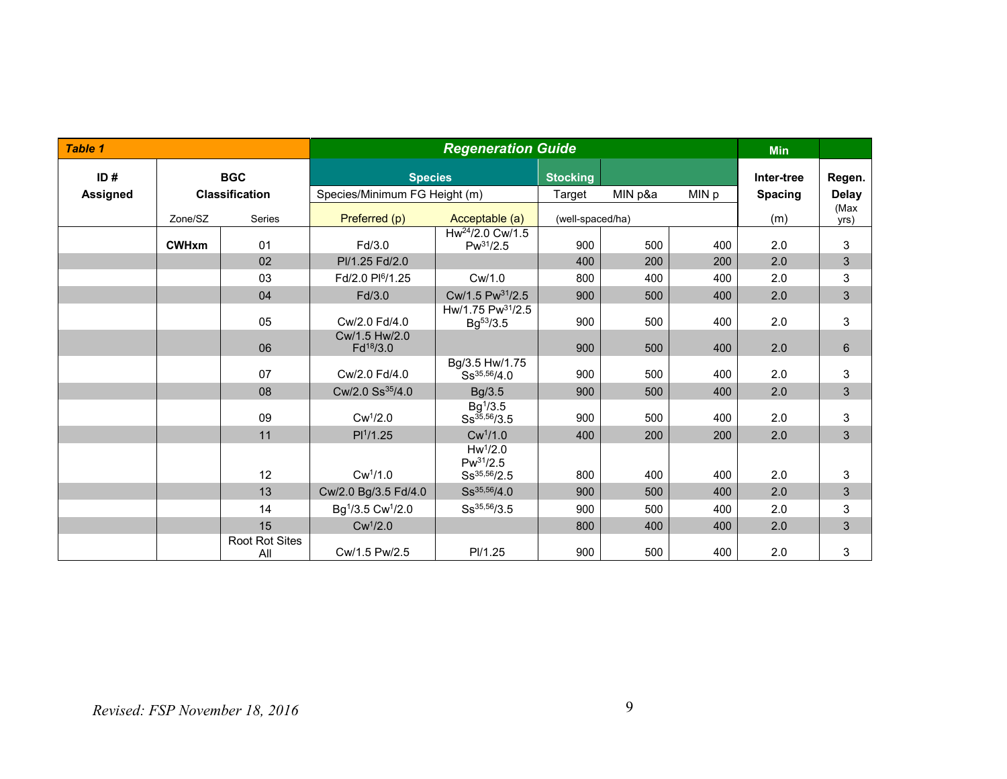| <b>Table 1</b>  |              |                              |                                           | <b>Regeneration Guide</b>                                 |                 |                  |       | <b>Min</b>     |                           |
|-----------------|--------------|------------------------------|-------------------------------------------|-----------------------------------------------------------|-----------------|------------------|-------|----------------|---------------------------|
| ID#             |              | <b>BGC</b>                   | <b>Species</b>                            |                                                           | <b>Stocking</b> |                  |       | Inter-tree     | Regen.                    |
| <b>Assigned</b> |              | <b>Classification</b>        | Species/Minimum FG Height (m)             |                                                           | Target          | MIN p&a          | MIN p | <b>Spacing</b> | <b>Delay</b>              |
|                 | Zone/SZ      | <b>Series</b>                | Preferred (p)                             | Acceptable (a)                                            |                 | (well-spaced/ha) |       | (m)            | (Max<br>yrs)              |
|                 | <b>CWHxm</b> | 01                           | Fd/3.0                                    | Hw <sup>24</sup> /2.0 Cw/1.5<br>$Pw^{31}/2.5$             | 900             | 500              | 400   | 2.0            | 3                         |
|                 |              | 02                           | PI/1.25 Fd/2.0                            |                                                           | 400             | 200              | 200   | 2.0            | $\sqrt{3}$                |
|                 |              | 03                           | Fd/2.0 Pl <sup>6</sup> /1.25              | Cw/1.0                                                    | 800             | 400              | 400   | 2.0            | $\mathbf{3}$              |
|                 |              | 04                           | Fd/3.0                                    | Cw/1.5 Pw <sup>31</sup> /2.5                              | 900             | 500              | 400   | 2.0            | $\mathbf{3}$              |
|                 |              | 05                           | Cw/2.0 Fd/4.0                             | Hw/1.75 $Pw^{31}/2.5$<br>$Bg^{53}/3.5$                    | 900             | 500              | 400   | 2.0            | 3                         |
|                 |              | 06                           | Cw/1.5 Hw/2.0<br>Fd <sup>18</sup> /3.0    |                                                           | 900             | 500              | 400   | 2.0            | $6\phantom{1}6$           |
|                 |              | 07                           | Cw/2.0 Fd/4.0                             | Bg/3.5 Hw/1.75<br>Ss <sup>35,56</sup> /4.0                | 900             | 500              | 400   | 2.0            | 3                         |
|                 |              | 08                           | Cw/2.0 Ss <sup>35</sup> /4.0              | Bg/3.5                                                    | 900             | 500              | 400   | 2.0            | $\mathfrak{S}$            |
|                 |              | 09                           | $Cw^1/2.0$                                | Bg <sup>1</sup> /3.5<br>$Ss^{35,56}/3.5$                  | 900             | 500              | 400   | 2.0            | $\mathsf 3$               |
|                 |              | 11                           | PI <sup>1</sup> /1.25                     | Cw <sup>1</sup> /1.0                                      | 400             | 200              | 200   | 2.0            | 3                         |
|                 |              | 12                           | Cw <sup>1</sup> /1.0                      | Hw <sup>1</sup> /2.0<br>$Pw^{31}/2.5$<br>$Ss^{35,56}/2.5$ | 800             | 400              | 400   | 2.0            | $\ensuremath{\mathsf{3}}$ |
|                 |              | 13                           | Cw/2.0 Bg/3.5 Fd/4.0                      | $Ss^{35,56}/4.0$                                          | 900             | 500              | 400   | 2.0            | $\mathfrak{S}$            |
|                 |              | 14                           | Bg <sup>1</sup> /3.5 Cw <sup>1</sup> /2.0 | $Ss^{35,56}/3.5$                                          | 900             | 500              | 400   | 2.0            | $\ensuremath{\mathsf{3}}$ |
|                 |              | 15                           | $Cw^1/2.0$                                |                                                           | 800             | 400              | 400   | 2.0            | 3                         |
|                 |              | <b>Root Rot Sites</b><br>All | Cw/1.5 Pw/2.5                             | PI/1.25                                                   | 900             | 500              | 400   | 2.0            | 3                         |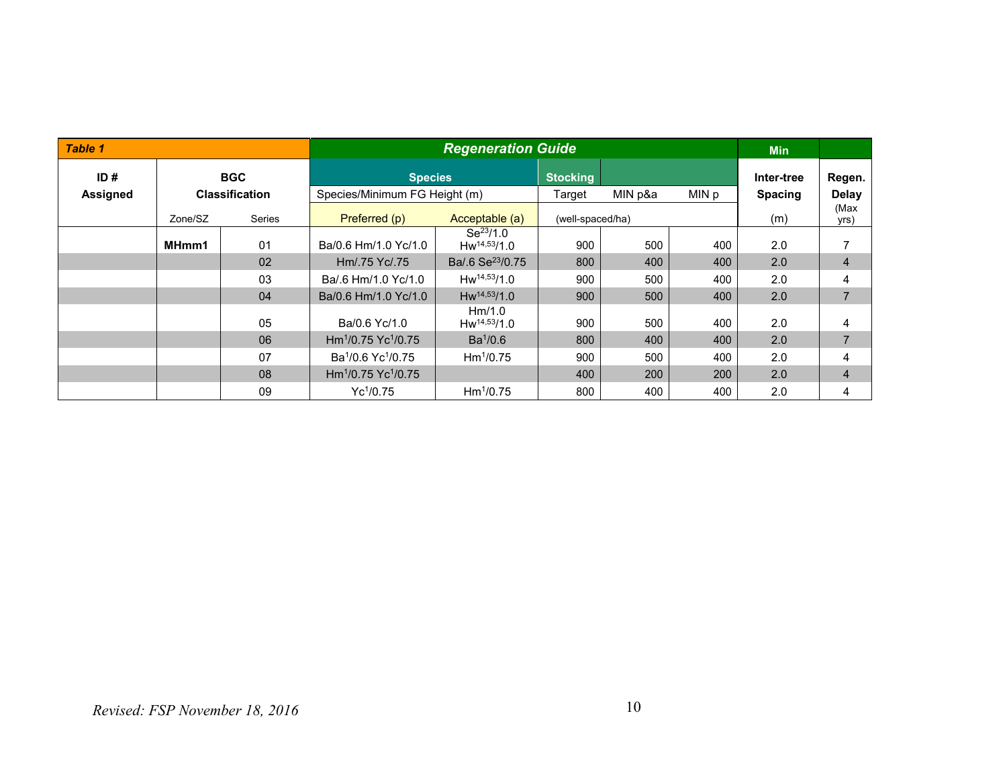| Table 1         |            |                       |                                             | <b>Min</b>                        |                  |         |       |                |                |
|-----------------|------------|-----------------------|---------------------------------------------|-----------------------------------|------------------|---------|-------|----------------|----------------|
| ID#             | <b>BGC</b> |                       |                                             | <b>Species</b><br><b>Stocking</b> |                  |         |       | Inter-tree     | Regen.         |
| <b>Assigned</b> |            | <b>Classification</b> | Species/Minimum FG Height (m)               |                                   | Target           | MIN p&a | MIN p | <b>Spacing</b> | Delay          |
|                 | Zone/SZ    | <b>Series</b>         | Preferred (p)                               | Acceptable (a)                    | (well-spaced/ha) |         |       | (m)            | (Max<br>yrs)   |
|                 | MHmm1      | 01                    | Ba/0.6 Hm/1.0 Yc/1.0                        | $Se^{23}/1.0$<br>$Hw^{14,53}/1.0$ | 900              | 500     | 400   | 2.0            |                |
|                 |            | 02                    | Hm/.75 Yc/.75                               | Ba/.6 Se <sup>23</sup> /0.75      | 800              | 400     | 400   | 2.0            | $\overline{4}$ |
|                 |            | 03                    | Ba/.6 Hm/1.0 Yc/1.0                         | $Hw^{14,53}/1.0$                  | 900              | 500     | 400   | 2.0            | 4              |
|                 |            | 04                    | Ba/0.6 Hm/1.0 Yc/1.0                        | $Hw^{14,53}/1.0$                  | 900              | 500     | 400   | 2.0            | $\overline{7}$ |
|                 |            | 05                    | Ba/0.6 Yc/1.0                               | Hm/1.0<br>$Hw^{14,53}/1.0$        | 900              | 500     | 400   | 2.0            | 4              |
|                 |            | 06                    | $Hm1/0.75$ Yc <sup>1</sup> /0.75            | $Ba^{1}/0.6$                      | 800              | 400     | 400   | 2.0            | $\overline{7}$ |
|                 |            | 07                    | Ba <sup>1</sup> /0.6 Yc <sup>1</sup> /0.75  | Hm <sup>1</sup> /0.75             | 900              | 500     | 400   | 2.0            | 4              |
|                 |            | 08                    | Hm <sup>1</sup> /0.75 Yc <sup>1</sup> /0.75 |                                   | 400              | 200     | 200   | 2.0            | $\overline{4}$ |
|                 |            | 09                    | $Yc^{1}/0.75$                               | $Hm^{1}/0.75$                     | 800              | 400     | 400   | 2.0            | 4              |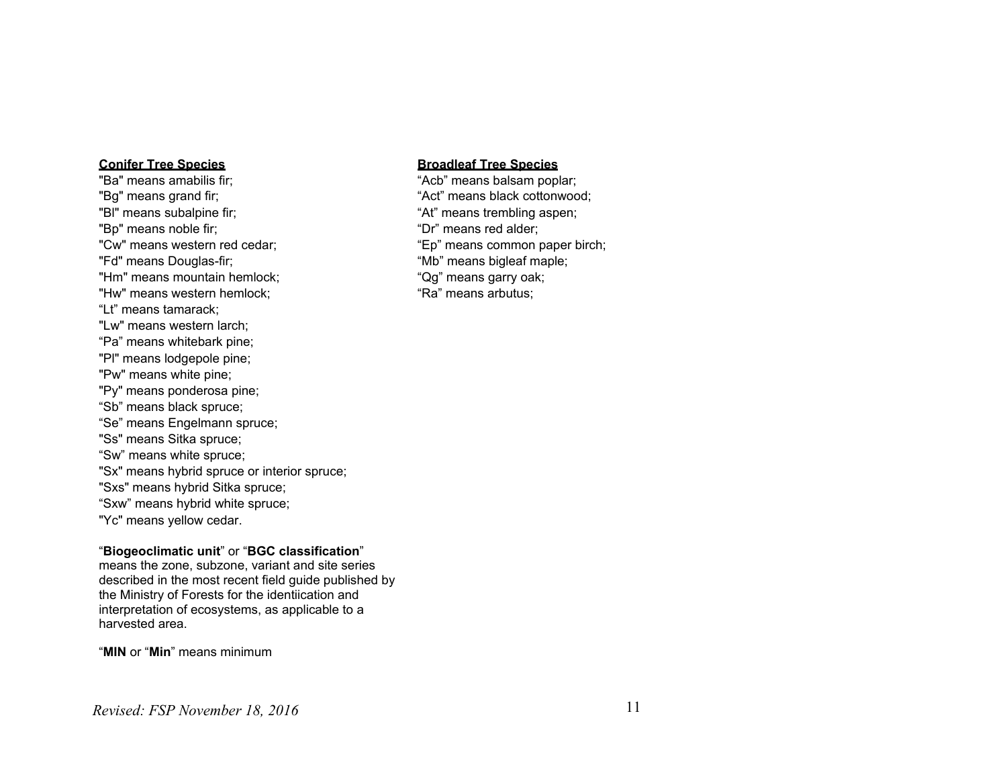"Ba" means amabilis fir; "Acb" means balsam poplar; "Bg" means grand fir; "Act" means black cottonwood; "Bl" means subalpine fir; "At" means trembling aspen; "Bp" means noble fir;  $\blacksquare$ "Cw" means western red cedar; "Ep" means common paper birch; "Fd" means Douglas-fir;<br>"Hm" means mountain hemlock; "Wh" means bigleaf maple; "Hm" means mountain hemlock: "Hw" means western hemlock:  $\blacksquare$ "Ra" means arbutus: "Lt" means tamarack; "Lw" means western larch; "Pa" means whitebark pine; "Pl" means lodgepole pine; "Pw" means white pine; "Py" means ponderosa pine; "Sb" means black spruce; "Se" means Engelmann spruce; "Ss" means Sitka spruce; "Sw" means white spruce; "Sx" means hybrid spruce or interior spruce; "Sxs" means hybrid Sitka spruce; "Sxw" means hybrid white spruce; "Yc" means yellow cedar.

#### "**Biogeoclimatic unit**" or "**BGC classification**"

means the zone, subzone, variant and site series described in the most recent field guide published by the Ministry of Forests for the identiication and interpretation of ecosystems, as applicable to a harvested area.

"**MIN** or "**Min**" means minimum

#### **Conifer Tree Species Broadleaf Tree Species**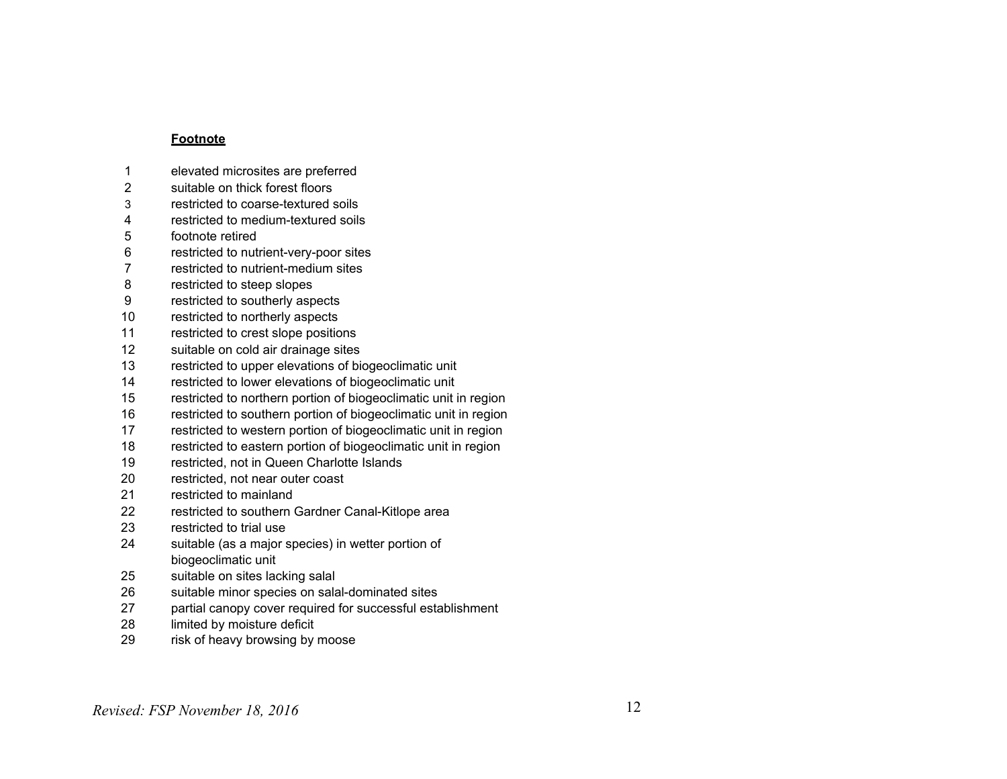#### **Footnote**

- elevated microsites are preferred
- suitable on thick forest floors
- restricted to coarse-textured soils
- restricted to medium-textured soils
- footnote retired
- restricted to nutrient-very-poor sites
- restricted to nutrient-medium sites
- restricted to steep slopes
- restricted to southerly aspects
- restricted to northerly aspects
- restricted to crest slope positions
- suitable on cold air drainage sites
- restricted to upper elevations of biogeoclimatic unit
- restricted to lower elevations of biogeoclimatic unit
- restricted to northern portion of biogeoclimatic unit in region
- restricted to southern portion of biogeoclimatic unit in region
- restricted to western portion of biogeoclimatic unit in region
- restricted to eastern portion of biogeoclimatic unit in region
- restricted, not in Queen Charlotte Islands
- restricted, not near outer coast
- restricted to mainland
- restricted to southern Gardner Canal-Kitlope area
- restricted to trial use
- suitable (as a major species) in wetter portion of biogeoclimatic unit
- suitable on sites lacking salal
- suitable minor species on salal-dominated sites
- partial canopy cover required for successful establishment
- limited by moisture deficit
- risk of heavy browsing by moose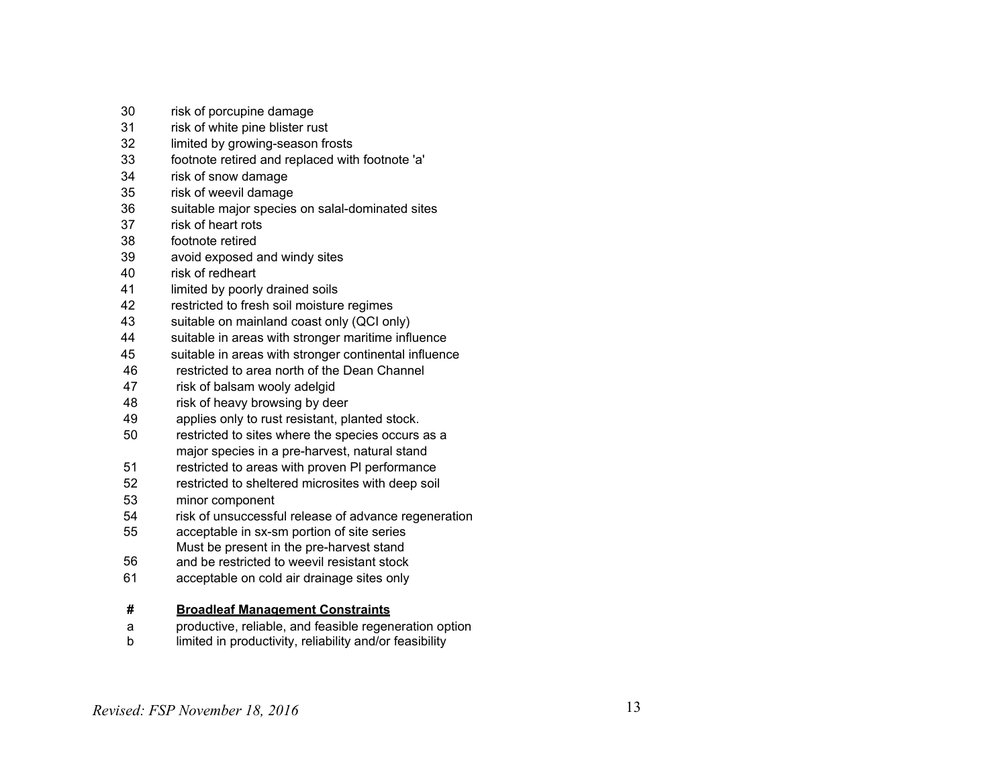- risk of porcupine damage
- risk of white pine blister rust
- limited by growing-season frosts
- footnote retired and replaced with footnote 'a'
- risk of snow damage
- risk of weevil damage
- suitable major species on salal-dominated sites
- risk of heart rots
- footnote retired
- avoid exposed and windy sites
- risk of redheart
- 41 limited by poorly drained soils
- restricted to fresh soil moisture regimes
- suitable on mainland coast only (QCI only)
- suitable in areas with stronger maritime influence
- suitable in areas with stronger continental influence
- restricted to area north of the Dean Channel
- risk of balsam wooly adelgid
- risk of heavy browsing by deer
- applies only to rust resistant, planted stock.
- restricted to sites where the species occurs as a major species in a pre-harvest, natural stand
- restricted to areas with proven Pl performance
- restricted to sheltered microsites with deep soil
- minor component
- risk of unsuccessful release of advance regeneration
- acceptable in sx-sm portion of site series Must be present in the pre-harvest stand
- and be restricted to weevil resistant stock
- acceptable on cold air drainage sites only

#### **# Broadleaf Management Constraints**

- a productive, reliable, and feasible regeneration option
- b limited in productivity, reliability and/or feasibility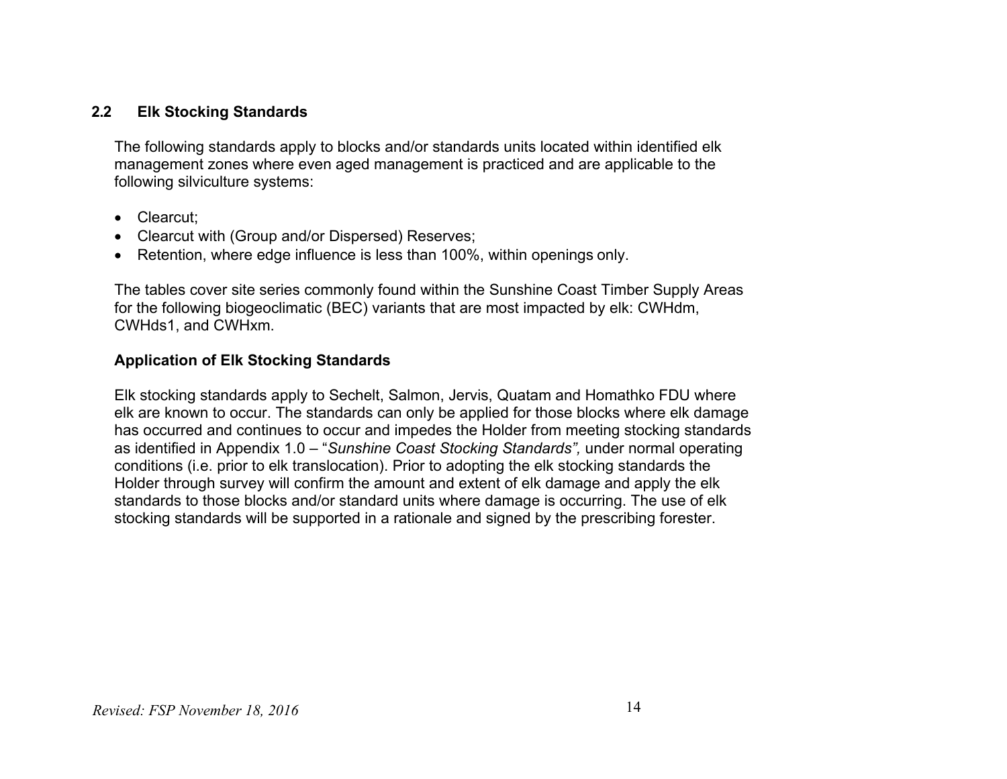#### **2.2 Elk Stocking Standards**

The following standards apply to blocks and/or standards units located within identified elk management zones where even aged management is practiced and are applicable to the following silviculture systems:

- Clearcut:
- Clearcut with (Group and/or Dispersed) Reserves;
- Retention, where edge influence is less than 100%, within openings only.

The tables cover site series commonly found within the Sunshine Coast Timber Supply Areas for the following biogeoclimatic (BEC) variants that are most impacted by elk: CWHdm, CWHds1, and CWHxm.

#### **Application of Elk Stocking Standards**

Elk stocking standards apply to Sechelt, Salmon, Jervis, Quatam and Homathko FDU where elk are known to occur. The standards can only be applied for those blocks where elk damage has occurred and continues to occur and impedes the Holder from meeting stocking standards as identified in Appendix 1.0 – "*Sunshine Coast Stocking Standards",* under normal operating conditions (i.e. prior to elk translocation). Prior to adopting the elk stocking standards the Holder through survey will confirm the amount and extent of elk damage and apply the elk standards to those blocks and/or standard units where damage is occurring. The use of elk stocking standards will be supported in a rationale and signed by the prescribing forester.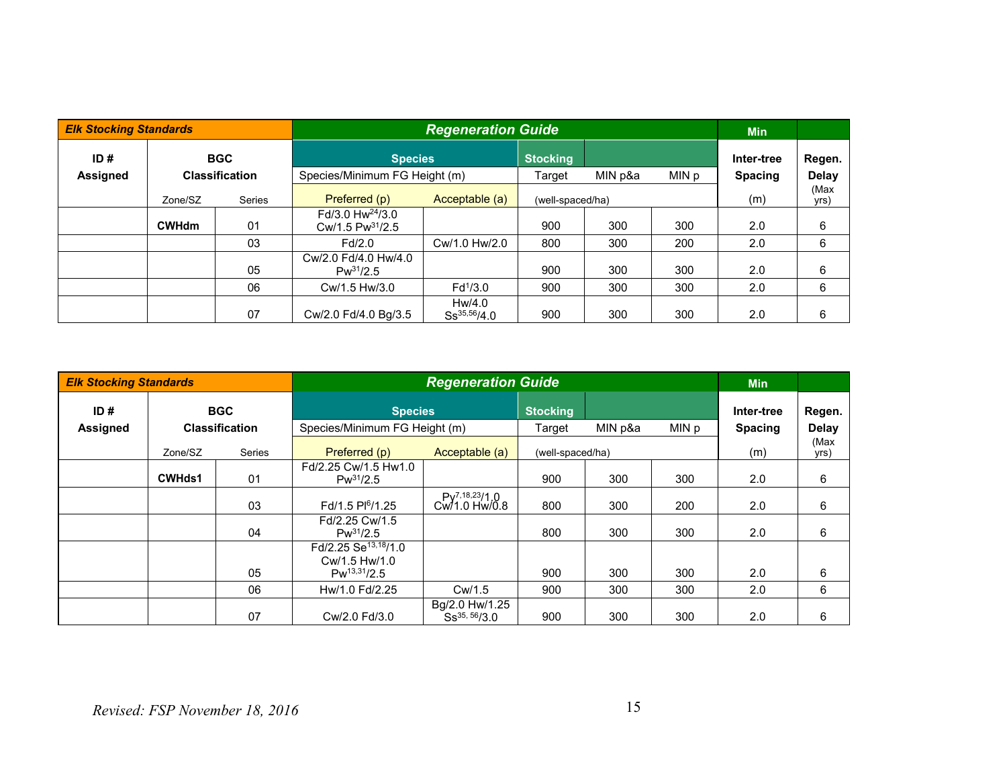| <b>Elk Stocking Standards</b> |                          |                       |                                                      | <b>Regeneration Guide</b>  |                  |         |       |                |              |
|-------------------------------|--------------------------|-----------------------|------------------------------------------------------|----------------------------|------------------|---------|-------|----------------|--------------|
| ID#                           |                          | <b>BGC</b>            | <b>Species</b>                                       |                            | <b>Stocking</b>  |         |       | Inter-tree     | Regen.       |
| <b>Assigned</b>               |                          | <b>Classification</b> | Species/Minimum FG Height (m)                        |                            | Target           | MIN p&a | MIN p | <b>Spacing</b> | <b>Delay</b> |
|                               | <b>Series</b><br>Zone/SZ |                       | Preferred (p)                                        | Acceptable (a)             | (well-spaced/ha) |         | (m)   | (Max<br>yrs)   |              |
|                               | <b>CWHdm</b>             | 01                    | $Fd/3.0 Hw^{24}/3.0$<br>Cw/1.5 Pw <sup>31</sup> /2.5 |                            | 900              | 300     | 300   | 2.0            | 6            |
|                               |                          | 03                    | Fd/2.0                                               | Cw/1.0 Hw/2.0              | 800              | 300     | 200   | 2.0            | 6            |
|                               |                          | 05                    | Cw/2.0 Fd/4.0 Hw/4.0<br>$Pw^{31}/2.5$                |                            | 900              | 300     | 300   | 2.0            | 6            |
|                               |                          | 06                    | Cw/1.5 Hw/3.0                                        | $Fd^{1/3.0}$               | 900              | 300     | 300   | 2.0            | 6            |
|                               |                          | 07                    | Cw/2.0 Fd/4.0 Bg/3.5                                 | Hw/4.0<br>$Ss^{35,56}/4.0$ | 900              | 300     | 300   | 2.0            | 6            |

| <b>Elk Stocking Standards</b> |               |                       |                                                                       | <b>Regeneration Guide</b>                     |                  |         |       |                |              |
|-------------------------------|---------------|-----------------------|-----------------------------------------------------------------------|-----------------------------------------------|------------------|---------|-------|----------------|--------------|
| ID#                           | <b>BGC</b>    |                       | <b>Species</b>                                                        |                                               | <b>Stocking</b>  |         |       | Inter-tree     | Regen.       |
| Assigned                      |               | <b>Classification</b> | Species/Minimum FG Height (m)                                         |                                               | Target           | MIN p&a | MIN p | <b>Spacing</b> | <b>Delay</b> |
|                               | Zone/SZ       | Series                | Preferred (p)                                                         | Acceptable (a)                                | (well-spaced/ha) |         | (m)   | (Max<br>yrs)   |              |
|                               | <b>CWHds1</b> | 01                    | Fd/2.25 Cw/1.5 Hw1.0<br>$Pw^{31}/2.5$                                 |                                               | 900              | 300     | 300   | 2.0            | 6            |
|                               |               | 03                    | Fd/1.5 Pl <sup>6</sup> /1.25                                          | Py <sup>7,18,23</sup> /1,0<br>$Cw/1.0$ Hw/0.8 | 800              | 300     | 200   | 2.0            | 6            |
|                               |               | 04                    | Fd/2.25 Cw/1.5<br>$Pw^{31}/2.5$                                       |                                               | 800              | 300     | 300   | 2.0            | 6            |
|                               |               | 05                    | Fd/2.25 Se <sup>13,18</sup> /1.0<br>Cw/1.5 Hw/1.0<br>$Pw^{13,31}/2.5$ |                                               | 900              | 300     | 300   | 2.0            | 6            |
|                               |               | 06                    | Hw/1.0 Fd/2.25                                                        | Cw/1.5                                        | 900              | 300     | 300   | 2.0            | 6            |
|                               |               | 07                    | Cw/2.0 Fd/3.0                                                         | Bg/2.0 Hw/1.25<br>$Ss^{35, 56}/3.0$           | 900              | 300     | 300   | 2.0            | 6            |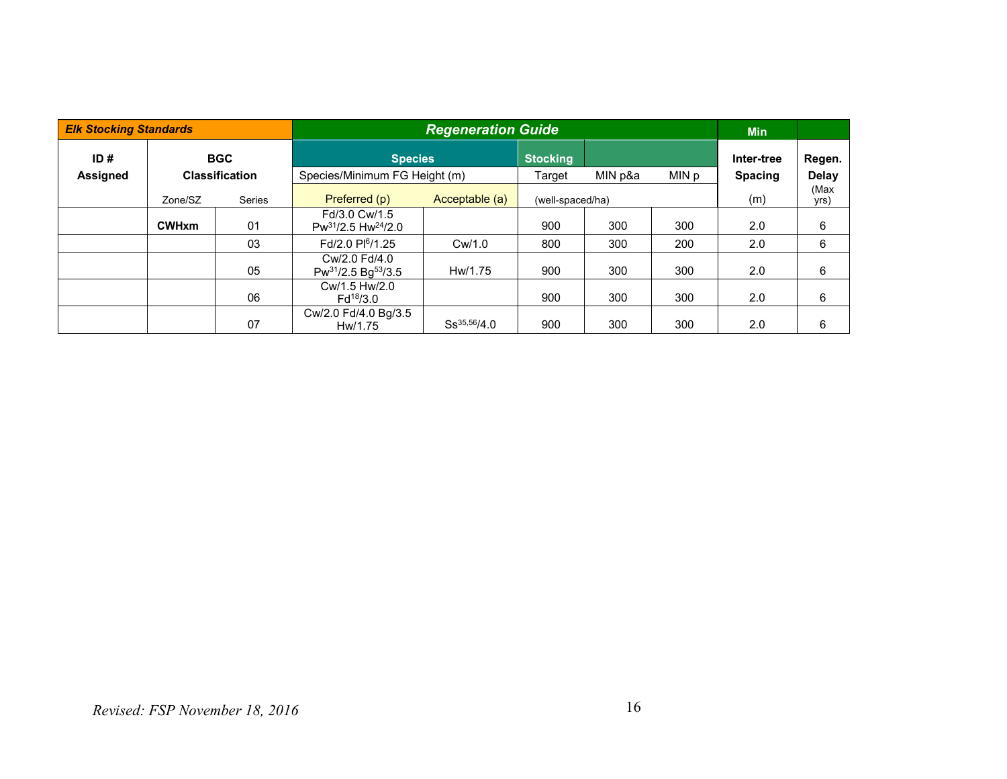| <b>Elk Stocking Standards</b> |              |                       |                                            | <b>Regeneration Guide</b> |                  |         |       |                |              |
|-------------------------------|--------------|-----------------------|--------------------------------------------|---------------------------|------------------|---------|-------|----------------|--------------|
| ID#                           | <b>BGC</b>   |                       | <b>Species</b>                             |                           | <b>Stocking</b>  |         |       | Inter-tree     | Regen.       |
| <b>Assigned</b>               |              | <b>Classification</b> | Species/Minimum FG Height (m)              |                           | Target           | MIN p&a | MIN p | <b>Spacing</b> | <b>Delay</b> |
|                               | Zone/SZ      | <b>Series</b>         | Preferred (p)<br>Acceptable (a)            |                           | (well-spaced/ha) |         |       | (m)            | (Max<br>yrs) |
|                               | <b>CWHxm</b> | 01                    | Fd/3.0 Cw/1.5<br>$Pw^{31}/2.5 Hw^{24}/2.0$ |                           | 900              | 300     | 300   | 2.0            | 6            |
|                               |              | 03                    | Fd/2.0 Pl <sup>6</sup> /1.25               | Cw/1.0                    | 800              | 300     | 200   | 2.0            | 6            |
|                               |              | 05                    | Cw/2.0 Fd/4.0<br>$Pw^{31}/2.5 Bg^{53}/3.5$ | Hw/1.75                   | 900              | 300     | 300   | 2.0            | 6            |
|                               |              | 06                    | Cw/1.5 Hw/2.0<br>$Fd^{18}/3.0$             |                           | 900              | 300     | 300   | 2.0            | 6            |
|                               | 07           |                       | Cw/2.0 Fd/4.0 Bg/3.5<br>Hw/1.75            | $Ss^{35,56}/4.0$          | 900              | 300     | 300   | 2.0            | 6            |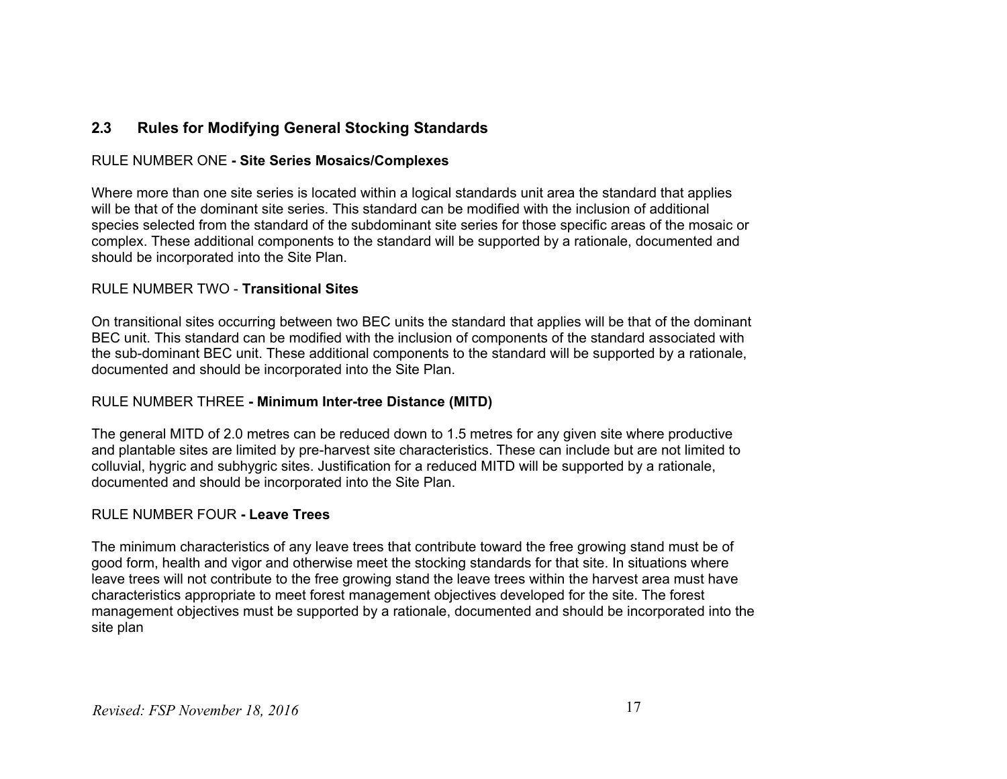#### **2.3 Rules for Modifying General Stocking Standards**

#### RULE NUMBER ONE **- Site Series Mosaics/Complexes**

Where more than one site series is located within a logical standards unit area the standard that applies will be that of the dominant site series. This standard can be modified with the inclusion of additional species selected from the standard of the subdominant site series for those specific areas of the mosaic or complex. These additional components to the standard will be supported by a rationale, documented and should be incorporated into the Site Plan.

#### RULE NUMBER TWO - **Transitional Sites**

On transitional sites occurring between two BEC units the standard that applies will be that of the dominant BEC unit. This standard can be modified with the inclusion of components of the standard associated with the sub-dominant BEC unit. These additional components to the standard will be supported by a rationale, documented and should be incorporated into the Site Plan.

#### RULE NUMBER THREE **- Minimum Inter-tree Distance (MITD)**

The general MITD of 2.0 metres can be reduced down to 1.5 metres for any given site where productive and plantable sites are limited by pre-harvest site characteristics. These can include but are not limited to colluvial, hygric and subhygric sites. Justification for a reduced MITD will be supported by a rationale, documented and should be incorporated into the Site Plan.

#### RULE NUMBER FOUR **- Leave Trees**

The minimum characteristics of any leave trees that contribute toward the free growing stand must be of good form, health and vigor and otherwise meet the stocking standards for that site. In situations where leave trees will not contribute to the free growing stand the leave trees within the harvest area must have characteristics appropriate to meet forest management objectives developed for the site. The forest management objectives must be supported by a rationale, documented and should be incorporated into the site plan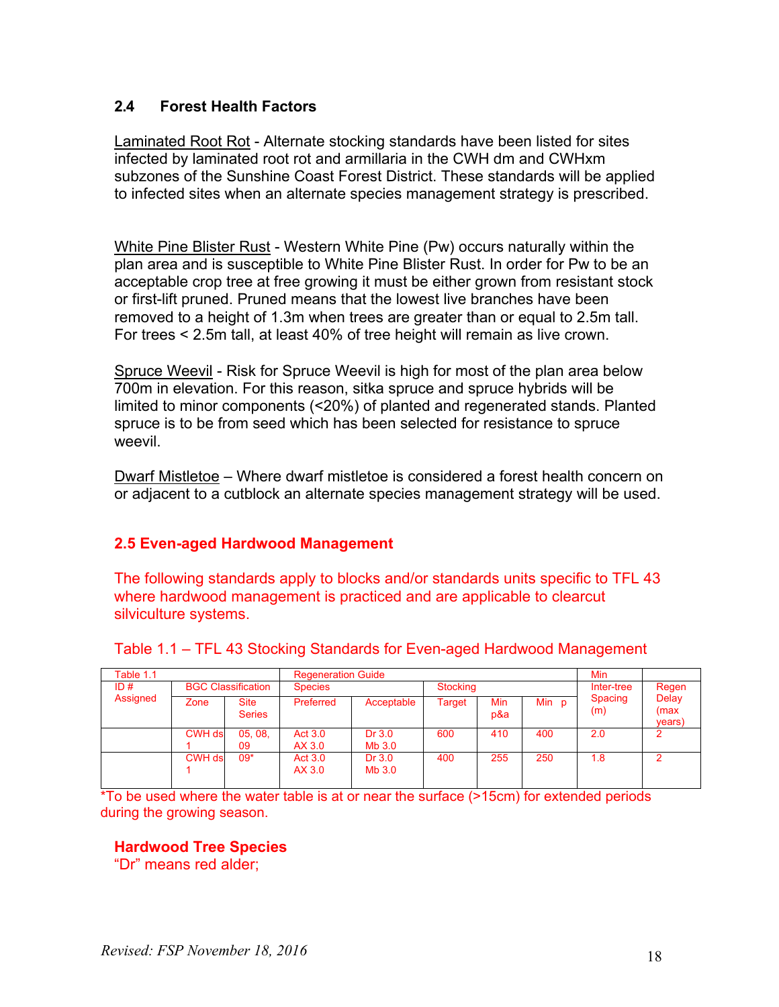#### **2.4 Forest Health Factors**

Laminated Root Rot - Alternate stocking standards have been listed for sites infected by laminated root rot and armillaria in the CWH dm and CWHxm subzones of the Sunshine Coast Forest District. These standards will be applied to infected sites when an alternate species management strategy is prescribed.

White Pine Blister Rust - Western White Pine (Pw) occurs naturally within the plan area and is susceptible to White Pine Blister Rust. In order for Pw to be an acceptable crop tree at free growing it must be either grown from resistant stock or first-lift pruned. Pruned means that the lowest live branches have been removed to a height of 1.3m when trees are greater than or equal to 2.5m tall. For trees < 2.5m tall, at least 40% of tree height will remain as live crown.

Spruce Weevil - Risk for Spruce Weevil is high for most of the plan area below 700m in elevation. For this reason, sitka spruce and spruce hybrids will be limited to minor components (<20%) of planted and regenerated stands. Planted spruce is to be from seed which has been selected for resistance to spruce weevil.

Dwarf Mistletoe – Where dwarf mistletoe is considered a forest health concern on or adjacent to a cutblock an alternate species management strategy will be used.

#### **2.5 Even-aged Hardwood Management**

The following standards apply to blocks and/or standards units specific to TFL 43 where hardwood management is practiced and are applicable to clearcut silviculture systems.

| Table 1.1       | <b>Regeneration Guide</b> |                              |                          |                  |        |                 |       | <b>Min</b>     |                          |
|-----------------|---------------------------|------------------------------|--------------------------|------------------|--------|-----------------|-------|----------------|--------------------------|
| ID#<br>Assigned | <b>BGC Classification</b> |                              | <b>Species</b>           |                  |        | <b>Stocking</b> |       |                | Regen                    |
|                 | Zone                      | <b>Site</b><br><b>Series</b> | Preferred                | Acceptable       | Target | Min<br>p&a      | Min p | Spacing<br>(m) | Delay<br>(max)<br>years) |
|                 | <b>CWH ds</b>             | 05,08,<br>09                 | <b>Act 3.0</b><br>AX 3.0 | Dr 3.0<br>Mb 3.0 | 600    | 410             | 400   | 2.0            |                          |
|                 | <b>CWH ds</b>             | $09*$                        | <b>Act 3.0</b><br>AX 3.0 | Dr 3.0<br>Mb 3.0 | 400    | 255             | 250   | 1.8            |                          |

|  |  | Table 1.1 - TFL 43 Stocking Standards for Even-aged Hardwood Management |
|--|--|-------------------------------------------------------------------------|
|  |  |                                                                         |

\*To be used where the water table is at or near the surface (>15cm) for extended periods during the growing season.

#### **Hardwood Tree Species**

"Dr" means red alder;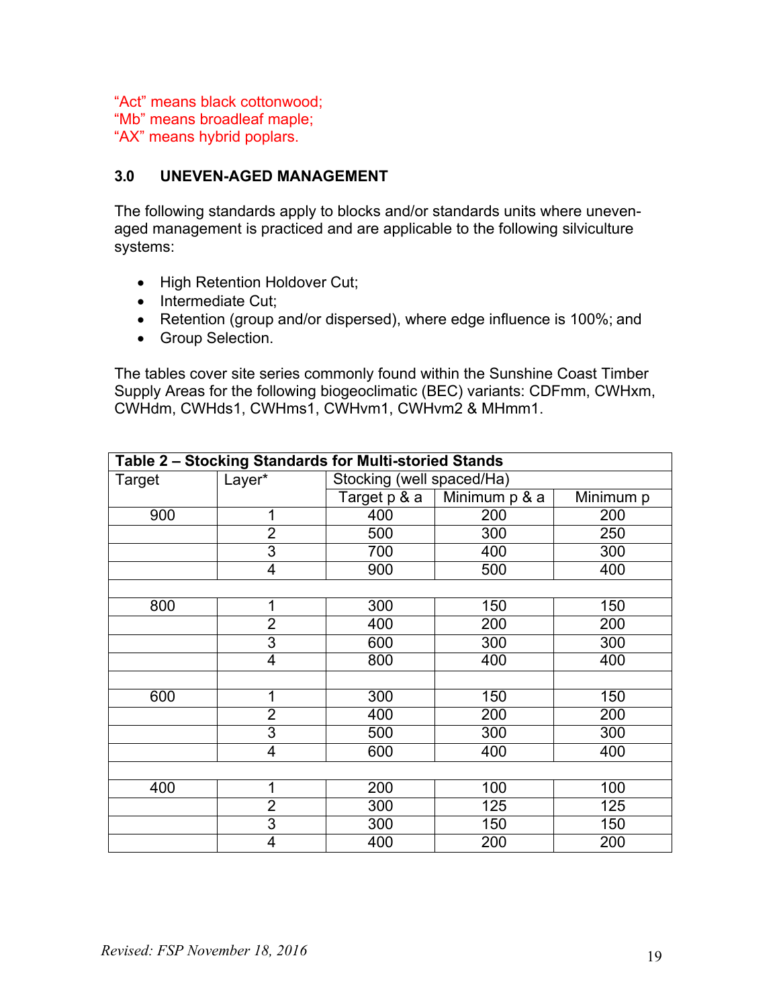"Act" means black cottonwood; "Mb" means broadleaf maple; "AX" means hybrid poplars.

#### **3.0 UNEVEN-AGED MANAGEMENT**

The following standards apply to blocks and/or standards units where unevenaged management is practiced and are applicable to the following silviculture systems:

- High Retention Holdover Cut;
- Intermediate Cut:
- Retention (group and/or dispersed), where edge influence is 100%; and
- Group Selection.

The tables cover site series commonly found within the Sunshine Coast Timber Supply Areas for the following biogeoclimatic (BEC) variants: CDFmm, CWHxm, CWHdm, CWHds1, CWHms1, CWHvm1, CWHvm2 & MHmm1.

| Table 2 - Stocking Standards for Multi-storied Stands |                |                                    |               |           |  |  |  |  |  |  |
|-------------------------------------------------------|----------------|------------------------------------|---------------|-----------|--|--|--|--|--|--|
| Target                                                | Layer*         | Stocking (well spaced/Ha)          |               |           |  |  |  |  |  |  |
|                                                       |                | $\overline{\mathsf{Target}}$ p & a | Minimum p & a | Minimum p |  |  |  |  |  |  |
| 900                                                   | 1              | 400                                | 200           | 200       |  |  |  |  |  |  |
|                                                       | $\overline{2}$ | 500                                | 300           | 250       |  |  |  |  |  |  |
|                                                       | 3              | 700                                | 400           | 300       |  |  |  |  |  |  |
|                                                       | 4              | 900                                | 500           | 400       |  |  |  |  |  |  |
|                                                       |                |                                    |               |           |  |  |  |  |  |  |
| 800                                                   | 1              | 300                                | 150           | 150       |  |  |  |  |  |  |
|                                                       | $\overline{2}$ | 400                                | 200           | 200       |  |  |  |  |  |  |
|                                                       | 3              | 600                                | 300           | 300       |  |  |  |  |  |  |
|                                                       | 4              | 800                                | 400           | 400       |  |  |  |  |  |  |
|                                                       |                |                                    |               |           |  |  |  |  |  |  |
| 600                                                   | 1              | 300                                | 150           | 150       |  |  |  |  |  |  |
|                                                       | $\overline{2}$ | 400                                | 200           | 200       |  |  |  |  |  |  |
|                                                       | 3              | 500                                | 300           | 300       |  |  |  |  |  |  |
|                                                       | 4              | 600                                | 400           | 400       |  |  |  |  |  |  |
|                                                       |                |                                    |               |           |  |  |  |  |  |  |
| 400                                                   | 1              | 200                                | 100           | 100       |  |  |  |  |  |  |
|                                                       | $\overline{2}$ | 300                                | 125           | 125       |  |  |  |  |  |  |
|                                                       | 3              | 300                                | 150           | 150       |  |  |  |  |  |  |
|                                                       | 4              | 400                                | 200           | 200       |  |  |  |  |  |  |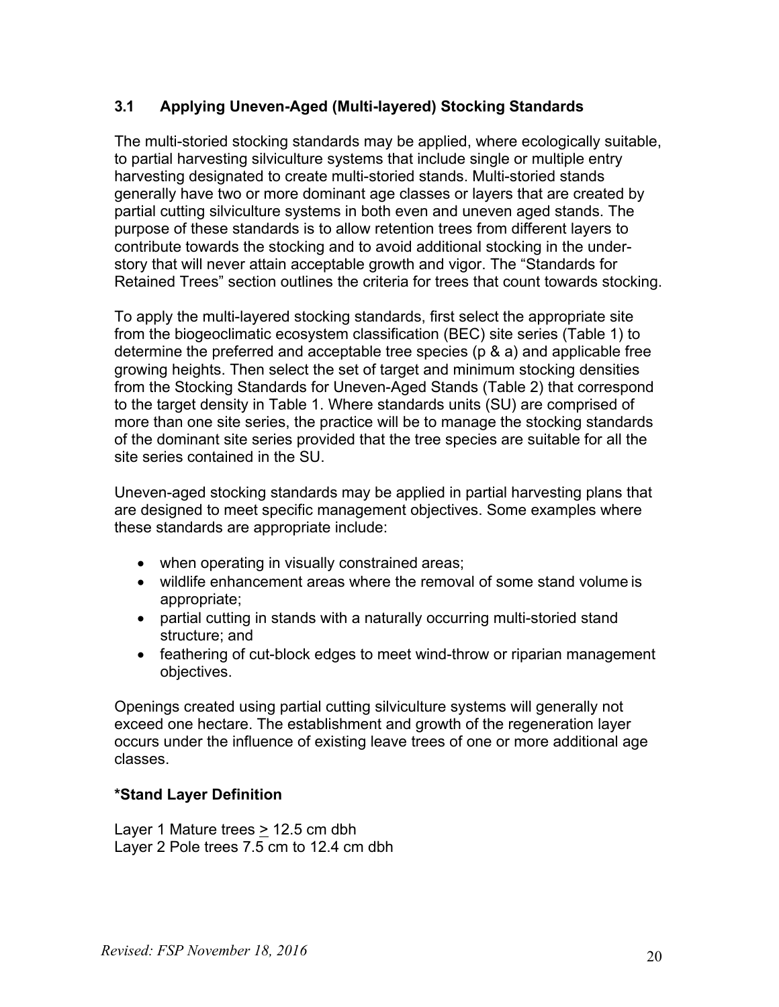#### **3.1 Applying Uneven-Aged (Multi-layered) Stocking Standards**

The multi-storied stocking standards may be applied, where ecologically suitable, to partial harvesting silviculture systems that include single or multiple entry harvesting designated to create multi-storied stands. Multi-storied stands generally have two or more dominant age classes or layers that are created by partial cutting silviculture systems in both even and uneven aged stands. The purpose of these standards is to allow retention trees from different layers to contribute towards the stocking and to avoid additional stocking in the understory that will never attain acceptable growth and vigor. The "Standards for Retained Trees" section outlines the criteria for trees that count towards stocking.

To apply the multi-layered stocking standards, first select the appropriate site from the biogeoclimatic ecosystem classification (BEC) site series (Table 1) to determine the preferred and acceptable tree species (p & a) and applicable free growing heights. Then select the set of target and minimum stocking densities from the Stocking Standards for Uneven-Aged Stands (Table 2) that correspond to the target density in Table 1. Where standards units (SU) are comprised of more than one site series, the practice will be to manage the stocking standards of the dominant site series provided that the tree species are suitable for all the site series contained in the SU.

Uneven-aged stocking standards may be applied in partial harvesting plans that are designed to meet specific management objectives. Some examples where these standards are appropriate include:

- when operating in visually constrained areas;
- wildlife enhancement areas where the removal of some stand volume is appropriate;
- partial cutting in stands with a naturally occurring multi-storied stand structure; and
- feathering of cut-block edges to meet wind-throw or riparian management objectives.

Openings created using partial cutting silviculture systems will generally not exceed one hectare. The establishment and growth of the regeneration layer occurs under the influence of existing leave trees of one or more additional age classes.

#### **\*Stand Layer Definition**

Layer 1 Mature trees > 12.5 cm dbh Layer 2 Pole trees 7.5 cm to 12.4 cm dbh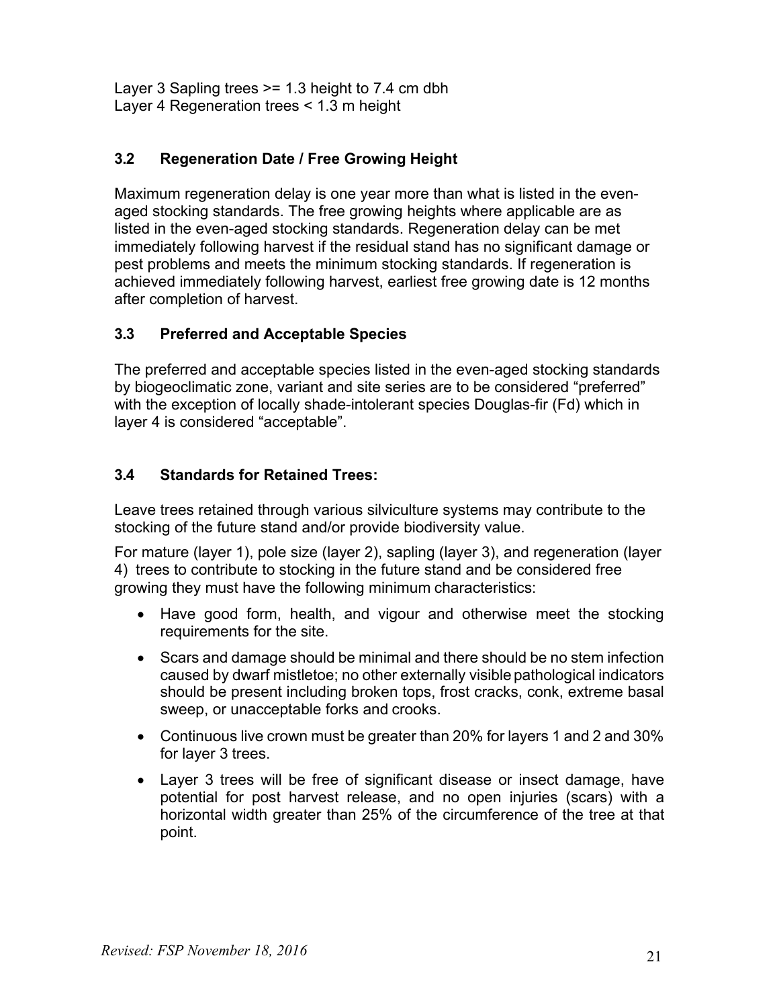Layer 3 Sapling trees >= 1.3 height to 7.4 cm dbh Layer 4 Regeneration trees < 1.3 m height

#### **3.2 Regeneration Date / Free Growing Height**

Maximum regeneration delay is one year more than what is listed in the evenaged stocking standards. The free growing heights where applicable are as listed in the even-aged stocking standards. Regeneration delay can be met immediately following harvest if the residual stand has no significant damage or pest problems and meets the minimum stocking standards. If regeneration is achieved immediately following harvest, earliest free growing date is 12 months after completion of harvest.

#### **3.3 Preferred and Acceptable Species**

The preferred and acceptable species listed in the even-aged stocking standards by biogeoclimatic zone, variant and site series are to be considered "preferred" with the exception of locally shade-intolerant species Douglas-fir (Fd) which in layer 4 is considered "acceptable".

## **3.4 Standards for Retained Trees:**

Leave trees retained through various silviculture systems may contribute to the stocking of the future stand and/or provide biodiversity value.

For mature (layer 1), pole size (layer 2), sapling (layer 3), and regeneration (layer 4) trees to contribute to stocking in the future stand and be considered free growing they must have the following minimum characteristics:

- Have good form, health, and vigour and otherwise meet the stocking requirements for the site.
- Scars and damage should be minimal and there should be no stem infection caused by dwarf mistletoe; no other externally visible pathological indicators should be present including broken tops, frost cracks, conk, extreme basal sweep, or unacceptable forks and crooks.
- Continuous live crown must be greater than 20% for layers 1 and 2 and 30% for layer 3 trees.
- Layer 3 trees will be free of significant disease or insect damage, have potential for post harvest release, and no open injuries (scars) with a horizontal width greater than 25% of the circumference of the tree at that point.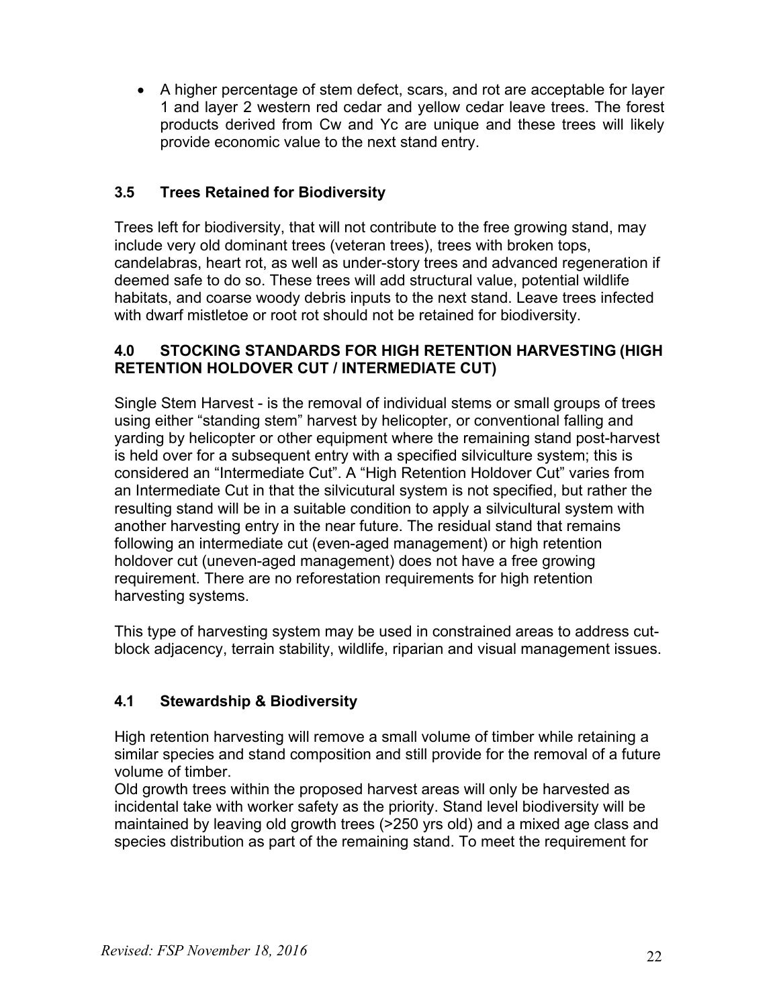• A higher percentage of stem defect, scars, and rot are acceptable for layer 1 and layer 2 western red cedar and yellow cedar leave trees. The forest products derived from Cw and Yc are unique and these trees will likely provide economic value to the next stand entry.

#### **3.5 Trees Retained for Biodiversity**

Trees left for biodiversity, that will not contribute to the free growing stand, may include very old dominant trees (veteran trees), trees with broken tops, candelabras, heart rot, as well as under-story trees and advanced regeneration if deemed safe to do so. These trees will add structural value, potential wildlife habitats, and coarse woody debris inputs to the next stand. Leave trees infected with dwarf mistletoe or root rot should not be retained for biodiversity.

#### **4.0 STOCKING STANDARDS FOR HIGH RETENTION HARVESTING (HIGH RETENTION HOLDOVER CUT / INTERMEDIATE CUT)**

Single Stem Harvest - is the removal of individual stems or small groups of trees using either "standing stem" harvest by helicopter, or conventional falling and yarding by helicopter or other equipment where the remaining stand post-harvest is held over for a subsequent entry with a specified silviculture system; this is considered an "Intermediate Cut". A "High Retention Holdover Cut" varies from an Intermediate Cut in that the silvicutural system is not specified, but rather the resulting stand will be in a suitable condition to apply a silvicultural system with another harvesting entry in the near future. The residual stand that remains following an intermediate cut (even-aged management) or high retention holdover cut (uneven-aged management) does not have a free growing requirement. There are no reforestation requirements for high retention harvesting systems.

This type of harvesting system may be used in constrained areas to address cutblock adjacency, terrain stability, wildlife, riparian and visual management issues.

## **4.1 Stewardship & Biodiversity**

High retention harvesting will remove a small volume of timber while retaining a similar species and stand composition and still provide for the removal of a future volume of timber.

Old growth trees within the proposed harvest areas will only be harvested as incidental take with worker safety as the priority. Stand level biodiversity will be maintained by leaving old growth trees (>250 yrs old) and a mixed age class and species distribution as part of the remaining stand. To meet the requirement for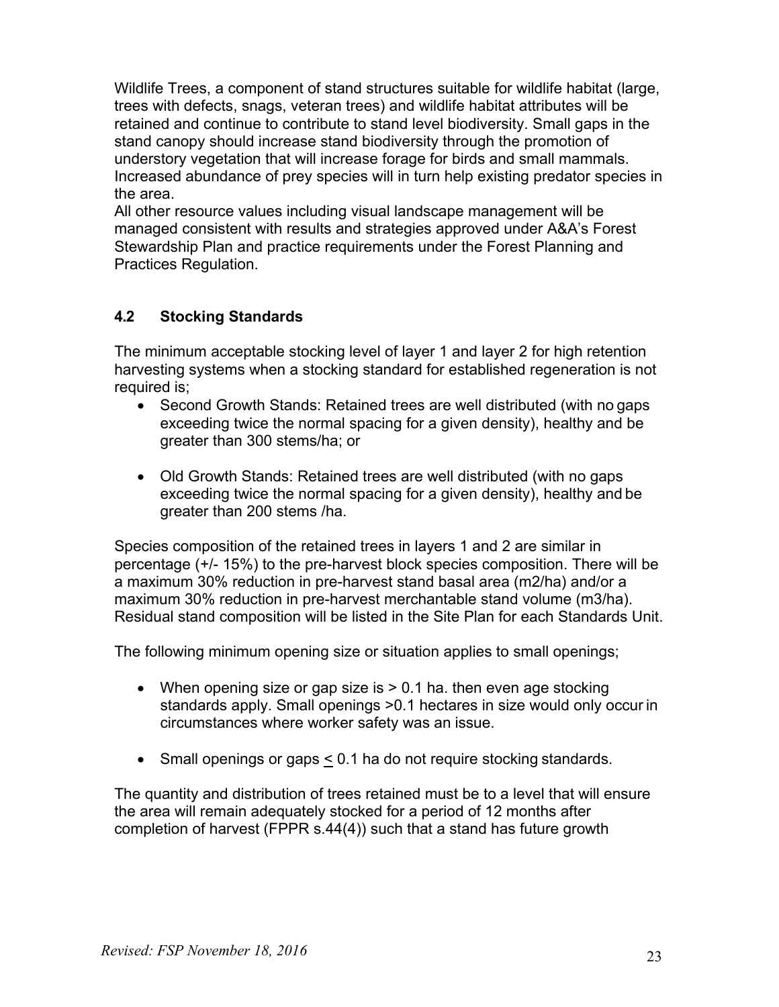Wildlife Trees, a component of stand structures suitable for wildlife habitat (large, trees with defects, snags, veteran trees) and wildlife habitat attributes will be retained and continue to contribute to stand level biodiversity. Small gaps in the stand canopy should increase stand biodiversity through the promotion of understory vegetation that will increase forage for birds and small mammals. Increased abundance of prey species will in turn help existing predator species in the area.

All other resource values including visual landscape management will be managed consistent with results and strategies approved under A&A's Forest Stewardship Plan and practice requirements under the Forest Planning and Practices Regulation.

#### **4.2 Stocking Standards**

The minimum acceptable stocking level of layer 1 and layer 2 for high retention harvesting systems when a stocking standard for established regeneration is not required is:

- Second Growth Stands: Retained trees are well distributed (with no gaps exceeding twice the normal spacing for a given density), healthy and be greater than 300 stems/ha; or
- Old Growth Stands: Retained trees are well distributed (with no gaps exceeding twice the normal spacing for a given density), healthy and be greater than 200 stems /ha.

Species composition of the retained trees in layers 1 and 2 are similar in percentage (+/- 15%) to the pre-harvest block species composition. There will be a maximum 30% reduction in pre-harvest stand basal area (m2/ha) and/or a maximum 30% reduction in pre-harvest merchantable stand volume (m3/ha). Residual stand composition will be listed in the Site Plan for each Standards Unit.

The following minimum opening size or situation applies to small openings;

- When opening size or gap size is  $> 0.1$  ha. then even age stocking standards apply. Small openings >0.1 hectares in size would only occur in circumstances where worker safety was an issue.
- Small openings or gaps < 0.1 ha do not require stocking standards.

The quantity and distribution of trees retained must be to a level that will ensure the area will remain adequately stocked for a period of 12 months after completion of harvest (FPPR s.44(4)) such that a stand has future growth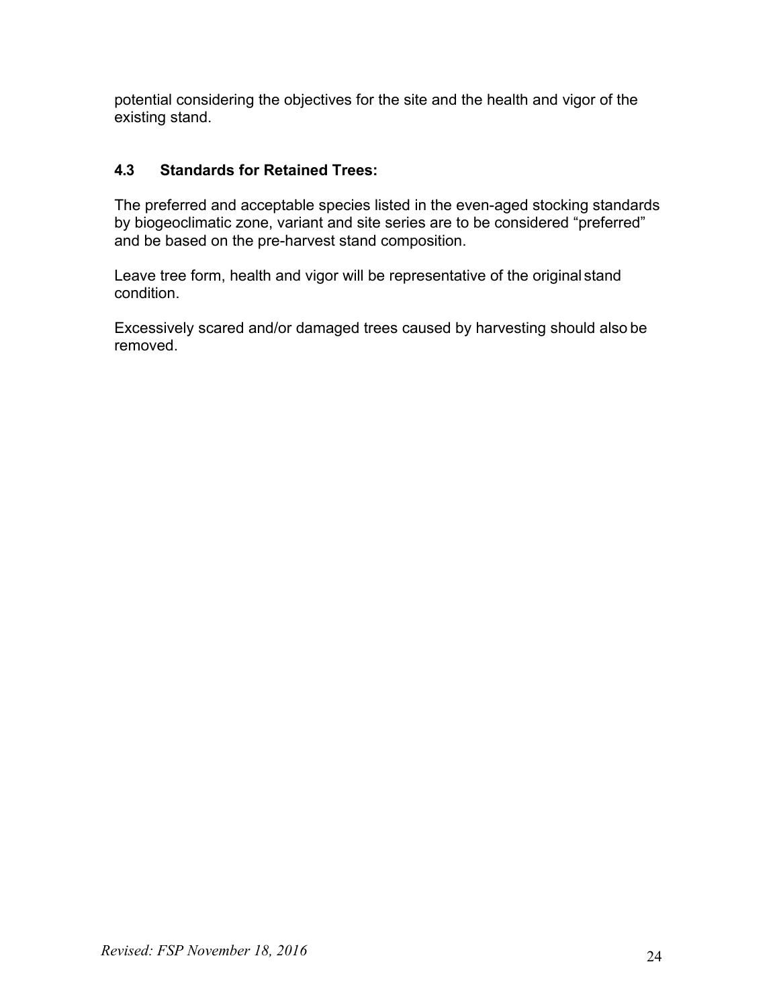potential considering the objectives for the site and the health and vigor of the existing stand.

## **4.3 Standards for Retained Trees:**

The preferred and acceptable species listed in the even-aged stocking standards by biogeoclimatic zone, variant and site series are to be considered "preferred" and be based on the pre-harvest stand composition.

Leave tree form, health and vigor will be representative of the original stand condition.

Excessively scared and/or damaged trees caused by harvesting should also be removed.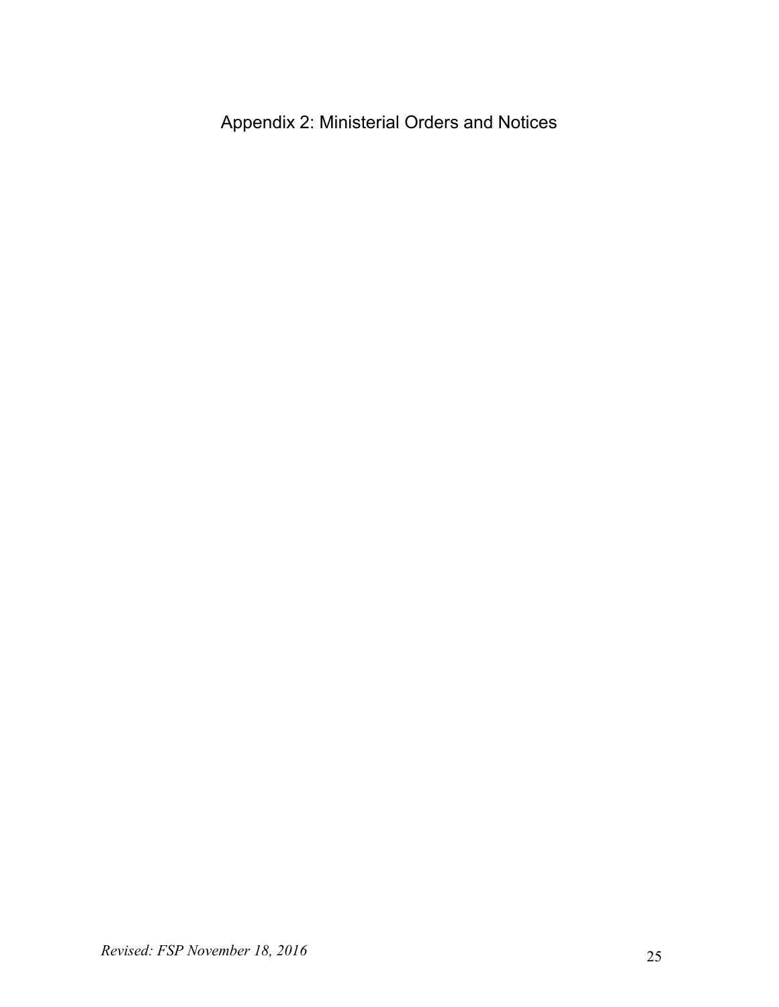Appendix 2: Ministerial Orders and Notices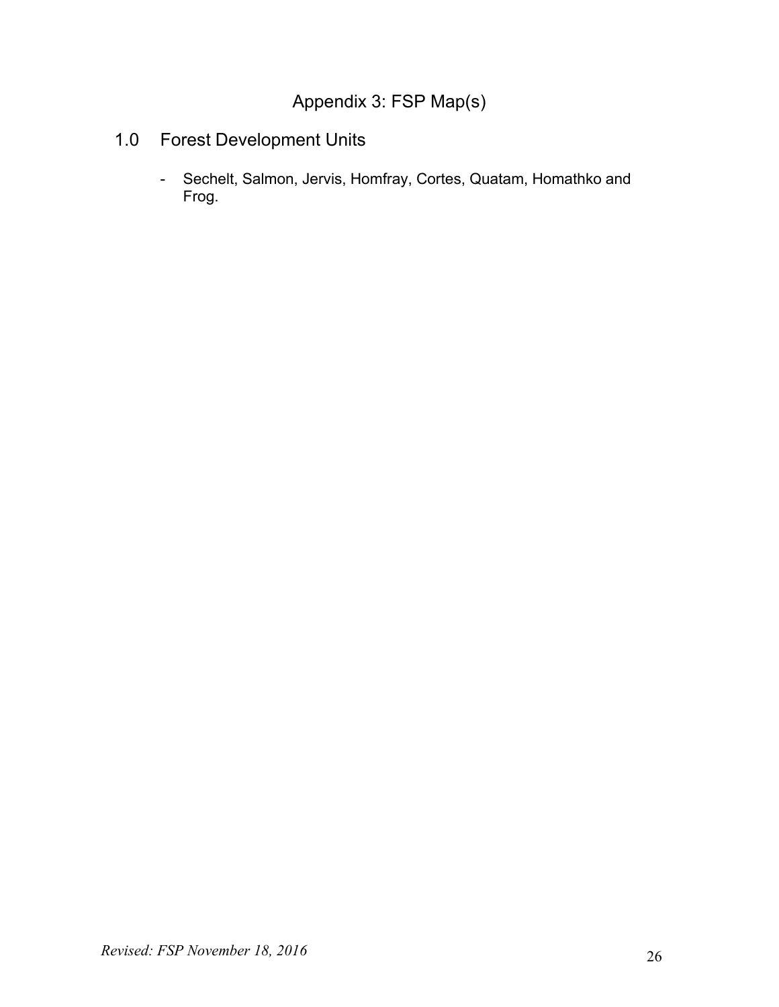# Appendix 3: FSP Map(s)

# 1.0 Forest Development Units

- Sechelt, Salmon, Jervis, Homfray, Cortes, Quatam, Homathko and Frog.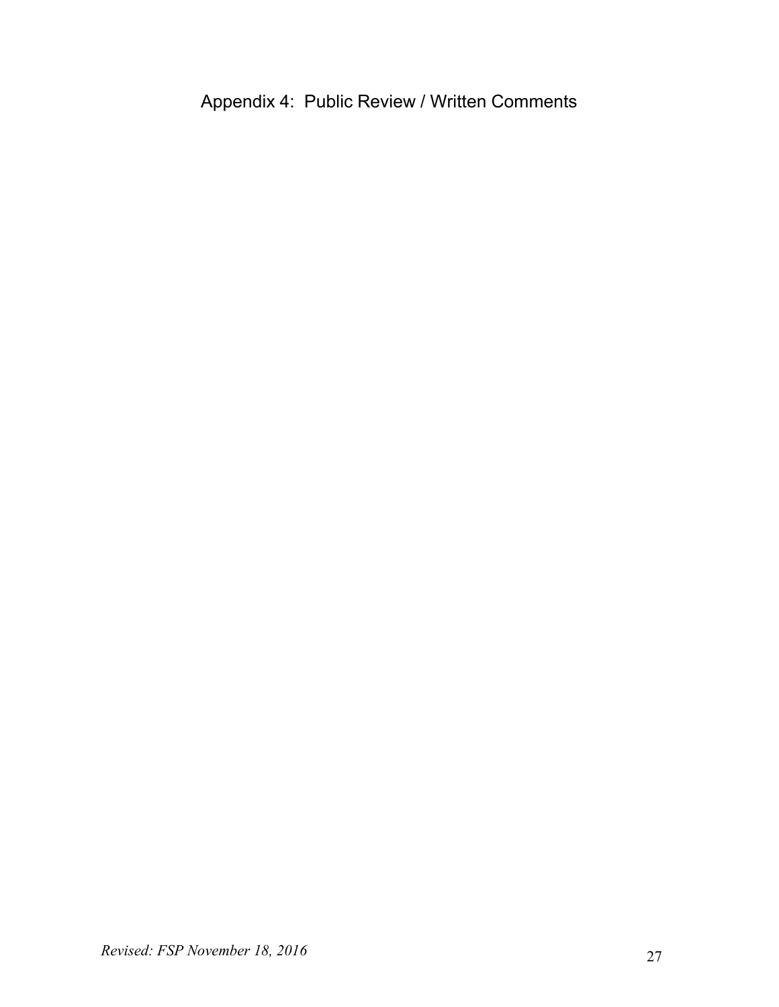# Appendix 4: Public Review / Written Comments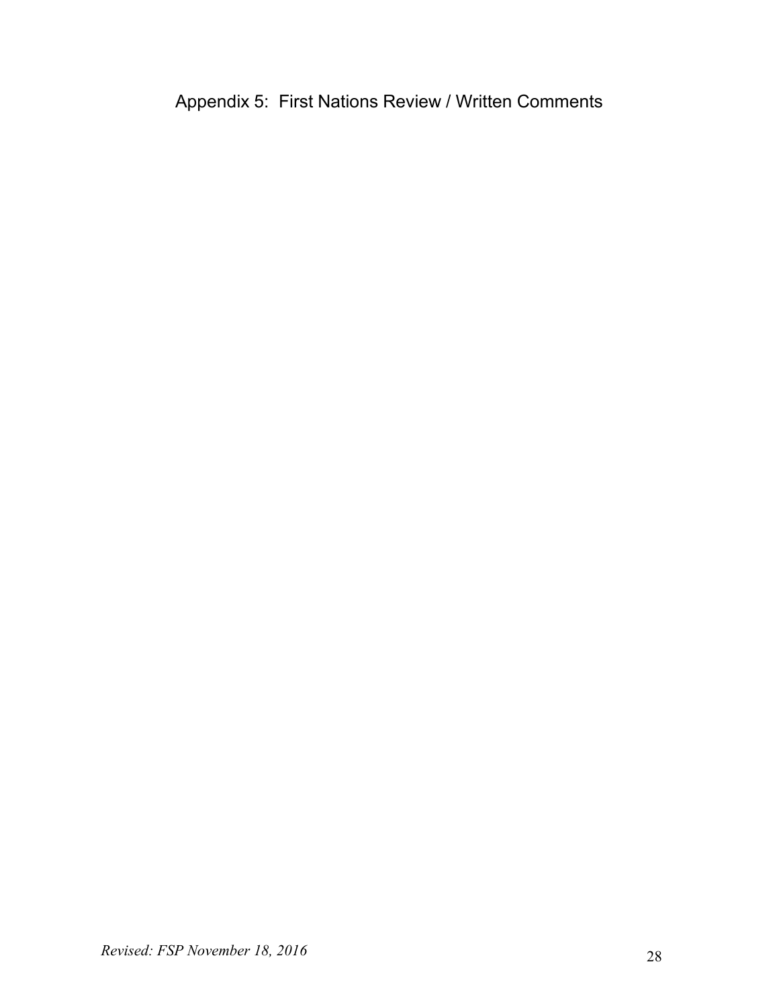Appendix 5: First Nations Review / Written Comments